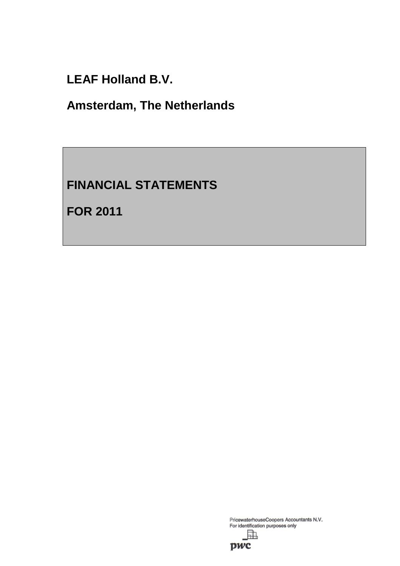**LEAF Holland B.V.**

**Amsterdam, The Netherlands**

# **FINANCIAL STATEMENTS**

**FOR 2011**

PricewaterhouseCoopers Accountants N.V.<br>For identification purposes only

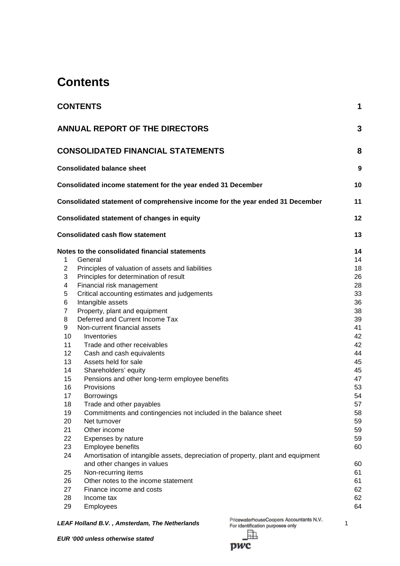# **Contents**

|                                                                                                                      | <b>CONTENTS</b>                                                                                                                                                                                                                                                                                                                                                                                                                                                                                                                               | 1                                                                                                  |  |
|----------------------------------------------------------------------------------------------------------------------|-----------------------------------------------------------------------------------------------------------------------------------------------------------------------------------------------------------------------------------------------------------------------------------------------------------------------------------------------------------------------------------------------------------------------------------------------------------------------------------------------------------------------------------------------|----------------------------------------------------------------------------------------------------|--|
|                                                                                                                      | <b>ANNUAL REPORT OF THE DIRECTORS</b>                                                                                                                                                                                                                                                                                                                                                                                                                                                                                                         | 3                                                                                                  |  |
|                                                                                                                      | <b>CONSOLIDATED FINANCIAL STATEMENTS</b>                                                                                                                                                                                                                                                                                                                                                                                                                                                                                                      | 8                                                                                                  |  |
|                                                                                                                      | <b>Consolidated balance sheet</b>                                                                                                                                                                                                                                                                                                                                                                                                                                                                                                             | 9                                                                                                  |  |
|                                                                                                                      | Consolidated income statement for the year ended 31 December                                                                                                                                                                                                                                                                                                                                                                                                                                                                                  | 10                                                                                                 |  |
|                                                                                                                      | Consolidated statement of comprehensive income for the year ended 31 December                                                                                                                                                                                                                                                                                                                                                                                                                                                                 | 11                                                                                                 |  |
|                                                                                                                      | <b>Consolidated statement of changes in equity</b>                                                                                                                                                                                                                                                                                                                                                                                                                                                                                            | 12                                                                                                 |  |
|                                                                                                                      | <b>Consolidated cash flow statement</b>                                                                                                                                                                                                                                                                                                                                                                                                                                                                                                       | 13                                                                                                 |  |
| $\overline{c}$<br>3<br>4<br>5<br>6<br>$\overline{7}$<br>8<br>9<br>10<br>11<br>12<br>13<br>14<br>15<br>16<br>17<br>18 | Principles of valuation of assets and liabilities<br>Principles for determination of result<br>Financial risk management<br>Critical accounting estimates and judgements<br>Intangible assets<br>Property, plant and equipment<br>Deferred and Current Income Tax<br>Non-current financial assets<br>Inventories<br>Trade and other receivables<br>Cash and cash equivalents<br>Assets held for sale<br>Shareholders' equity<br>Pensions and other long-term employee benefits<br>Provisions<br><b>Borrowings</b><br>Trade and other payables | 18<br>26<br>28<br>33<br>36<br>38<br>39<br>41<br>42<br>42<br>44<br>45<br>45<br>47<br>53<br>54<br>57 |  |
| 19<br>20<br>21<br>22<br>23<br>24<br>25<br>26<br>27<br>28<br>29                                                       | Commitments and contingencies not included in the balance sheet<br>Net turnover<br>Other income<br>Expenses by nature<br>Employee benefits<br>Amortisation of intangible assets, depreciation of property, plant and equipment<br>and other changes in values<br>Non-recurring items<br>Other notes to the income statement<br>Finance income and costs<br>Income tax<br>Employees                                                                                                                                                            | 58<br>59<br>59<br>59<br>60<br>60<br>61<br>61<br>62<br>62<br>64                                     |  |

**LEAF Holland B.V., Amsterdam, The Netherlands** PricewaterhouseCoopers Accountants N.V.<br><sup>1</sup> For identification purposes only [h

pwc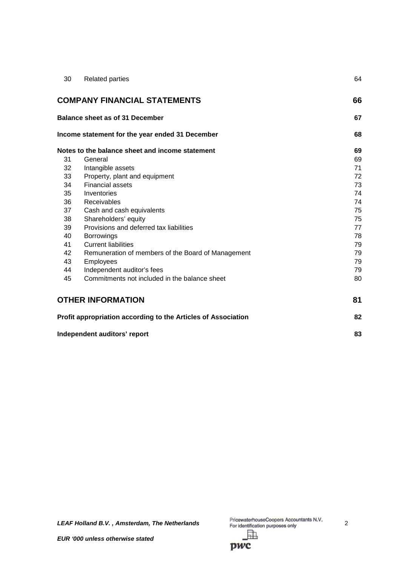| 30 | <b>Related parties</b>                                        | 64 |
|----|---------------------------------------------------------------|----|
|    | <b>COMPANY FINANCIAL STATEMENTS</b>                           | 66 |
|    | Balance sheet as of 31 December                               | 67 |
|    | Income statement for the year ended 31 December               | 68 |
|    | Notes to the balance sheet and income statement               | 69 |
| 31 | General                                                       | 69 |
| 32 | Intangible assets                                             | 71 |
| 33 | Property, plant and equipment                                 | 72 |
| 34 | <b>Financial assets</b>                                       | 73 |
| 35 | Inventories                                                   | 74 |
| 36 | Receivables                                                   | 74 |
| 37 | Cash and cash equivalents                                     | 75 |
| 38 | Shareholders' equity                                          | 75 |
| 39 | Provisions and deferred tax liabilities                       | 77 |
| 40 | <b>Borrowings</b>                                             | 78 |
| 41 | <b>Current liabilities</b>                                    | 79 |
| 42 | Remuneration of members of the Board of Management            | 79 |
| 43 | Employees                                                     | 79 |
| 44 | Independent auditor's fees                                    | 79 |
| 45 | Commitments not included in the balance sheet                 | 80 |
|    | <b>OTHER INFORMATION</b>                                      | 81 |
|    | Profit appropriation according to the Articles of Association | 82 |
|    |                                                               |    |

**Independent auditors' report 83** 

*LEAF Holland B.V.*, *Amsterdam, The Netherlands* PricewaterhouseCoopers Accountants N.V.<br>
For identification purposes only<br> **2** 

pwc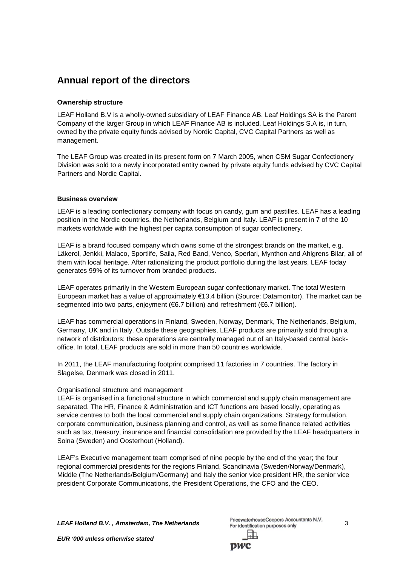## **Annual report of the directors**

## **Ownership structure**

LEAF Holland B.V is a wholly-owned subsidiary of LEAF Finance AB. Leaf Holdings SA is the Parent Company of the larger Group in which LEAF Finance AB is included. Leaf Holdings S.A is, in turn, owned by the private equity funds advised by Nordic Capital, CVC Capital Partners as well as management.

The LEAF Group was created in its present form on 7 March 2005, when CSM Sugar Confectionery Division was sold to a newly incorporated entity owned by private equity funds advised by CVC Capital Partners and Nordic Capital.

## **Business overview**

LEAF is a leading confectionary company with focus on candy, gum and pastilles. LEAF has a leading position in the Nordic countries, the Netherlands, Belgium and Italy. LEAF is present in 7 of the 10 markets worldwide with the highest per capita consumption of sugar confectionery.

LEAF is a brand focused company which owns some of the strongest brands on the market, e.g. Läkerol, Jenkki, Malaco, Sportlife, Saila, Red Band, Venco, Sperlari, Mynthon and Ahlgrens Bilar, all of them with local heritage. After rationalizing the product portfolio during the last years, LEAF today generates 99% of its turnover from branded products.

LEAF operates primarily in the Western European sugar confectionary market. The total Western European market has a value of approximately €13.4 billion (Source: Datamonitor). The market can be segmented into two parts, enjoyment (€6.7 billion) and refreshment (€6.7 billion).

LEAF has commercial operations in Finland, Sweden, Norway, Denmark, The Netherlands, Belgium, Germany, UK and in Italy. Outside these geographies, LEAF products are primarily sold through a network of distributors; these operations are centrally managed out of an Italy-based central backoffice. In total, LEAF products are sold in more than 50 countries worldwide.

In 2011, the LEAF manufacturing footprint comprised 11 factories in 7 countries. The factory in Slagelse, Denmark was closed in 2011.

## Organisational structure and management

LEAF is organised in a functional structure in which commercial and supply chain management are separated. The HR, Finance & Administration and ICT functions are based locally, operating as service centres to both the local commercial and supply chain organizations. Strategy formulation, corporate communication, business planning and control, as well as some finance related activities such as tax, treasury, insurance and financial consolidation are provided by the LEAF headquarters in Solna (Sweden) and Oosterhout (Holland).

LEAF's Executive management team comprised of nine people by the end of the year; the four regional commercial presidents for the regions Finland, Scandinavia (Sweden/Norway/Denmark), Middle (The Netherlands/Belgium/Germany) and Italy the senior vice president HR, the senior vice president Corporate Communications, the President Operations, the CFO and the CEO.

*LEAF Holland B.V. , Amsterdam, The Netherlands* 3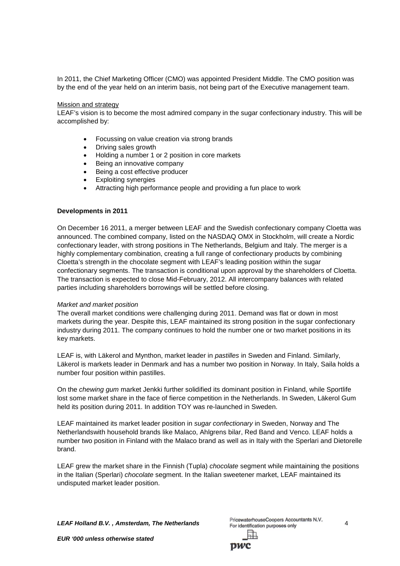In 2011, the Chief Marketing Officer (CMO) was appointed President Middle. The CMO position was by the end of the year held on an interim basis, not being part of the Executive management team.

#### Mission and strategy

LEAF's vision is to become the most admired company in the sugar confectionary industry. This will be accomplished by:

- Focussing on value creation via strong brands
- Driving sales growth
- Holding a number 1 or 2 position in core markets
- Being an innovative company
- Being a cost effective producer
- Exploiting synergies
- Attracting high performance people and providing a fun place to work

#### **Developments in 2011**

On December 16 2011, a merger between LEAF and the Swedish confectionary company Cloetta was announced. The combined company, listed on the NASDAQ OMX in Stockholm, will create a Nordic confectionary leader, with strong positions in The Netherlands, Belgium and Italy. The merger is a highly complementary combination, creating a full range of confectionary products by combining Cloetta's strength in the chocolate segment with LEAF's leading position within the sugar confectionary segments. The transaction is conditional upon approval by the shareholders of Cloetta. The transaction is expected to close Mid-February, 2012. All intercompany balances with related parties including shareholders borrowings will be settled before closing.

#### *Market and market position*

The overall market conditions were challenging during 2011. Demand was flat or down in most markets during the year. Despite this, LEAF maintained its strong position in the sugar confectionary industry during 2011. The company continues to hold the number one or two market positions in its key markets.

LEAF is, with Läkerol and Mynthon, market leader in *pastilles* in Sweden and Finland. Similarly, Läkerol is markets leader in Denmark and has a number two position in Norway. In Italy, Saila holds a number four position within pastilles.

On the *chewing gum* market Jenkki further solidified its dominant position in Finland, while Sportlife lost some market share in the face of fierce competition in the Netherlands. In Sweden, Läkerol Gum held its position during 2011. In addition TOY was re-launched in Sweden.

LEAF maintained its market leader position in *sugar confectionary* in Sweden, Norway and The Netherlandswith household brands like Malaco, Ahlgrens bilar, Red Band and Venco. LEAF holds a number two position in Finland with the Malaco brand as well as in Italy with the Sperlari and Dietorelle brand.

LEAF grew the market share in the Finnish (Tupla) *chocolate* segment while maintaining the positions in the Italian (Sperlari) *chocolate* segment. In the Italian sweetener market, LEAF maintained its undisputed market leader position.

**LEAF Holland B.V., Amsterdam, The Netherlands** PricewaterhouseCoopers Accountants N.V.<br><sup>4</sup> For identification purposes only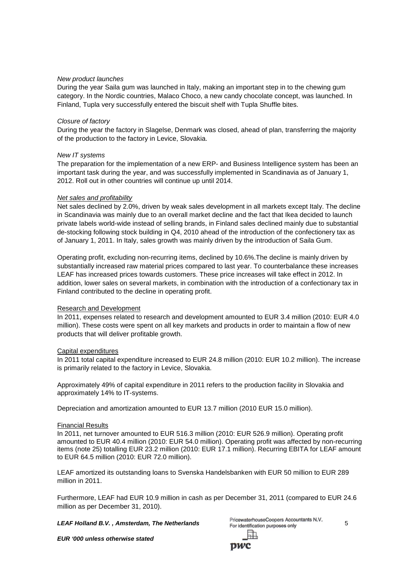#### *New product launches*

During the year Saila gum was launched in Italy, making an important step in to the chewing gum category. In the Nordic countries, Malaco Choco, a new candy chocolate concept, was launched. In Finland, Tupla very successfully entered the biscuit shelf with Tupla Shuffle bites.

#### *Closure of factory*

During the year the factory in Slagelse, Denmark was closed, ahead of plan, transferring the majority of the production to the factory in Levice, Slovakia.

#### *New IT systems*

The preparation for the implementation of a new ERP- and Business Intelligence system has been an important task during the year, and was successfully implemented in Scandinavia as of January 1, 2012. Roll out in other countries will continue up until 2014.

#### *Net sales and profitability*

Net sales declined by 2.0%, driven by weak sales development in all markets except Italy. The decline in Scandinavia was mainly due to an overall market decline and the fact that Ikea decided to launch private labels world-wide instead of selling brands, in Finland sales declined mainly due to substantial de-stocking following stock building in Q4, 2010 ahead of the introduction of the confectionery tax as of January 1, 2011. In Italy, sales growth was mainly driven by the introduction of Saila Gum.

Operating profit, excluding non-recurring items, declined by 10.6%.The decline is mainly driven by substantially increased raw material prices compared to last year. To counterbalance these increases LEAF has increased prices towards customers. These price increases will take effect in 2012. In addition, lower sales on several markets, in combination with the introduction of a confectionary tax in Finland contributed to the decline in operating profit.

#### Research and Development

In 2011, expenses related to research and development amounted to EUR 3.4 million (2010: EUR 4.0 million). These costs were spent on all key markets and products in order to maintain a flow of new products that will deliver profitable growth.

#### Capital expenditures

In 2011 total capital expenditure increased to EUR 24.8 million (2010: EUR 10.2 million). The increase is primarily related to the factory in Levice, Slovakia.

Approximately 49% of capital expenditure in 2011 refers to the production facility in Slovakia and approximately 14% to IT-systems.

Depreciation and amortization amounted to EUR 13.7 million (2010 EUR 15.0 million).

#### Financial Results

In 2011, net turnover amounted to EUR 516.3 million (2010: EUR 526.9 million). Operating profit amounted to EUR 40.4 million (2010: EUR 54.0 million). Operating profit was affected by non-recurring items (note 25) totalling EUR 23.2 million (2010: EUR 17.1 million). Recurring EBITA for LEAF amount to EUR 64.5 million (2010: EUR 72.0 million).

LEAF amortized its outstanding loans to Svenska Handelsbanken with EUR 50 million to EUR 289 million in 2011.

Furthermore, LEAF had EUR 10.9 million in cash as per December 31, 2011 (compared to EUR 24.6 million as per December 31, 2010).

*LEAF Holland B.V. , Amsterdam, The Netherlands* 5

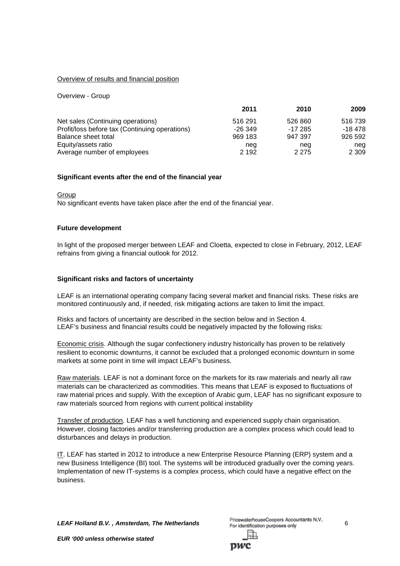#### Overview of results and financial position

Overview - Group

|                                                | 2011      | 2010    | 2009     |
|------------------------------------------------|-----------|---------|----------|
| Net sales (Continuing operations)              | 516 291   | 526 860 | 516 739  |
| Profit/loss before tax (Continuing operations) | $-26.349$ | -17 285 | $-18478$ |
| Balance sheet total                            | 969 183   | 947 397 | 926 592  |
| Equity/assets ratio                            | neg       | nea     | neg      |
| Average number of employees                    | 2 1 9 2   | 2 2 7 5 | 2 3 0 9  |

#### **Significant events after the end of the financial year**

Group

No significant events have taken place after the end of the financial year.

#### **Future development**

In light of the proposed merger between LEAF and Cloetta, expected to close in February, 2012, LEAF refrains from giving a financial outlook for 2012.

#### **Significant risks and factors of uncertainty**

LEAF is an international operating company facing several market and financial risks. These risks are monitored continuously and, if needed, risk mitigating actions are taken to limit the impact.

Risks and factors of uncertainty are described in the section below and in Section 4. LEAF's business and financial results could be negatively impacted by the following risks:

Economic crisis. Although the sugar confectionery industry historically has proven to be relatively resilient to economic downturns, it cannot be excluded that a prolonged economic downturn in some markets at some point in time will impact LEAF's business.

Raw materials. LEAF is not a dominant force on the markets for its raw materials and nearly all raw materials can be characterized as commodities. This means that LEAF is exposed to fluctuations of raw material prices and supply. With the exception of Arabic gum, LEAF has no significant exposure to raw materials sourced from regions with current political instability

Transfer of production. LEAF has a well functioning and experienced supply chain organisation. However, closing factories and/or transferring production are a complex process which could lead to disturbances and delays in production.

IT. LEAF has started in 2012 to introduce a new Enterprise Resource Planning (ERP) system and a new Business Intelligence (BI) tool. The systems will be introduced gradually over the coming years. Implementation of new IT-systems is a complex process, which could have a negative effect on the business.

*LEAF Holland B.V.*, *Amsterdam, The Netherlands* PricewaterhouseCoopers Accountants N.V. 6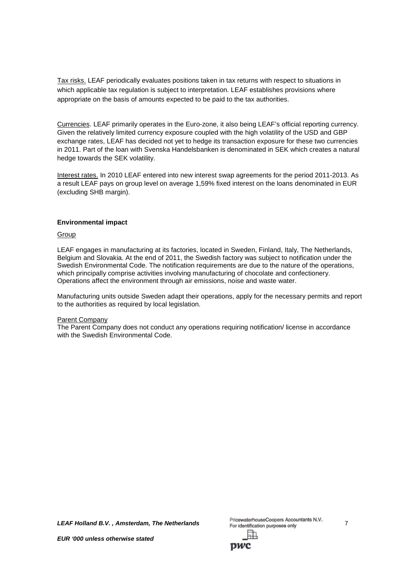Tax risks. LEAF periodically evaluates positions taken in tax returns with respect to situations in which applicable tax regulation is subject to interpretation. LEAF establishes provisions where appropriate on the basis of amounts expected to be paid to the tax authorities.

Currencies. LEAF primarily operates in the Euro-zone, it also being LEAF's official reporting currency. Given the relatively limited currency exposure coupled with the high volatility of the USD and GBP exchange rates, LEAF has decided not yet to hedge its transaction exposure for these two currencies in 2011. Part of the loan with Svenska Handelsbanken is denominated in SEK which creates a natural hedge towards the SEK volatility.

Interest rates. In 2010 LEAF entered into new interest swap agreements for the period 2011-2013. As a result LEAF pays on group level on average 1,59% fixed interest on the loans denominated in EUR (excluding SHB margin).

#### **Environmental impact**

#### Group

LEAF engages in manufacturing at its factories, located in Sweden, Finland, Italy, The Netherlands, Belgium and Slovakia. At the end of 2011, the Swedish factory was subject to notification under the Swedish Environmental Code. The notification requirements are due to the nature of the operations, which principally comprise activities involving manufacturing of chocolate and confectionery. Operations affect the environment through air emissions, noise and waste water.

Manufacturing units outside Sweden adapt their operations, apply for the necessary permits and report to the authorities as required by local legislation.

#### Parent Company

The Parent Company does not conduct any operations requiring notification/ license in accordance with the Swedish Environmental Code.

*LEAF Holland B.V. , Amsterdam, The Netherlands* 7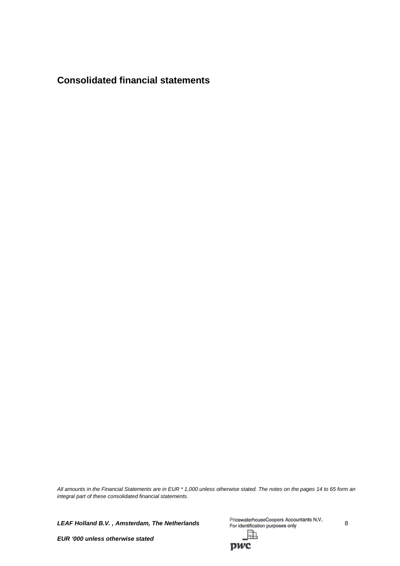**Consolidated financial statements**

*All amounts in the Financial Statements are in EUR \* 1,000 unless otherwise stated. The notes on the pages 14 to 65 form an integral part of these consolidated financial statements.*

*LEAF Holland B.V., Amsterdam, The Netherlands* PricewaterhouseCoopers Accountants N.V. 8 駎

*EUR '000 unless otherwise stated*

pwc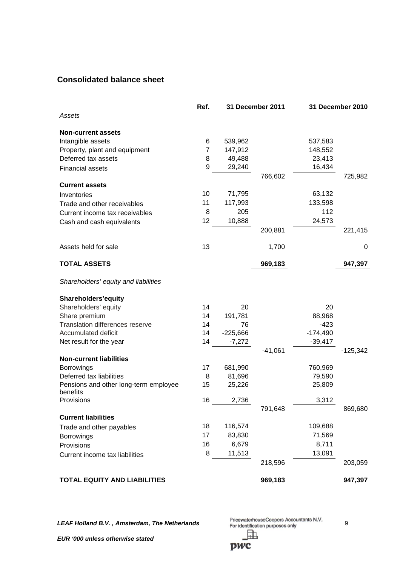## **Consolidated balance sheet**

|                                        | Ref. |            | 31 December 2011 |            | 31 December 2010 |
|----------------------------------------|------|------------|------------------|------------|------------------|
| Assets                                 |      |            |                  |            |                  |
| <b>Non-current assets</b>              |      |            |                  |            |                  |
| Intangible assets                      | 6    | 539,962    |                  | 537,583    |                  |
| Property, plant and equipment          | 7    | 147,912    |                  | 148,552    |                  |
| Deferred tax assets                    | 8    | 49,488     |                  | 23,413     |                  |
| <b>Financial assets</b>                | 9    | 29,240     |                  | 16,434     |                  |
|                                        |      |            | 766,602          |            | 725,982          |
| <b>Current assets</b>                  |      |            |                  |            |                  |
| Inventories                            | 10   | 71,795     |                  | 63,132     |                  |
| Trade and other receivables            | 11   | 117,993    |                  | 133,598    |                  |
| Current income tax receivables         | 8    | 205        |                  | 112        |                  |
| Cash and cash equivalents              | 12   | 10,888     |                  | 24,573     |                  |
|                                        |      |            | 200,881          |            | 221,415          |
| Assets held for sale                   | 13   |            | 1,700            |            | 0                |
| <b>TOTAL ASSETS</b>                    |      |            | 969,183          |            | 947,397          |
| Shareholders' equity and liabilities   |      |            |                  |            |                  |
| Shareholders'equity                    |      |            |                  |            |                  |
| Shareholders' equity                   | 14   | 20         |                  | 20         |                  |
| Share premium                          | 14   | 191,781    |                  | 88,968     |                  |
| <b>Translation differences reserve</b> | 14   | 76         |                  | $-423$     |                  |
| Accumulated deficit                    | 14   | $-225,666$ |                  | $-174,490$ |                  |
| Net result for the year                | 14   | $-7,272$   |                  | $-39,417$  |                  |
|                                        |      |            | $-41,061$        |            | $-125,342$       |
| <b>Non-current liabilities</b>         |      |            |                  |            |                  |
| <b>Borrowings</b>                      | 17   | 681,990    |                  | 760,969    |                  |
| Deferred tax liabilities               | 8    | 81,696     |                  | 79,590     |                  |
| Pensions and other long-term employee  | 15   | 25,226     |                  | 25,809     |                  |
| benefits<br>Provisions                 | 16   | 2,736      |                  | 3,312      |                  |
|                                        |      |            | 791,648          |            | 869,680          |
| <b>Current liabilities</b>             |      |            |                  |            |                  |
| Trade and other payables               | 18   | 116,574    |                  | 109,688    |                  |
| <b>Borrowings</b>                      | 17   | 83,830     |                  | 71,569     |                  |
| Provisions                             | 16   | 6,679      |                  | 8,711      |                  |
| Current income tax liabilities         | 8    | 11,513     |                  | 13,091     |                  |
|                                        |      |            | 218,596          |            | 203,059          |
| <b>TOTAL EQUITY AND LIABILITIES</b>    |      |            | 969,183          |            | 947,397          |

*LEAF Holland B.V., Amsterdam, The Netherlands* PricewaterhouseCoopers Accountants N.V. 9 駎

*EUR '000 unless otherwise stated*

pwc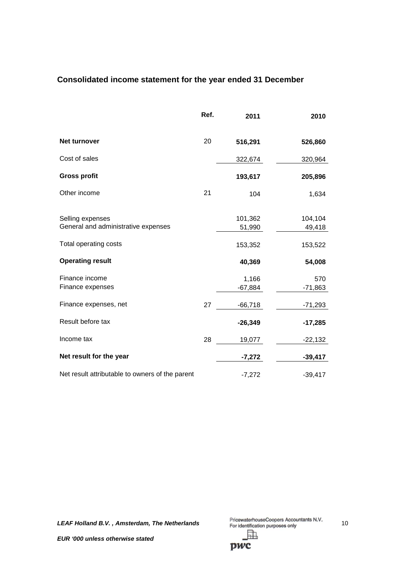## **Consolidated income statement for the year ended 31 December**

|                                                         | Ref. | 2011               | 2010              |
|---------------------------------------------------------|------|--------------------|-------------------|
| <b>Net turnover</b>                                     | 20   | 516,291            | 526,860           |
| Cost of sales                                           |      | 322,674            | 320,964           |
| <b>Gross profit</b>                                     |      | 193,617            | 205,896           |
| Other income                                            | 21   | 104                | 1,634             |
| Selling expenses<br>General and administrative expenses |      | 101,362<br>51,990  | 104,104<br>49,418 |
| Total operating costs                                   |      | 153,352            | 153,522           |
| <b>Operating result</b>                                 |      | 40,369             | 54,008            |
| Finance income<br>Finance expenses                      |      | 1,166<br>$-67,884$ | 570<br>$-71,863$  |
| Finance expenses, net                                   | 27   | $-66,718$          | $-71,293$         |
| Result before tax                                       |      | $-26,349$          | $-17,285$         |
| Income tax                                              | 28   | 19,077             | $-22,132$         |
| Net result for the year                                 |      | $-7,272$           | $-39,417$         |
| Net result attributable to owners of the parent         |      | $-7,272$           | $-39,417$         |

*LEAF Holland B.V., Amsterdam, The Netherlands* PricewaterhouseCoopers Accountants N.V. 10<br><sup>PricewaterhouseCoopers Accountants N.V.</sup> 駎

pwc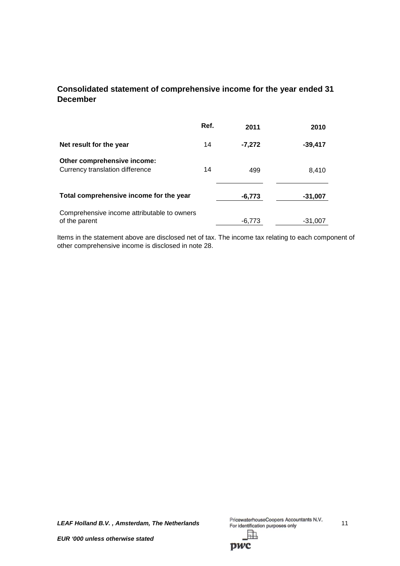## **Consolidated statement of comprehensive income for the year ended 31 December**

|                                                                | Ref. | 2011     | 2010      |
|----------------------------------------------------------------|------|----------|-----------|
| Net result for the year                                        | 14   | $-7,272$ | $-39,417$ |
| Other comprehensive income:<br>Currency translation difference | 14   | 499      | 8,410     |
| Total comprehensive income for the year                        |      | $-6,773$ | $-31,007$ |
| Comprehensive income attributable to owners<br>of the parent   |      | -6.773   | -31.007   |

Items in the statement above are disclosed net of tax. The income tax relating to each component of other comprehensive income is disclosed in note 28.

*LEAF Holland B.V., Amsterdam, The Netherlands* PricewaterhouseCoopers Accountants N.V.<br>
For identification purposes only 訕

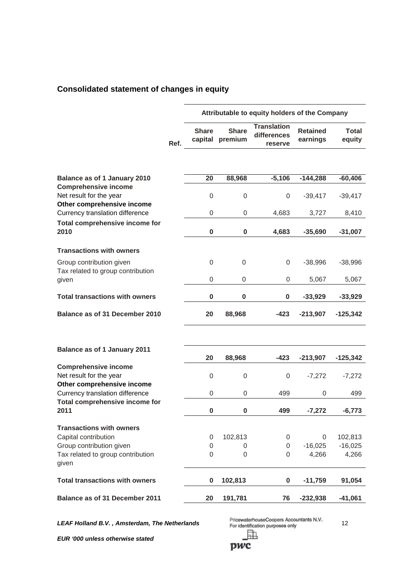## **Consolidated statement of changes in equity**

|                                                                                      |      | Attributable to equity holders of the Company |                         |                                              |                             |                        |
|--------------------------------------------------------------------------------------|------|-----------------------------------------------|-------------------------|----------------------------------------------|-----------------------------|------------------------|
|                                                                                      | Ref. | <b>Share</b><br>capital                       | <b>Share</b><br>premium | <b>Translation</b><br>differences<br>reserve | <b>Retained</b><br>earnings | <b>Total</b><br>equity |
|                                                                                      |      |                                               |                         |                                              |                             |                        |
| <b>Balance as of 1 January 2010</b>                                                  |      | 20                                            | 88,968                  | $-5,106$                                     | $-144,288$                  | $-60,406$              |
| <b>Comprehensive income</b><br>Net result for the year<br>Other comprehensive income |      | $\boldsymbol{0}$                              | $\boldsymbol{0}$        | 0                                            | $-39,417$                   | $-39,417$              |
| Currency translation difference                                                      |      | 0                                             | 0                       | 4,683                                        | 3,727                       | 8,410                  |
| <b>Total comprehensive income for</b><br>2010                                        |      | $\bf{0}$                                      | $\pmb{0}$               | 4,683                                        | $-35,690$                   | $-31,007$              |
| <b>Transactions with owners</b>                                                      |      |                                               |                         |                                              |                             |                        |
| Group contribution given<br>Tax related to group contribution                        |      | 0                                             | $\boldsymbol{0}$        | 0                                            | $-38,996$                   | $-38,996$              |
| given                                                                                |      | 0                                             | 0                       | 0                                            | 5,067                       | 5,067                  |
| <b>Total transactions with owners</b>                                                |      | $\bf{0}$                                      | $\pmb{0}$               | 0                                            | $-33,929$                   | $-33,929$              |
| Balance as of 31 December 2010                                                       |      | 20                                            | 88,968                  | $-423$                                       | $-213,907$                  | $-125,342$             |
|                                                                                      |      |                                               |                         |                                              |                             |                        |
| Balance as of 1 January 2011                                                         |      | 20                                            | 88,968                  | $-423$                                       | $-213,907$                  | $-125,342$             |
| <b>Comprehensive income</b><br>Net result for the year<br>Other comprehensive income |      | 0                                             | 0                       | 0                                            | $-7,272$                    | $-7,272$               |
| Currency translation difference                                                      |      | 0                                             | 0                       | 499                                          | 0                           | 499                    |
| <b>Total comprehensive income for</b><br>2011                                        |      | 0                                             | $\bf{0}$                | 499                                          | $-7,272$                    | $-6,773$               |
| <b>Transactions with owners</b>                                                      |      |                                               |                         |                                              |                             |                        |
| Capital contribution                                                                 |      | 0                                             | 102,813                 | 0                                            | 0                           | 102,813                |
| Group contribution given<br>Tax related to group contribution<br>given               |      | 0<br>0                                        | 0<br>0                  | 0<br>0                                       | $-16,025$<br>4,266          | $-16,025$<br>4,266     |
| <b>Total transactions with owners</b>                                                |      | $\bf{0}$                                      | 102,813                 | $\boldsymbol{0}$                             | $-11,759$                   | 91,054                 |
| <b>Balance as of 31 December 2011</b>                                                |      | 20                                            | 191,781                 | 76                                           | $-232,938$                  | $-41,061$              |

*LEAF Holland B.V., Amsterdam, The Netherlands* PricewaterhouseCoopers Accountants N.V. 12

*EUR '000 unless otherwise stated*

pwc

駎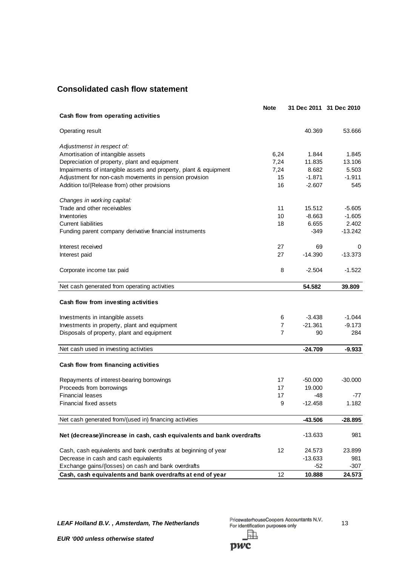## **Consolidated cash flow statement**

|                                                                       | <b>Note</b>      |           | 31 Dec 2011 31 Dec 2010 |
|-----------------------------------------------------------------------|------------------|-----------|-------------------------|
| Cash flow from operating activities                                   |                  |           |                         |
| Operating result                                                      |                  | 40.369    | 53.666                  |
|                                                                       |                  |           |                         |
| Adjustmenst in respect of:                                            |                  |           |                         |
| Amortisation of intangible assets                                     | 6,24             | 1.844     | 1.845                   |
| Depreciation of property, plant and equipment                         | 7,24             | 11.835    | 13.106                  |
| Impairments of intangible assets and property, plant & equipment      | 7,24             | 8.682     | 5.503                   |
| Adjustment for non-cash movements in pension provision                | 15               | $-1.871$  | $-1.911$                |
| Addition to/(Release from) other provisions                           | 16               | $-2.607$  | 545                     |
| Changes in working capital:                                           |                  |           |                         |
| Trade and other receivables                                           | 11               | 15.512    | $-5.605$                |
| Inventories                                                           | 10 <sup>10</sup> | $-8.663$  | $-1.605$                |
| <b>Current liabilities</b>                                            | 18               | 6.655     | 2.402                   |
| Funding parent company derivative financial instruments               |                  | -349      | $-13.242$               |
| Interest received                                                     | 27               | 69        | 0                       |
| Interest paid                                                         | 27               | $-14.390$ | $-13.373$               |
| Corporate income tax paid                                             | 8                | $-2.504$  | $-1.522$                |
| Net cash generated from operating activities                          |                  | 54.582    | 39.809                  |
| Cash flow from investing activities                                   |                  |           |                         |
|                                                                       |                  |           |                         |
| Investments in intangible assets                                      | 6                | $-3.438$  | $-1.044$                |
| Investments in property, plant and equipment                          | 7                | $-21.361$ | $-9.173$                |
| Disposals of property, plant and equipment                            | 7                | 90        | 284                     |
| Net cash used in investing activities                                 |                  | $-24.709$ | $-9.933$                |
| Cash flow from financing activities                                   |                  |           |                         |
|                                                                       |                  |           |                         |
| Repayments of interest-bearing borrowings                             | 17               | $-50.000$ | $-30.000$               |
| Proceeds from borrowings                                              | 17               | 19.000    |                         |
| <b>Financial leases</b>                                               | 17               | -48       | $-77$                   |
| Financial fixed assets                                                | 9                | $-12.458$ | 1.182                   |
| Net cash generated from/(used in) financing activities                |                  | $-43.506$ | $-28.895$               |
| Net (decrease)/increase in cash, cash equivalents and bank overdrafts |                  | $-13.633$ | 981                     |
|                                                                       |                  |           |                         |
| Cash, cash equivalents and bank overdrafts at beginning of year       | 12               | 24.573    | 23.899                  |
| Decrease in cash and cash equivalents                                 |                  | $-13.633$ | 981                     |
| Exchange gains/(losses) on cash and bank overdrafts                   |                  | -52       | $-307$                  |
| Cash, cash equivalents and bank overdrafts at end of year             | 12               | 10.888    | 24.573                  |

*LEAF Holland B.V., Amsterdam, The Netherlands* PricewaterhouseCoopers Accountants N.V. 13 駎

pwc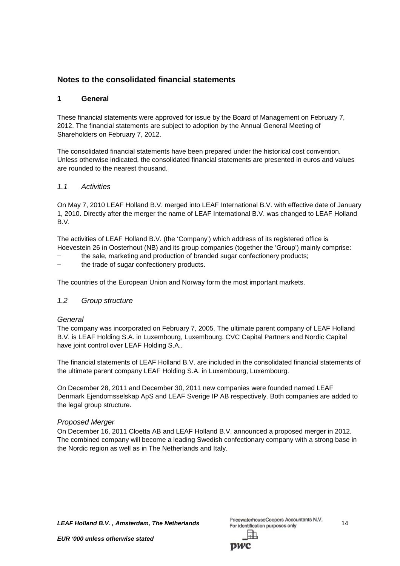## **Notes to the consolidated financial statements**

## **1 General**

These financial statements were approved for issue by the Board of Management on February 7, 2012. The financial statements are subject to adoption by the Annual General Meeting of Shareholders on February 7, 2012.

The consolidated financial statements have been prepared under the historical cost convention. Unless otherwise indicated, the consolidated financial statements are presented in euros and values are rounded to the nearest thousand.

## *1.1 Activities*

On May 7, 2010 LEAF Holland B.V. merged into LEAF International B.V. with effective date of January 1, 2010. Directly after the merger the name of LEAF International B.V. was changed to LEAF Holland B.V.

The activities of LEAF Holland B.V. (the 'Company') which address of its registered office is Hoevestein 26 in Oosterhout (NB) and its group companies (together the 'Group') mainly comprise:

- the sale, marketing and production of branded sugar confectionery products;
- the trade of sugar confectionery products.

The countries of the European Union and Norway form the most important markets.

## *1.2 Group structure*

## *General*

The company was incorporated on February 7, 2005. The ultimate parent company of LEAF Holland B.V. is LEAF Holding S.A. in Luxembourg, Luxembourg. CVC Capital Partners and Nordic Capital have joint control over LEAF Holding S.A..

The financial statements of LEAF Holland B.V. are included in the consolidated financial statements of the ultimate parent company LEAF Holding S.A. in Luxembourg, Luxembourg.

On December 28, 2011 and December 30, 2011 new companies were founded named LEAF Denmark Ejendomsselskap ApS and LEAF Sverige IP AB respectively. Both companies are added to the legal group structure.

## *Proposed Merger*

On December 16, 2011 Cloetta AB and LEAF Holland B.V. announced a proposed merger in 2012. The combined company will become a leading Swedish confectionary company with a strong base in the Nordic region as well as in The Netherlands and Italy.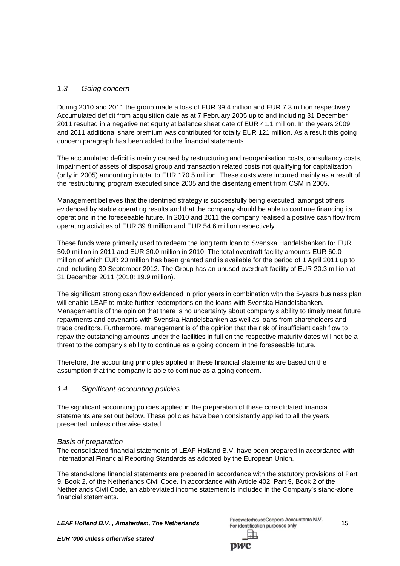## *1.3 Going concern*

During 2010 and 2011 the group made a loss of EUR 39.4 million and EUR 7.3 million respectively. Accumulated deficit from acquisition date as at 7 February 2005 up to and including 31 December 2011 resulted in a negative net equity at balance sheet date of EUR 41.1 million. In the years 2009 and 2011 additional share premium was contributed for totally EUR 121 million. As a result this going concern paragraph has been added to the financial statements.

The accumulated deficit is mainly caused by restructuring and reorganisation costs, consultancy costs, impairment of assets of disposal group and transaction related costs not qualifying for capitalization (only in 2005) amounting in total to EUR 170.5 million. These costs were incurred mainly as a result of the restructuring program executed since 2005 and the disentanglement from CSM in 2005.

Management believes that the identified strategy is successfully being executed, amongst others evidenced by stable operating results and that the company should be able to continue financing its operations in the foreseeable future. In 2010 and 2011 the company realised a positive cash flow from operating activities of EUR 39.8 million and EUR 54.6 million respectively.

These funds were primarily used to redeem the long term loan to Svenska Handelsbanken for EUR 50.0 million in 2011 and EUR 30.0 million in 2010. The total overdraft facility amounts EUR 60.0 million of which EUR 20 million has been granted and is available for the period of 1 April 2011 up to and including 30 September 2012. The Group has an unused overdraft facility of EUR 20.3 million at 31 December 2011 (2010: 19.9 million).

The significant strong cash flow evidenced in prior years in combination with the 5-years business plan will enable LEAF to make further redemptions on the loans with Svenska Handelsbanken. Management is of the opinion that there is no uncertainty about company's ability to timely meet future repayments and covenants with Svenska Handelsbanken as well as loans from shareholders and trade creditors. Furthermore, management is of the opinion that the risk of insufficient cash flow to repay the outstanding amounts under the facilities in full on the respective maturity dates will not be a threat to the company's ability to continue as a going concern in the foreseeable future.

Therefore, the accounting principles applied in these financial statements are based on the assumption that the company is able to continue as a going concern.

## *1.4 Significant accounting policies*

The significant accounting policies applied in the preparation of these consolidated financial statements are set out below. These policies have been consistently applied to all the years presented, unless otherwise stated.

#### *Basis of preparation*

The consolidated financial statements of LEAF Holland B.V. have been prepared in accordance with International Financial Reporting Standards as adopted by the European Union.

The stand-alone financial statements are prepared in accordance with the statutory provisions of Part 9, Book 2, of the Netherlands Civil Code. In accordance with Article 402, Part 9, Book 2 of the Netherlands Civil Code, an abbreviated income statement is included in the Company's stand-alone financial statements.

**LEAF Holland B.V., Amsterdam, The Netherlands**<br><sup>15</sup> For identification purposes only

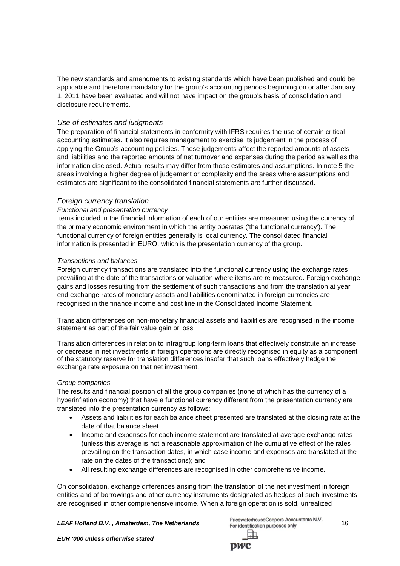The new standards and amendments to existing standards which have been published and could be applicable and therefore mandatory for the group's accounting periods beginning on or after January 1, 2011 have been evaluated and will not have impact on the group's basis of consolidation and disclosure requirements.

## *Use of estimates and judgments*

The preparation of financial statements in conformity with IFRS requires the use of certain critical accounting estimates. It also requires management to exercise its judgement in the process of applying the Group's accounting policies. These judgements affect the reported amounts of assets and liabilities and the reported amounts of net turnover and expenses during the period as well as the information disclosed. Actual results may differ from those estimates and assumptions. In note 5 the areas involving a higher degree of judgement or complexity and the areas where assumptions and estimates are significant to the consolidated financial statements are further discussed.

## *Foreign currency translation*

## *Functional and presentation currency*

Items included in the financial information of each of our entities are measured using the currency of the primary economic environment in which the entity operates ('the functional currency'). The functional currency of foreign entities generally is local currency. The consolidated financial information is presented in EURO, which is the presentation currency of the group.

## *Transactions and balances*

Foreign currency transactions are translated into the functional currency using the exchange rates prevailing at the date of the transactions or valuation where items are re-measured. Foreign exchange gains and losses resulting from the settlement of such transactions and from the translation at year end exchange rates of monetary assets and liabilities denominated in foreign currencies are recognised in the finance income and cost line in the Consolidated Income Statement.

Translation differences on non-monetary financial assets and liabilities are recognised in the income statement as part of the fair value gain or loss.

Translation differences in relation to intragroup long-term loans that effectively constitute an increase or decrease in net investments in foreign operations are directly recognised in equity as a component of the statutory reserve for translation differences insofar that such loans effectively hedge the exchange rate exposure on that net investment.

## *Group companies*

The results and financial position of all the group companies (none of which has the currency of a hyperinflation economy) that have a functional currency different from the presentation currency are translated into the presentation currency as follows:

- Assets and liabilities for each balance sheet presented are translated at the closing rate at the date of that balance sheet
- Income and expenses for each income statement are translated at average exchange rates (unless this average is not a reasonable approximation of the cumulative effect of the rates prevailing on the transaction dates, in which case income and expenses are translated at the rate on the dates of the transactions); and
- All resulting exchange differences are recognised in other comprehensive income.

On consolidation, exchange differences arising from the translation of the net investment in foreign entities and of borrowings and other currency instruments designated as hedges of such investments, are recognised in other comprehensive income. When a foreign operation is sold, unrealized

**LEAF Holland B.V., Amsterdam, The Netherlands**<br><sup>16</sup> For identification purposes only

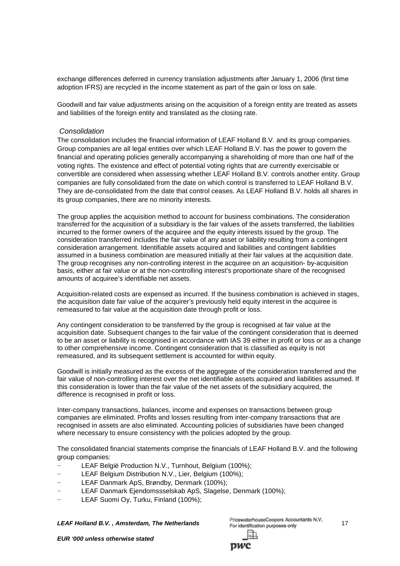exchange differences deferred in currency translation adjustments after January 1, 2006 (first time adoption IFRS) are recycled in the income statement as part of the gain or loss on sale.

Goodwill and fair value adjustments arising on the acquisition of a foreign entity are treated as assets and liabilities of the foreign entity and translated as the closing rate.

#### *Consolidation*

The consolidation includes the financial information of LEAF Holland B.V. and its group companies. Group companies are all legal entities over which LEAF Holland B.V. has the power to govern the financial and operating policies generally accompanying a shareholding of more than one half of the voting rights. The existence and effect of potential voting rights that are currently exercisable or convertible are considered when assessing whether LEAF Holland B.V. controls another entity. Group companies are fully consolidated from the date on which control is transferred to LEAF Holland B.V. They are de-consolidated from the date that control ceases. As LEAF Holland B.V. holds all shares in its group companies, there are no minority interests.

The group applies the acquisition method to account for business combinations. The consideration transferred for the acquisition of a subsidiary is the fair values of the assets transferred, the liabilities incurred to the former owners of the acquiree and the equity interests issued by the group. The consideration transferred includes the fair value of any asset or liability resulting from a contingent consideration arrangement. Identifiable assets acquired and liabilities and contingent liabilities assumed in a business combination are measured initially at their fair values at the acquisition date. The group recognises any non-controlling interest in the acquiree on an acquisition- by-acquisition basis, either at fair value or at the non-controlling interest's proportionate share of the recognised amounts of acquiree's identifiable net assets.

Acquisition-related costs are expensed as incurred. If the business combination is achieved in stages, the acquisition date fair value of the acquirer's previously held equity interest in the acquiree is remeasured to fair value at the acquisition date through profit or loss.

Any contingent consideration to be transferred by the group is recognised at fair value at the acquisition date. Subsequent changes to the fair value of the contingent consideration that is deemed to be an asset or liability is recognised in accordance with IAS 39 either in profit or loss or as a change to other comprehensive income. Contingent consideration that is classified as equity is not remeasured, and its subsequent settlement is accounted for within equity.

Goodwill is initially measured as the excess of the aggregate of the consideration transferred and the fair value of non-controlling interest over the net identifiable assets acquired and liabilities assumed. If this consideration is lower than the fair value of the net assets of the subsidiary acquired, the difference is recognised in profit or loss.

Inter-company transactions, balances, income and expenses on transactions between group companies are eliminated. Profits and losses resulting from inter-company transactions that are recognised in assets are also eliminated. Accounting policies of subsidiaries have been changed where necessary to ensure consistency with the policies adopted by the group.

The consolidated financial statements comprise the financials of LEAF Holland B.V. and the following group companies:

- LEAF België Production N.V., Turnhout, Belgium (100%);
- LEAF Belgium Distribution N.V., Lier, Belgium (100%);
- − LEAF Danmark ApS, Brøndby, Denmark (100%);
- − LEAF Danmark Ejendomssselskab ApS, Slagelse, Denmark (100%);
- LEAF Suomi Oy, Turku, Finland (100%);

**LEAF Holland B.V., Amsterdam, The Netherlands** PricewaterhouseCoopers Accountants N.V. 17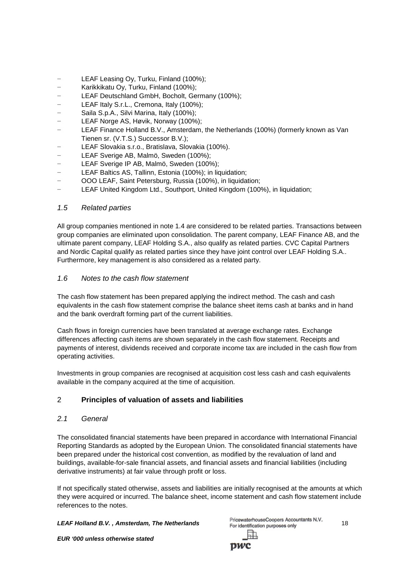- LEAF Leasing Oy, Turku, Finland (100%);
- − Karikkikatu Oy, Turku, Finland (100%);
- LEAF Deutschland GmbH, Bocholt, Germany (100%);
- − LEAF Italy S.r.L., Cremona, Italy (100%);
- − Saila S.p.A., Silvi Marina, Italy (100%);
- − LEAF Norge AS, Høvik, Norway (100%);
- − LEAF Finance Holland B.V., Amsterdam, the Netherlands (100%) (formerly known as Van Tienen sr. (V.T.S.) Successor B.V.);
- − LEAF Slovakia s.r.o., Bratislava, Slovakia (100%).
- LEAF Sverige AB, Malmö, Sweden (100%);
- − LEAF Sverige IP AB, Malmö, Sweden (100%);
- − LEAF Baltics AS, Tallinn, Estonia (100%); in liquidation;
- − OOO LEAF, Saint Petersburg, Russia (100%), in liquidation;
- LEAF United Kingdom Ltd., Southport, United Kingdom (100%), in liquidation;

## *1.5 Related parties*

All group companies mentioned in note 1.4 are considered to be related parties. Transactions between group companies are eliminated upon consolidation. The parent company, LEAF Finance AB, and the ultimate parent company, LEAF Holding S.A., also qualify as related parties. CVC Capital Partners and Nordic Capital qualify as related parties since they have joint control over LEAF Holding S.A.. Furthermore, key management is also considered as a related party.

## *1.6 Notes to the cash flow statement*

The cash flow statement has been prepared applying the indirect method. The cash and cash equivalents in the cash flow statement comprise the balance sheet items cash at banks and in hand and the bank overdraft forming part of the current liabilities.

Cash flows in foreign currencies have been translated at average exchange rates. Exchange differences affecting cash items are shown separately in the cash flow statement. Receipts and payments of interest, dividends received and corporate income tax are included in the cash flow from operating activities.

Investments in group companies are recognised at acquisition cost less cash and cash equivalents available in the company acquired at the time of acquisition.

## 2 **Principles of valuation of assets and liabilities**

## *2.1 General*

The consolidated financial statements have been prepared in accordance with International Financial Reporting Standards as adopted by the European Union. The consolidated financial statements have been prepared under the historical cost convention, as modified by the revaluation of land and buildings, available-for-sale financial assets, and financial assets and financial liabilities (including derivative instruments) at fair value through profit or loss.

If not specifically stated otherwise, assets and liabilities are initially recognised at the amounts at which they were acquired or incurred. The balance sheet, income statement and cash flow statement include references to the notes.

**LEAF Holland B.V., Amsterdam, The Netherlands**<br><sup>218</sup> For identification purposes only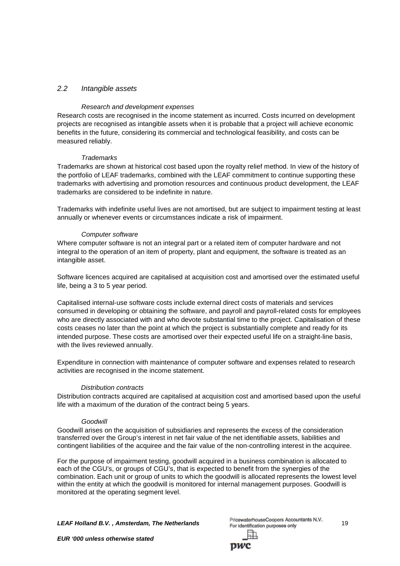## *2.2 Intangible assets*

#### *Research and development expenses*

Research costs are recognised in the income statement as incurred. Costs incurred on development projects are recognised as intangible assets when it is probable that a project will achieve economic benefits in the future, considering its commercial and technological feasibility, and costs can be measured reliably.

#### *Trademarks*

Trademarks are shown at historical cost based upon the royalty relief method. In view of the history of the portfolio of LEAF trademarks, combined with the LEAF commitment to continue supporting these trademarks with advertising and promotion resources and continuous product development, the LEAF trademarks are considered to be indefinite in nature.

Trademarks with indefinite useful lives are not amortised, but are subject to impairment testing at least annually or whenever events or circumstances indicate a risk of impairment.

#### *Computer software*

Where computer software is not an integral part or a related item of computer hardware and not integral to the operation of an item of property, plant and equipment, the software is treated as an intangible asset.

Software licences acquired are capitalised at acquisition cost and amortised over the estimated useful life, being a 3 to 5 year period.

Capitalised internal-use software costs include external direct costs of materials and services consumed in developing or obtaining the software, and payroll and payroll-related costs for employees who are directly associated with and who devote substantial time to the project. Capitalisation of these costs ceases no later than the point at which the project is substantially complete and ready for its intended purpose. These costs are amortised over their expected useful life on a straight-line basis, with the lives reviewed annually.

Expenditure in connection with maintenance of computer software and expenses related to research activities are recognised in the income statement.

#### *Distribution contracts*

Distribution contracts acquired are capitalised at acquisition cost and amortised based upon the useful life with a maximum of the duration of the contract being 5 years.

#### *Goodwill*

Goodwill arises on the acquisition of subsidiaries and represents the excess of the consideration transferred over the Group's interest in net fair value of the net identifiable assets, liabilities and contingent liabilities of the acquiree and the fair value of the non-controlling interest in the acquiree.

For the purpose of impairment testing, goodwill acquired in a business combination is allocated to each of the CGU's, or groups of CGU's, that is expected to benefit from the synergies of the combination. Each unit or group of units to which the goodwill is allocated represents the lowest level within the entity at which the goodwill is monitored for internal management purposes. Goodwill is monitored at the operating segment level.

**LEAF Holland B.V., Amsterdam, The Netherlands** PricewaterhouseCoopers Accountants N.V. 19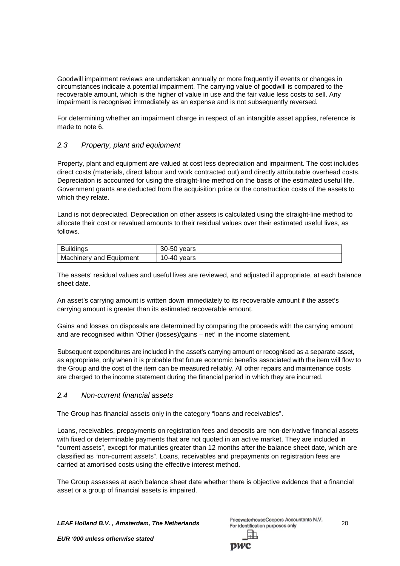Goodwill impairment reviews are undertaken annually or more frequently if events or changes in circumstances indicate a potential impairment. The carrying value of goodwill is compared to the recoverable amount, which is the higher of value in use and the fair value less costs to sell. Any impairment is recognised immediately as an expense and is not subsequently reversed.

For determining whether an impairment charge in respect of an intangible asset applies, reference is made to note 6.

## *2.3 Property, plant and equipment*

Property, plant and equipment are valued at cost less depreciation and impairment. The cost includes direct costs (materials, direct labour and work contracted out) and directly attributable overhead costs. Depreciation is accounted for using the straight-line method on the basis of the estimated useful life. Government grants are deducted from the acquisition price or the construction costs of the assets to which they relate.

Land is not depreciated. Depreciation on other assets is calculated using the straight-line method to allocate their cost or revalued amounts to their residual values over their estimated useful lives, as follows.

| Buildings               | 30-50 years |
|-------------------------|-------------|
| Machinery and Equipment | 10-40 vears |

The assets' residual values and useful lives are reviewed, and adjusted if appropriate, at each balance sheet date.

An asset's carrying amount is written down immediately to its recoverable amount if the asset's carrying amount is greater than its estimated recoverable amount.

Gains and losses on disposals are determined by comparing the proceeds with the carrying amount and are recognised within 'Other (losses)/gains – net' in the income statement.

Subsequent expenditures are included in the asset's carrying amount or recognised as a separate asset, as appropriate, only when it is probable that future economic benefits associated with the item will flow to the Group and the cost of the item can be measured reliably. All other repairs and maintenance costs are charged to the income statement during the financial period in which they are incurred.

## *2.4 Non-current financial assets*

The Group has financial assets only in the category "loans and receivables".

Loans, receivables, prepayments on registration fees and deposits are non-derivative financial assets with fixed or determinable payments that are not quoted in an active market. They are included in "current assets", except for maturities greater than 12 months after the balance sheet date, which are classified as "non-current assets". Loans, receivables and prepayments on registration fees are carried at amortised costs using the effective interest method.

The Group assesses at each balance sheet date whether there is objective evidence that a financial asset or a group of financial assets is impaired.

*LEAF Holland B.V. , Amsterdam, The Netherlands* 20

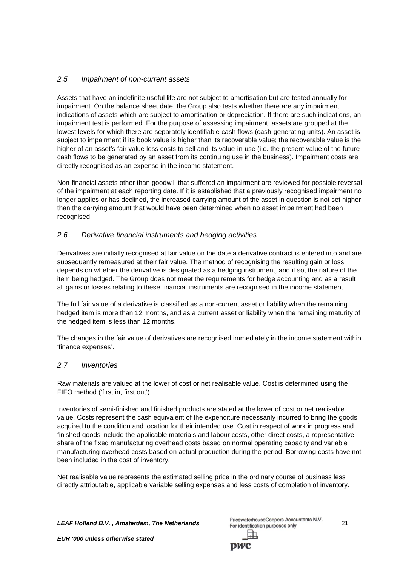## *2.5 Impairment of non-current assets*

Assets that have an indefinite useful life are not subject to amortisation but are tested annually for impairment. On the balance sheet date, the Group also tests whether there are any impairment indications of assets which are subject to amortisation or depreciation. If there are such indications, an impairment test is performed. For the purpose of assessing impairment, assets are grouped at the lowest levels for which there are separately identifiable cash flows (cash-generating units). An asset is subject to impairment if its book value is higher than its recoverable value; the recoverable value is the higher of an asset's fair value less costs to sell and its value-in-use (i.e. the present value of the future cash flows to be generated by an asset from its continuing use in the business). Impairment costs are directly recognised as an expense in the income statement.

Non-financial assets other than goodwill that suffered an impairment are reviewed for possible reversal of the impairment at each reporting date. If it is established that a previously recognised impairment no longer applies or has declined, the increased carrying amount of the asset in question is not set higher than the carrying amount that would have been determined when no asset impairment had been recognised.

## *2.6 Derivative financial instruments and hedging activities*

Derivatives are initially recognised at fair value on the date a derivative contract is entered into and are subsequently remeasured at their fair value. The method of recognising the resulting gain or loss depends on whether the derivative is designated as a hedging instrument, and if so, the nature of the item being hedged. The Group does not meet the requirements for hedge accounting and as a result all gains or losses relating to these financial instruments are recognised in the income statement.

The full fair value of a derivative is classified as a non-current asset or liability when the remaining hedged item is more than 12 months, and as a current asset or liability when the remaining maturity of the hedged item is less than 12 months.

The changes in the fair value of derivatives are recognised immediately in the income statement within 'finance expenses'.

## *2.7 Inventories*

Raw materials are valued at the lower of cost or net realisable value. Cost is determined using the FIFO method ('first in, first out').

Inventories of semi-finished and finished products are stated at the lower of cost or net realisable value. Costs represent the cash equivalent of the expenditure necessarily incurred to bring the goods acquired to the condition and location for their intended use. Cost in respect of work in progress and finished goods include the applicable materials and labour costs, other direct costs, a representative share of the fixed manufacturing overhead costs based on normal operating capacity and variable manufacturing overhead costs based on actual production during the period. Borrowing costs have not been included in the cost of inventory.

Net realisable value represents the estimated selling price in the ordinary course of business less directly attributable, applicable variable selling expenses and less costs of completion of inventory.

**LEAF Holland B.V., Amsterdam, The Netherlands**<br><sup>21</sup> For identification purposes only

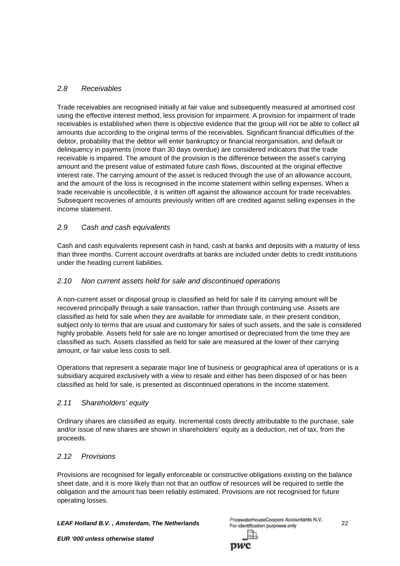## *2.8 Receivables*

Trade receivables are recognised initially at fair value and subsequently measured at amortised cost using the effective interest method, less provision for impairment. A provision for impairment of trade receivables is established when there is objective evidence that the group will not be able to collect all amounts due according to the original terms of the receivables. Significant financial difficulties of the debtor, probability that the debtor will enter bankruptcy or financial reorganisation, and default or delinquency in payments (more than 30 days overdue) are considered indicators that the trade receivable is impaired. The amount of the provision is the difference between the asset's carrying amount and the present value of estimated future cash flows, discounted at the original effective interest rate. The carrying amount of the asset is reduced through the use of an allowance account, and the amount of the loss is recognised in the income statement within selling expenses. When a trade receivable is uncollectible, it is written off against the allowance account for trade receivables. Subsequent recoveries of amounts previously written off are credited against selling expenses in the income statement.

## *2.9 Cash and cash equivalents*

Cash and cash equivalents represent cash in hand, cash at banks and deposits with a maturity of less than three months. Current account overdrafts at banks are included under debts to credit institutions under the heading current liabilities.

## *2.10 Non current assets held for sale and discontinued operations*

A non-current asset or disposal group is classified as held for sale if its carrying amount will be recovered principally through a sale transaction, rather than through continuing use. Assets are classified as held for sale when they are available for immediate sale, in their present condition, subject only to terms that are usual and customary for sales of such assets, and the sale is considered highly probable. Assets held for sale are no longer amortised or depreciated from the time they are classified as such. Assets classified as held for sale are measured at the lower of their carrying amount, or fair value less costs to sell.

Operations that represent a separate major line of business or geographical area of operations or is a subsidiary acquired exclusively with a view to resale and either has been disposed of or has been classified as held for sale, is presented as discontinued operations in the income statement.

## *2.11 Shareholders' equity*

Ordinary shares are classified as equity. Incremental costs directly attributable to the purchase, sale and/or issue of new shares are shown in shareholders' equity as a deduction, net of tax, from the proceeds.

## *2.12 Provisions*

Provisions are recognised for legally enforceable or constructive obligations existing on the balance sheet date, and it is more likely than not that an outflow of resources will be required to settle the obligation and the amount has been reliably estimated. Provisions are not recognised for future operating losses.

*LEAF Holland B.V. , Amsterdam, The Netherlands* 22

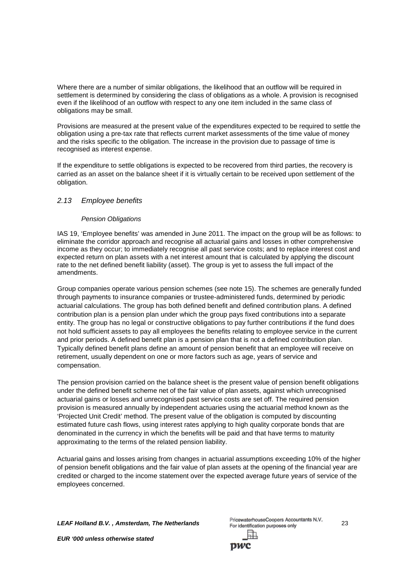Where there are a number of similar obligations, the likelihood that an outflow will be required in settlement is determined by considering the class of obligations as a whole. A provision is recognised even if the likelihood of an outflow with respect to any one item included in the same class of obligations may be small.

Provisions are measured at the present value of the expenditures expected to be required to settle the obligation using a pre-tax rate that reflects current market assessments of the time value of money and the risks specific to the obligation. The increase in the provision due to passage of time is recognised as interest expense.

If the expenditure to settle obligations is expected to be recovered from third parties, the recovery is carried as an asset on the balance sheet if it is virtually certain to be received upon settlement of the obligation.

## *2.13 Employee benefits*

## *Pension Obligations*

IAS 19, 'Employee benefits' was amended in June 2011. The impact on the group will be as follows: to eliminate the corridor approach and recognise all actuarial gains and losses in other comprehensive income as they occur; to immediately recognise all past service costs; and to replace interest cost and expected return on plan assets with a net interest amount that is calculated by applying the discount rate to the net defined benefit liability (asset). The group is yet to assess the full impact of the amendments.

Group companies operate various pension schemes (see note 15). The schemes are generally funded through payments to insurance companies or trustee-administered funds, determined by periodic actuarial calculations. The group has both defined benefit and defined contribution plans. A defined contribution plan is a pension plan under which the group pays fixed contributions into a separate entity. The group has no legal or constructive obligations to pay further contributions if the fund does not hold sufficient assets to pay all employees the benefits relating to employee service in the current and prior periods. A defined benefit plan is a pension plan that is not a defined contribution plan. Typically defined benefit plans define an amount of pension benefit that an employee will receive on retirement, usually dependent on one or more factors such as age, years of service and compensation.

The pension provision carried on the balance sheet is the present value of pension benefit obligations under the defined benefit scheme net of the fair value of plan assets, against which unrecognised actuarial gains or losses and unrecognised past service costs are set off. The required pension provision is measured annually by independent actuaries using the actuarial method known as the 'Projected Unit Credit' method. The present value of the obligation is computed by discounting estimated future cash flows, using interest rates applying to high quality corporate bonds that are denominated in the currency in which the benefits will be paid and that have terms to maturity approximating to the terms of the related pension liability.

Actuarial gains and losses arising from changes in actuarial assumptions exceeding 10% of the higher of pension benefit obligations and the fair value of plan assets at the opening of the financial year are credited or charged to the income statement over the expected average future years of service of the employees concerned.

*LEAF Holland B.V. , Amsterdam, The Netherlands* 23

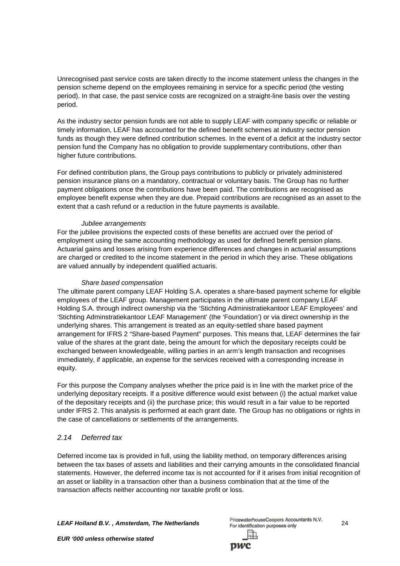Unrecognised past service costs are taken directly to the income statement unless the changes in the pension scheme depend on the employees remaining in service for a specific period (the vesting period). In that case, the past service costs are recognized on a straight-line basis over the vesting period.

As the industry sector pension funds are not able to supply LEAF with company specific or reliable or timely information, LEAF has accounted for the defined benefit schemes at industry sector pension funds as though they were defined contribution schemes. In the event of a deficit at the industry sector pension fund the Company has no obligation to provide supplementary contributions, other than higher future contributions.

For defined contribution plans, the Group pays contributions to publicly or privately administered pension insurance plans on a mandatory, contractual or voluntary basis. The Group has no further payment obligations once the contributions have been paid. The contributions are recognised as employee benefit expense when they are due. Prepaid contributions are recognised as an asset to the extent that a cash refund or a reduction in the future payments is available.

#### *Jubilee arrangements*

For the jubilee provisions the expected costs of these benefits are accrued over the period of employment using the same accounting methodology as used for defined benefit pension plans. Actuarial gains and losses arising from experience differences and changes in actuarial assumptions are charged or credited to the income statement in the period in which they arise. These obligations are valued annually by independent qualified actuaris.

#### *Share based compensation*

The ultimate parent company LEAF Holding S.A. operates a share-based payment scheme for eligible employees of the LEAF group. Management participates in the ultimate parent company LEAF Holding S.A. through indirect ownership via the 'Stichting Administratiekantoor LEAF Employees' and 'Stichting Adminstratiekantoor LEAF Management' (the 'Foundation') or via direct ownership in the underlying shares. This arrangement is treated as an equity-settled share based payment arrangement for IFRS 2 "Share-based Payment" purposes. This means that, LEAF determines the fair value of the shares at the grant date, being the amount for which the depositary receipts could be exchanged between knowledgeable, willing parties in an arm's length transaction and recognises immediately, if applicable, an expense for the services received with a corresponding increase in equity.

For this purpose the Company analyses whether the price paid is in line with the market price of the underlying depositary receipts. If a positive difference would exist between (i) the actual market value of the depositary receipts and (ii) the purchase price; this would result in a fair value to be reported under IFRS 2. This analysis is performed at each grant date. The Group has no obligations or rights in the case of cancellations or settlements of the arrangements.

## *2.14 Deferred tax*

Deferred income tax is provided in full, using the liability method, on temporary differences arising between the tax bases of assets and liabilities and their carrying amounts in the consolidated financial statements. However, the deferred income tax is not accounted for if it arises from initial recognition of an asset or liability in a transaction other than a business combination that at the time of the transaction affects neither accounting nor taxable profit or loss.

*LEAF Holland B.V. , Amsterdam, The Netherlands* 24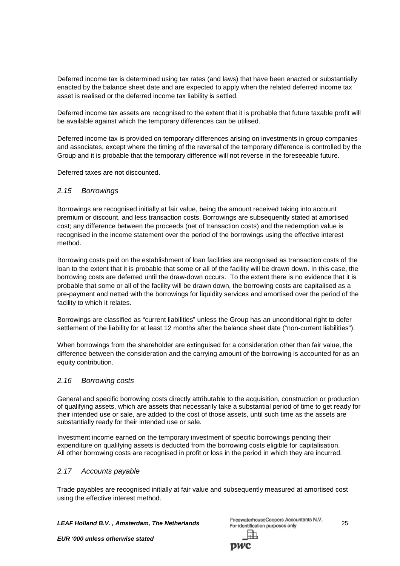Deferred income tax is determined using tax rates (and laws) that have been enacted or substantially enacted by the balance sheet date and are expected to apply when the related deferred income tax asset is realised or the deferred income tax liability is settled.

Deferred income tax assets are recognised to the extent that it is probable that future taxable profit will be available against which the temporary differences can be utilised.

Deferred income tax is provided on temporary differences arising on investments in group companies and associates, except where the timing of the reversal of the temporary difference is controlled by the Group and it is probable that the temporary difference will not reverse in the foreseeable future.

Deferred taxes are not discounted.

## *2.15 Borrowings*

Borrowings are recognised initially at fair value, being the amount received taking into account premium or discount, and less transaction costs. Borrowings are subsequently stated at amortised cost; any difference between the proceeds (net of transaction costs) and the redemption value is recognised in the income statement over the period of the borrowings using the effective interest method.

Borrowing costs paid on the establishment of loan facilities are recognised as transaction costs of the loan to the extent that it is probable that some or all of the facility will be drawn down. In this case, the borrowing costs are deferred until the draw-down occurs. To the extent there is no evidence that it is probable that some or all of the facility will be drawn down, the borrowing costs are capitalised as a pre-payment and netted with the borrowings for liquidity services and amortised over the period of the facility to which it relates.

Borrowings are classified as "current liabilities" unless the Group has an unconditional right to defer settlement of the liability for at least 12 months after the balance sheet date ("non-current liabilities").

When borrowings from the shareholder are extinguised for a consideration other than fair value, the difference between the consideration and the carrying amount of the borrowing is accounted for as an equity contribution.

## *2.16 Borrowing costs*

General and specific borrowing costs directly attributable to the acquisition, construction or production of qualifying assets, which are assets that necessarily take a substantial period of time to get ready for their intended use or sale, are added to the cost of those assets, until such time as the assets are substantially ready for their intended use or sale.

Investment income earned on the temporary investment of specific borrowings pending their expenditure on qualifying assets is deducted from the borrowing costs eligible for capitalisation. All other borrowing costs are recognised in profit or loss in the period in which they are incurred.

## *2.17 Accounts payable*

Trade payables are recognised initially at fair value and subsequently measured at amortised cost using the effective interest method.

*LEAF Holland B.V. , Amsterdam, The Netherlands* 25

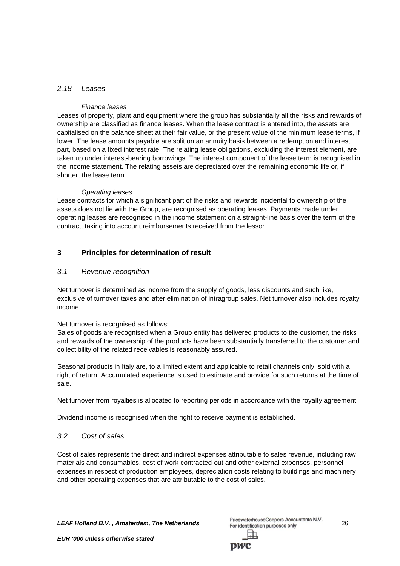## *2.18 Leases*

## *Finance leases*

Leases of property, plant and equipment where the group has substantially all the risks and rewards of ownership are classified as finance leases. When the lease contract is entered into, the assets are capitalised on the balance sheet at their fair value, or the present value of the minimum lease terms, if lower. The lease amounts payable are split on an annuity basis between a redemption and interest part, based on a fixed interest rate. The relating lease obligations, excluding the interest element, are taken up under interest-bearing borrowings. The interest component of the lease term is recognised in the income statement. The relating assets are depreciated over the remaining economic life or, if shorter, the lease term.

#### *Operating leases*

Lease contracts for which a significant part of the risks and rewards incidental to ownership of the assets does not lie with the Group, are recognised as operating leases. Payments made under operating leases are recognised in the income statement on a straight-line basis over the term of the contract, taking into account reimbursements received from the lessor.

## **3 Principles for determination of result**

## *3.1 Revenue recognition*

Net turnover is determined as income from the supply of goods, less discounts and such like, exclusive of turnover taxes and after elimination of intragroup sales. Net turnover also includes royalty income.

Net turnover is recognised as follows:

Sales of goods are recognised when a Group entity has delivered products to the customer, the risks and rewards of the ownership of the products have been substantially transferred to the customer and collectibility of the related receivables is reasonably assured.

Seasonal products in Italy are, to a limited extent and applicable to retail channels only, sold with a right of return. Accumulated experience is used to estimate and provide for such returns at the time of sale.

Net turnover from royalties is allocated to reporting periods in accordance with the royalty agreement.

Dividend income is recognised when the right to receive payment is established.

## *3.2 Cost of sales*

Cost of sales represents the direct and indirect expenses attributable to sales revenue, including raw materials and consumables, cost of work contracted-out and other external expenses, personnel expenses in respect of production employees, depreciation costs relating to buildings and machinery and other operating expenses that are attributable to the cost of sales.

*LEAF Holland B.V. , Amsterdam, The Netherlands* 26

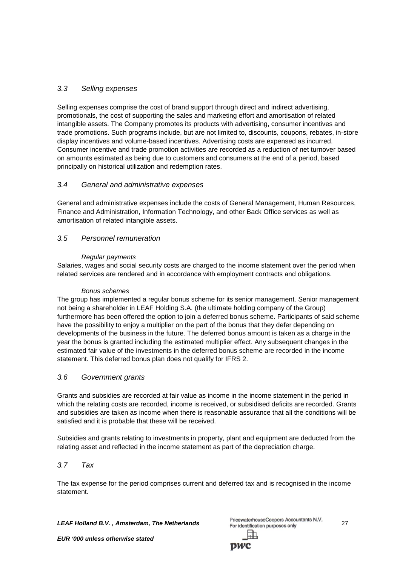## *3.3 Selling expenses*

Selling expenses comprise the cost of brand support through direct and indirect advertising, promotionals, the cost of supporting the sales and marketing effort and amortisation of related intangible assets. The Company promotes its products with advertising, consumer incentives and trade promotions. Such programs include, but are not limited to, discounts, coupons, rebates, in-store display incentives and volume-based incentives. Advertising costs are expensed as incurred. Consumer incentive and trade promotion activities are recorded as a reduction of net turnover based on amounts estimated as being due to customers and consumers at the end of a period, based principally on historical utilization and redemption rates.

## *3.4 General and administrative expenses*

General and administrative expenses include the costs of General Management, Human Resources, Finance and Administration, Information Technology, and other Back Office services as well as amortisation of related intangible assets.

## *3.5 Personnel remuneration*

## *Regular payments*

Salaries, wages and social security costs are charged to the income statement over the period when related services are rendered and in accordance with employment contracts and obligations.

## *Bonus schemes*

The group has implemented a regular bonus scheme for its senior management. Senior management not being a shareholder in LEAF Holding S.A. (the ultimate holding company of the Group) furthermore has been offered the option to join a deferred bonus scheme. Participants of said scheme have the possibility to enjoy a multiplier on the part of the bonus that they defer depending on developments of the business in the future. The deferred bonus amount is taken as a charge in the year the bonus is granted including the estimated multiplier effect. Any subsequent changes in the estimated fair value of the investments in the deferred bonus scheme are recorded in the income statement. This deferred bonus plan does not qualify for IFRS 2.

## *3.6 Government grants*

Grants and subsidies are recorded at fair value as income in the income statement in the period in which the relating costs are recorded, income is received, or subsidised deficits are recorded. Grants and subsidies are taken as income when there is reasonable assurance that all the conditions will be satisfied and it is probable that these will be received.

Subsidies and grants relating to investments in property, plant and equipment are deducted from the relating asset and reflected in the income statement as part of the depreciation charge.

## *3.7 Tax*

The tax expense for the period comprises current and deferred tax and is recognised in the income statement.

*LEAF Holland B.V. , Amsterdam, The Netherlands* 27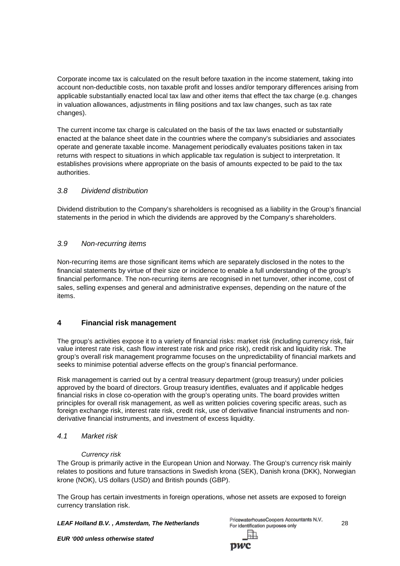Corporate income tax is calculated on the result before taxation in the income statement, taking into account non-deductible costs, non taxable profit and losses and/or temporary differences arising from applicable substantially enacted local tax law and other items that effect the tax charge (e.g. changes in valuation allowances, adjustments in filing positions and tax law changes, such as tax rate changes).

The current income tax charge is calculated on the basis of the tax laws enacted or substantially enacted at the balance sheet date in the countries where the company's subsidiaries and associates operate and generate taxable income. Management periodically evaluates positions taken in tax returns with respect to situations in which applicable tax regulation is subject to interpretation. It establishes provisions where appropriate on the basis of amounts expected to be paid to the tax authorities.

## *3.8 Dividend distribution*

Dividend distribution to the Company's shareholders is recognised as a liability in the Group's financial statements in the period in which the dividends are approved by the Company's shareholders.

## *3.9 Non-recurring items*

Non-recurring items are those significant items which are separately disclosed in the notes to the financial statements by virtue of their size or incidence to enable a full understanding of the group's financial performance. The non-recurring items are recognised in net turnover, other income, cost of sales, selling expenses and general and administrative expenses, depending on the nature of the items.

## **4 Financial risk management**

The group's activities expose it to a variety of financial risks: market risk (including currency risk, fair value interest rate risk, cash flow interest rate risk and price risk), credit risk and liquidity risk. The group's overall risk management programme focuses on the unpredictability of financial markets and seeks to minimise potential adverse effects on the group's financial performance.

Risk management is carried out by a central treasury department (group treasury) under policies approved by the board of directors. Group treasury identifies, evaluates and if applicable hedges financial risks in close co-operation with the group's operating units. The board provides written principles for overall risk management, as well as written policies covering specific areas, such as foreign exchange risk, interest rate risk, credit risk, use of derivative financial instruments and nonderivative financial instruments, and investment of excess liquidity.

## *4.1 Market risk*

## *Currency risk*

The Group is primarily active in the European Union and Norway. The Group's currency risk mainly relates to positions and future transactions in Swedish krona (SEK), Danish krona (DKK), Norwegian krone (NOK), US dollars (USD) and British pounds (GBP).

The Group has certain investments in foreign operations, whose net assets are exposed to foreign currency translation risk.

*LEAF Holland B.V. , Amsterdam, The Netherlands* 28

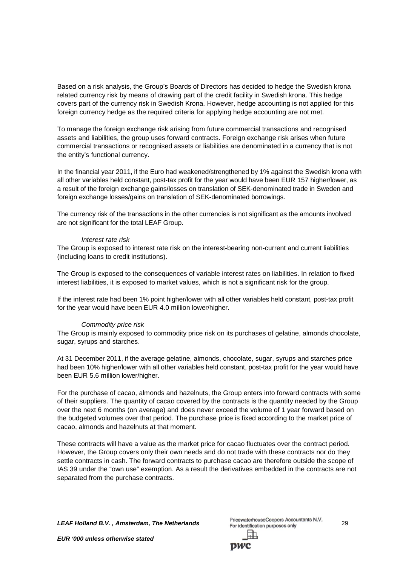Based on a risk analysis, the Group's Boards of Directors has decided to hedge the Swedish krona related currency risk by means of drawing part of the credit facility in Swedish krona. This hedge covers part of the currency risk in Swedish Krona. However, hedge accounting is not applied for this foreign currency hedge as the required criteria for applying hedge accounting are not met.

To manage the foreign exchange risk arising from future commercial transactions and recognised assets and liabilities, the group uses forward contracts. Foreign exchange risk arises when future commercial transactions or recognised assets or liabilities are denominated in a currency that is not the entity's functional currency.

In the financial year 2011, if the Euro had weakened/strengthened by 1% against the Swedish krona with all other variables held constant, post-tax profit for the year would have been EUR 157 higher/lower, as a result of the foreign exchange gains/losses on translation of SEK-denominated trade in Sweden and foreign exchange losses/gains on translation of SEK-denominated borrowings.

The currency risk of the transactions in the other currencies is not significant as the amounts involved are not significant for the total LEAF Group.

#### *Interest rate risk*

The Group is exposed to interest rate risk on the interest-bearing non-current and current liabilities (including loans to credit institutions).

The Group is exposed to the consequences of variable interest rates on liabilities. In relation to fixed interest liabilities, it is exposed to market values, which is not a significant risk for the group.

If the interest rate had been 1% point higher/lower with all other variables held constant, post-tax profit for the year would have been EUR 4.0 million lower/higher.

#### *Commodity price risk*

The Group is mainly exposed to commodity price risk on its purchases of gelatine, almonds chocolate, sugar, syrups and starches.

At 31 December 2011, if the average gelatine, almonds, chocolate, sugar, syrups and starches price had been 10% higher/lower with all other variables held constant, post-tax profit for the year would have been EUR 5.6 million lower/higher.

For the purchase of cacao, almonds and hazelnuts, the Group enters into forward contracts with some of their suppliers. The quantity of cacao covered by the contracts is the quantity needed by the Group over the next 6 months (on average) and does never exceed the volume of 1 year forward based on the budgeted volumes over that period. The purchase price is fixed according to the market price of cacao, almonds and hazelnuts at that moment.

These contracts will have a value as the market price for cacao fluctuates over the contract period. However, the Group covers only their own needs and do not trade with these contracts nor do they settle contracts in cash. The forward contracts to purchase cacao are therefore outside the scope of IAS 39 under the "own use" exemption. As a result the derivatives embedded in the contracts are not separated from the purchase contracts.

*LEAF Holland B.V. , Amsterdam, The Netherlands* 29

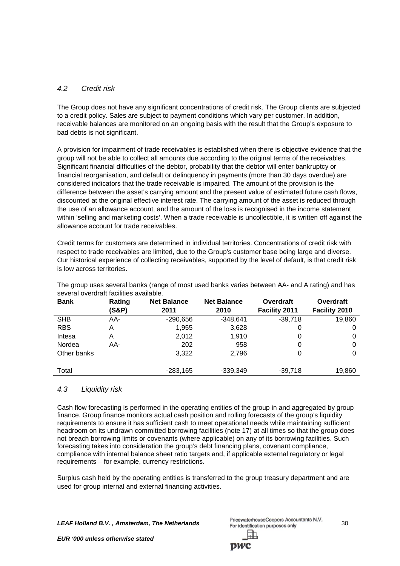## *4.2 Credit risk*

The Group does not have any significant concentrations of credit risk. The Group clients are subjected to a credit policy. Sales are subject to payment conditions which vary per customer. In addition, receivable balances are monitored on an ongoing basis with the result that the Group's exposure to bad debts is not significant.

A provision for impairment of trade receivables is established when there is objective evidence that the group will not be able to collect all amounts due according to the original terms of the receivables. Significant financial difficulties of the debtor, probability that the debtor will enter bankruptcy or financial reorganisation, and default or delinquency in payments (more than 30 days overdue) are considered indicators that the trade receivable is impaired. The amount of the provision is the difference between the asset's carrying amount and the present value of estimated future cash flows, discounted at the original effective interest rate. The carrying amount of the asset is reduced through the use of an allowance account, and the amount of the loss is recognised in the income statement within 'selling and marketing costs'. When a trade receivable is uncollectible, it is written off against the allowance account for trade receivables.

Credit terms for customers are determined in individual territories. Concentrations of credit risk with respect to trade receivables are limited, due to the Group's customer base being large and diverse. Our historical experience of collecting receivables, supported by the level of default, is that credit risk is low across territories.

| <u>auvului ovuluitut luvilluu uvulluulu.</u> |        |                    |                    |               |               |  |  |  |
|----------------------------------------------|--------|--------------------|--------------------|---------------|---------------|--|--|--|
| <b>Bank</b>                                  | Rating | <b>Net Balance</b> | <b>Net Balance</b> | Overdraft     | Overdraft     |  |  |  |
|                                              | (S&P)  | 2011               | 2010               | Facility 2011 | Facility 2010 |  |  |  |
| <b>SHB</b>                                   | AA-    | $-290,656$         | $-348,641$         | $-39.718$     | 19,860        |  |  |  |
| <b>RBS</b>                                   | A      | 1,955              | 3,628              | 0             |               |  |  |  |
| Intesa                                       | A      | 2,012              | 1.910              | 0             |               |  |  |  |
| Nordea                                       | AA-    | 202                | 958                | 0             |               |  |  |  |
| Other banks                                  |        | 3,322              | 2,796              | 0             |               |  |  |  |
|                                              |        |                    |                    |               |               |  |  |  |
| Total                                        |        | $-283,165$         | $-339,349$         | $-39.718$     | 19.860        |  |  |  |

The group uses several banks (range of most used banks varies between AA- and A rating) and has several overdraft facilities available.

## *4.3 Liquidity risk*

Cash flow forecasting is performed in the operating entities of the group in and aggregated by group finance. Group finance monitors actual cash position and rolling forecasts of the group's liquidity requirements to ensure it has sufficient cash to meet operational needs while maintaining sufficient headroom on its undrawn committed borrowing facilities (note 17) at all times so that the group does not breach borrowing limits or covenants (where applicable) on any of its borrowing facilities. Such forecasting takes into consideration the group's debt financing plans, covenant compliance, compliance with internal balance sheet ratio targets and, if applicable external regulatory or legal requirements – for example, currency restrictions.

Surplus cash held by the operating entities is transferred to the group treasury department and are used for group internal and external financing activities.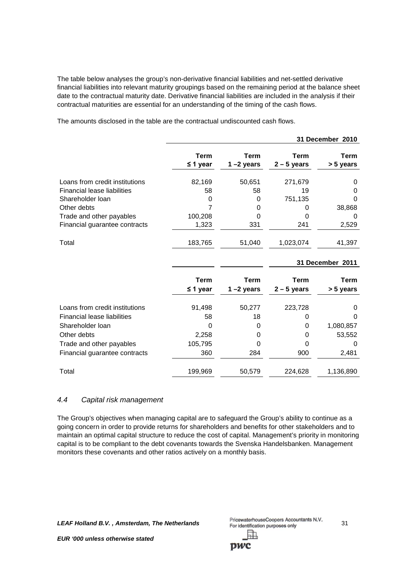The table below analyses the group's non-derivative financial liabilities and net-settled derivative financial liabilities into relevant maturity groupings based on the remaining period at the balance sheet date to the contractual maturity date. Derivative financial liabilities are included in the analysis if their contractual maturities are essential for an understanding of the timing of the cash flows.

**31 December 2010 Term Term Term Term ≤ 1 year 1 –2 years 2 – 5 years > 5 years** Loans from credit institutions 82,169 50,651 271,679 0 Financial lease liabilities 58 58 19 0 Shareholder loan and the control of the control of the control of the control of the control of the control of the control of the control of the control of the control of the control of the control of the control of the co Other debts 7 0 0 38,868 Trade and other payables 100,208 0 0 0 Financial guarantee contracts 1,323 331 241 2,529 Total 183,765 51,040 1,023,074 41,397 **31 December 2011 Term Term Term Term ≤ 1 year 1 –2 years 2 – 5 years > 5 years** Loans from credit institutions 91,498 50,277 223,728 0 Financial lease liabilities 58 18 0 0 Shareholder loan **being the contract of the CO** 0 0 1,080,857 Other debts 2,258 0 0 53,552 Trade and other payables 105,795 0 0 0 Financial guarantee contracts 360 284 900 2,481 Total 199,969 50,579 224,628 1,136,890

The amounts disclosed in the table are the contractual undiscounted cash flows.

## *4.4 Capital risk management*

The Group's objectives when managing capital are to safeguard the Group's ability to continue as a going concern in order to provide returns for shareholders and benefits for other stakeholders and to maintain an optimal capital structure to reduce the cost of capital. Management's priority in monitoring capital is to be compliant to the debt covenants towards the Svenska Handelsbanken. Management monitors these covenants and other ratios actively on a monthly basis.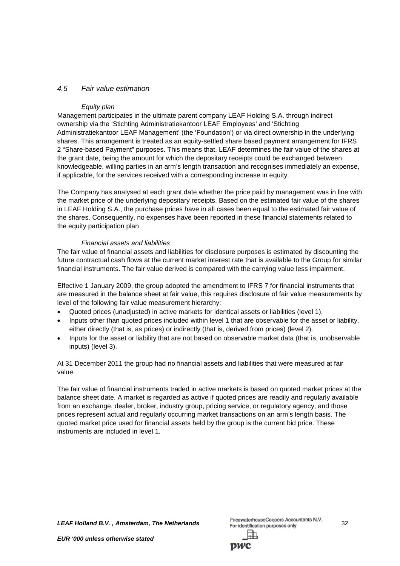## *4.5 Fair value estimation*

#### *Equity plan*

Management participates in the ultimate parent company LEAF Holding S.A. through indirect ownership via the 'Stichting Administratiekantoor LEAF Employees' and 'Stichting Administratiekantoor LEAF Management' (the 'Foundation') or via direct ownership in the underlying shares. This arrangement is treated as an equity-settled share based payment arrangement for IFRS 2 "Share-based Payment" purposes. This means that, LEAF determines the fair value of the shares at the grant date, being the amount for which the depositary receipts could be exchanged between knowledgeable, willing parties in an arm's length transaction and recognises immediately an expense, if applicable, for the services received with a corresponding increase in equity.

The Company has analysed at each grant date whether the price paid by management was in line with the market price of the underlying depositary receipts. Based on the estimated fair value of the shares in LEAF Holding S.A., the purchase prices have in all cases been equal to the estimated fair value of the shares. Consequently, no expenses have been reported in these financial statements related to the equity participation plan.

#### *Financial assets and liabilities*

The fair value of financial assets and liabilities for disclosure purposes is estimated by discounting the future contractual cash flows at the current market interest rate that is available to the Group for similar financial instruments. The fair value derived is compared with the carrying value less impairment.

Effective 1 January 2009, the group adopted the amendment to IFRS 7 for financial instruments that are measured in the balance sheet at fair value, this requires disclosure of fair value measurements by level of the following fair value measurement hierarchy:

- Quoted prices (unadjusted) in active markets for identical assets or liabilities (level 1).
- Inputs other than quoted prices included within level 1 that are observable for the asset or liability, either directly (that is, as prices) or indirectly (that is, derived from prices) (level 2).
- Inputs for the asset or liability that are not based on observable market data (that is, unobservable inputs) (level 3).

At 31 December 2011 the group had no financial assets and liabilities that were measured at fair value.

The fair value of financial instruments traded in active markets is based on quoted market prices at the balance sheet date. A market is regarded as active if quoted prices are readily and regularly available from an exchange, dealer, broker, industry group, pricing service, or regulatory agency, and those prices represent actual and regularly occurring market transactions on an arm's length basis. The quoted market price used for financial assets held by the group is the current bid price. These instruments are included in level 1.

*LEAF Holland B.V. , Amsterdam, The Netherlands* 32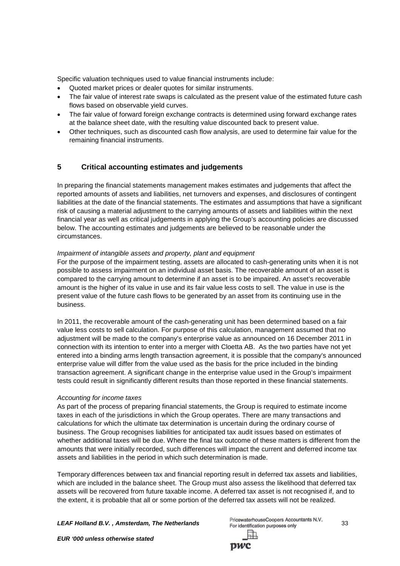Specific valuation techniques used to value financial instruments include:

- Quoted market prices or dealer quotes for similar instruments.
- The fair value of interest rate swaps is calculated as the present value of the estimated future cash flows based on observable yield curves.
- The fair value of forward foreign exchange contracts is determined using forward exchange rates at the balance sheet date, with the resulting value discounted back to present value.
- Other techniques, such as discounted cash flow analysis, are used to determine fair value for the remaining financial instruments.

## **5 Critical accounting estimates and judgements**

In preparing the financial statements management makes estimates and judgements that affect the reported amounts of assets and liabilities, net turnovers and expenses, and disclosures of contingent liabilities at the date of the financial statements. The estimates and assumptions that have a significant risk of causing a material adjustment to the carrying amounts of assets and liabilities within the next financial year as well as critical judgements in applying the Group's accounting policies are discussed below. The accounting estimates and judgements are believed to be reasonable under the circumstances.

## *Impairment of intangible assets and property, plant and equipment*

For the purpose of the impairment testing, assets are allocated to cash-generating units when it is not possible to assess impairment on an individual asset basis. The recoverable amount of an asset is compared to the carrying amount to determine if an asset is to be impaired. An asset's recoverable amount is the higher of its value in use and its fair value less costs to sell. The value in use is the present value of the future cash flows to be generated by an asset from its continuing use in the business.

In 2011, the recoverable amount of the cash-generating unit has been determined based on a fair value less costs to sell calculation. For purpose of this calculation, management assumed that no adjustment will be made to the company's enterprise value as announced on 16 December 2011 in connection with its intention to enter into a merger with Cloetta AB. As the two parties have not yet entered into a binding arms length transaction agreement, it is possible that the company's announced enterprise value will differ from the value used as the basis for the price included in the binding transaction agreement. A significant change in the enterprise value used in the Group's impairment tests could result in significantly different results than those reported in these financial statements.

## *Accounting for income taxes*

As part of the process of preparing financial statements, the Group is required to estimate income taxes in each of the jurisdictions in which the Group operates. There are many transactions and calculations for which the ultimate tax determination is uncertain during the ordinary course of business. The Group recognises liabilities for anticipated tax audit issues based on estimates of whether additional taxes will be due. Where the final tax outcome of these matters is different from the amounts that were initially recorded, such differences will impact the current and deferred income tax assets and liabilities in the period in which such determination is made.

Temporary differences between tax and financial reporting result in deferred tax assets and liabilities, which are included in the balance sheet. The Group must also assess the likelihood that deferred tax assets will be recovered from future taxable income. A deferred tax asset is not recognised if, and to the extent, it is probable that all or some portion of the deferred tax assets will not be realized.

**LEAF Holland B.V., Amsterdam, The Netherlands**<br><sup>PricewaterhouseCoopers Accountants N.V. 33</sup>

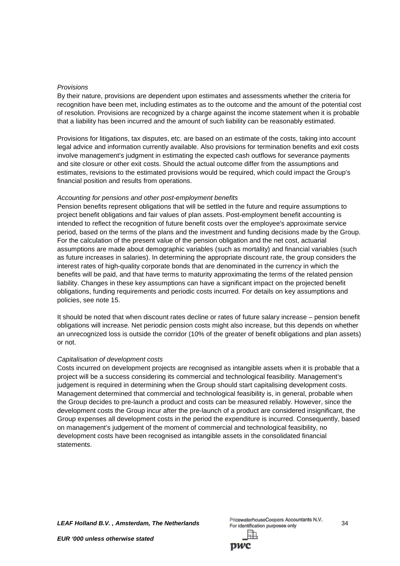#### *Provisions*

By their nature, provisions are dependent upon estimates and assessments whether the criteria for recognition have been met, including estimates as to the outcome and the amount of the potential cost of resolution. Provisions are recognized by a charge against the income statement when it is probable that a liability has been incurred and the amount of such liability can be reasonably estimated.

Provisions for litigations, tax disputes, etc. are based on an estimate of the costs, taking into account legal advice and information currently available. Also provisions for termination benefits and exit costs involve management's judgment in estimating the expected cash outflows for severance payments and site closure or other exit costs. Should the actual outcome differ from the assumptions and estimates, revisions to the estimated provisions would be required, which could impact the Group's financial position and results from operations.

#### *Accounting for pensions and other post-employment benefits*

Pension benefits represent obligations that will be settled in the future and require assumptions to project benefit obligations and fair values of plan assets. Post-employment benefit accounting is intended to reflect the recognition of future benefit costs over the employee's approximate service period, based on the terms of the plans and the investment and funding decisions made by the Group. For the calculation of the present value of the pension obligation and the net cost, actuarial assumptions are made about demographic variables (such as mortality) and financial variables (such as future increases in salaries). In determining the appropriate discount rate, the group considers the interest rates of high-quality corporate bonds that are denominated in the currency in which the benefits will be paid, and that have terms to maturity approximating the terms of the related pension liability. Changes in these key assumptions can have a significant impact on the projected benefit obligations, funding requirements and periodic costs incurred. For details on key assumptions and policies, see note 15.

It should be noted that when discount rates decline or rates of future salary increase – pension benefit obligations will increase. Net periodic pension costs might also increase, but this depends on whether an unrecognized loss is outside the corridor (10% of the greater of benefit obligations and plan assets) or not.

#### *Capitalisation of development costs*

Costs incurred on development projects are recognised as intangible assets when it is probable that a project will be a success considering its commercial and technological feasibility. Management's judgement is required in determining when the Group should start capitalising development costs. Management determined that commercial and technological feasibility is, in general, probable when the Group decides to pre-launch a product and costs can be measured reliably. However, since the development costs the Group incur after the pre-launch of a product are considered insignificant, the Group expenses all development costs in the period the expenditure is incurred. Consequently, based on management's judgement of the moment of commercial and technological feasibility, no development costs have been recognised as intangible assets in the consolidated financial statements.

*LEAF Holland B.V.*, *Amsterdam, The Netherlands* PricewaterhouseCoopers Accountants N.V. 34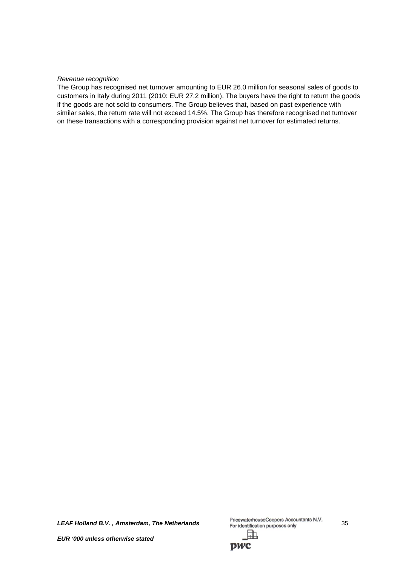#### *Revenue recognition*

The Group has recognised net turnover amounting to EUR 26.0 million for seasonal sales of goods to customers in Italy during 2011 (2010: EUR 27.2 million). The buyers have the right to return the goods if the goods are not sold to consumers. The Group believes that, based on past experience with similar sales, the return rate will not exceed 14.5%. The Group has therefore recognised net turnover on these transactions with a corresponding provision against net turnover for estimated returns.

*LEAF Holland B.V. , Amsterdam, The Netherlands* 35

駎

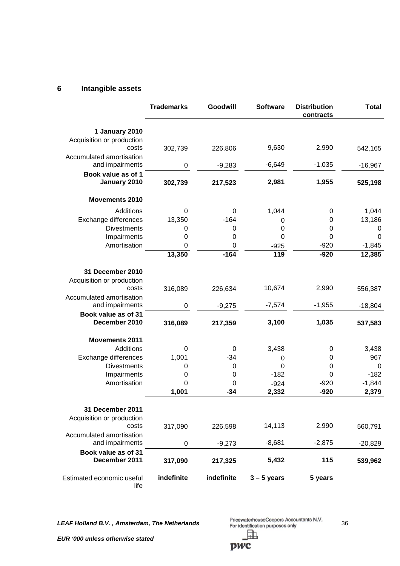# **6 Intangible assets**

|                                      | <b>Trademarks</b> | Goodwill    | <b>Software</b> | <b>Distribution</b><br>contracts | <b>Total</b> |
|--------------------------------------|-------------------|-------------|-----------------|----------------------------------|--------------|
| 1 January 2010                       |                   |             |                 |                                  |              |
| Acquisition or production            |                   |             |                 |                                  |              |
| costs                                | 302,739           | 226,806     | 9,630           | 2,990                            | 542,165      |
| Accumulated amortisation             |                   |             |                 |                                  |              |
| and impairments                      | $\boldsymbol{0}$  | $-9,283$    | $-6,649$        | $-1,035$                         | $-16,967$    |
| Book value as of 1                   |                   |             |                 |                                  |              |
| January 2010                         | 302,739           | 217,523     | 2,981           | 1,955                            | 525,198      |
| <b>Movements 2010</b>                |                   |             |                 |                                  |              |
| Additions                            | 0                 | 0           | 1,044           | 0                                | 1,044        |
| Exchange differences                 | 13,350            | $-164$      | 0               | $\mathbf 0$                      | 13,186       |
| <b>Divestments</b>                   | 0                 | 0           | 0               | 0                                | 0            |
| Impairments                          | 0                 | 0           | $\mathbf 0$     | 0                                | 0            |
| Amortisation                         | 0                 | 0           | $-925$          | $-920$                           | $-1,845$     |
|                                      | 13,350            | $-164$      | 119             | $-920$                           | 12,385       |
|                                      |                   |             |                 |                                  |              |
| 31 December 2010                     |                   |             |                 |                                  |              |
| Acquisition or production            |                   |             |                 |                                  |              |
| costs                                | 316,089           | 226,634     | 10,674          | 2,990                            | 556,387      |
| Accumulated amortisation             |                   |             |                 |                                  |              |
| and impairments                      | 0                 | $-9,275$    | $-7,574$        | $-1,955$                         | $-18,804$    |
| Book value as of 31                  |                   |             |                 |                                  |              |
| December 2010                        | 316,089           | 217,359     | 3,100           | 1,035                            | 537,583      |
| <b>Movements 2011</b>                |                   |             |                 |                                  |              |
| Additions                            | 0                 | 0           | 3,438           | 0                                | 3,438        |
| Exchange differences                 | 1,001             | $-34$       | 0               | $\mathbf 0$                      | 967          |
| <b>Divestments</b>                   | 0                 | $\mathbf 0$ | $\overline{0}$  | $\mathbf 0$                      | $\mathbf 0$  |
| Impairments                          | 0                 | 0           | $-182$          | $\mathbf 0$                      | $-182$       |
| Amortisation                         | $\mathbf 0$       | 0           | $-924$          | $-920$                           | $-1,844$     |
|                                      | 1,001             | $-34$       | 2,332           | $-920$                           | 2,379        |
|                                      |                   |             |                 |                                  |              |
| 31 December 2011                     |                   |             |                 |                                  |              |
| Acquisition or production            |                   |             |                 |                                  |              |
| costs                                | 317,090           | 226,598     | 14,113          | 2,990                            | 560,791      |
| Accumulated amortisation             |                   |             |                 |                                  |              |
| and impairments                      | $\mathbf 0$       | $-9,273$    | $-8,681$        | $-2,875$                         | $-20,829$    |
| Book value as of 31<br>December 2011 | 317,090           | 217,325     | 5,432           | 115                              | 539,962      |
| Estimated economic useful<br>life    | indefinite        | indefinite  | $3 - 5$ years   | 5 years                          |              |

LEAF Holland B.V., Amsterdam, The Netherlands<br><sup>36</sup> <sup>PricewaterhouseCoopers Accountants N.V.</sup> h,

pwc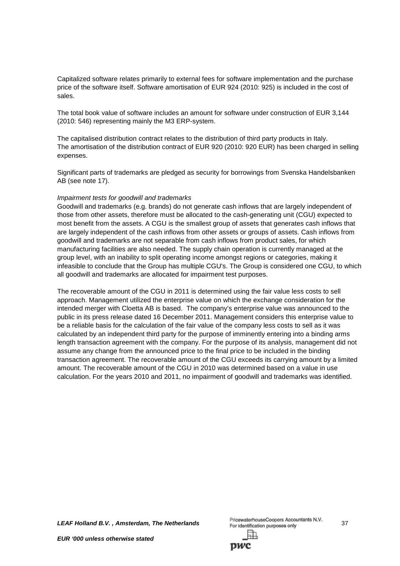Capitalized software relates primarily to external fees for software implementation and the purchase price of the software itself. Software amortisation of EUR 924 (2010: 925) is included in the cost of sales.

The total book value of software includes an amount for software under construction of EUR 3,144 (2010: 546) representing mainly the M3 ERP-system.

The capitalised distribution contract relates to the distribution of third party products in Italy. The amortisation of the distribution contract of EUR 920 (2010: 920 EUR) has been charged in selling expenses.

Significant parts of trademarks are pledged as security for borrowings from Svenska Handelsbanken AB (see note 17).

#### *Impairment tests for goodwill and trademarks*

Goodwill and trademarks (e.g. brands) do not generate cash inflows that are largely independent of those from other assets, therefore must be allocated to the cash-generating unit (CGU) expected to most benefit from the assets. A CGU is the smallest group of assets that generates cash inflows that are largely independent of the cash inflows from other assets or groups of assets. Cash inflows from goodwill and trademarks are not separable from cash inflows from product sales, for which manufacturing facilities are also needed. The supply chain operation is currently managed at the group level, with an inability to split operating income amongst regions or categories, making it infeasible to conclude that the Group has multiple CGU's. The Group is considered one CGU, to which all goodwill and trademarks are allocated for impairment test purposes.

The recoverable amount of the CGU in 2011 is determined using the fair value less costs to sell approach. Management utilized the enterprise value on which the exchange consideration for the intended merger with Cloetta AB is based. The company's enterprise value was announced to the public in its press release dated 16 December 2011. Management considers this enterprise value to be a reliable basis for the calculation of the fair value of the company less costs to sell as it was calculated by an independent third party for the purpose of imminently entering into a binding arms length transaction agreement with the company. For the purpose of its analysis, management did not assume any change from the announced price to the final price to be included in the binding transaction agreement. The recoverable amount of the CGU exceeds its carrying amount by a limited amount. The recoverable amount of the CGU in 2010 was determined based on a value in use calculation. For the years 2010 and 2011, no impairment of goodwill and trademarks was identified.

**LEAF Holland B.V., Amsterdam, The Netherlands**<br><sup>PricewaterhouseCoopers Accountants N.V. 37</sup>

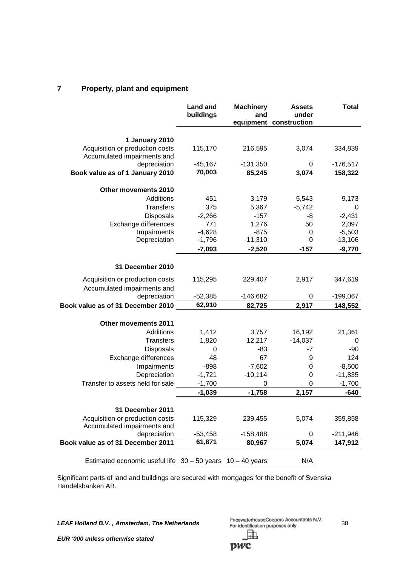# **7 Property, plant and equipment**

|                                                                | <b>Land and</b><br>buildings | <b>Machinery</b><br>and | <b>Assets</b><br>under<br>equipment construction | <b>Total</b> |
|----------------------------------------------------------------|------------------------------|-------------------------|--------------------------------------------------|--------------|
| 1 January 2010                                                 |                              |                         |                                                  |              |
| Acquisition or production costs<br>Accumulated impairments and | 115,170                      | 216,595                 | 3,074                                            | 334,839      |
| depreciation                                                   | $-45,167$                    | $-131,350$              | 0                                                | -176,517     |
| Book value as of 1 January 2010                                | 70,003                       | 85,245                  | 3,074                                            | 158,322      |
| Other movements 2010                                           |                              |                         |                                                  |              |
| Additions                                                      | 451                          | 3,179                   | 5,543                                            | 9,173        |
| <b>Transfers</b>                                               | 375                          | 5,367                   | $-5,742$                                         | 0            |
| <b>Disposals</b>                                               | $-2,266$                     | $-157$                  | -8                                               | $-2,431$     |
| Exchange differences                                           | 771                          | 1,276                   | 50                                               | 2,097        |
| Impairments                                                    | $-4,628$                     | $-875$                  | 0                                                | $-5,503$     |
| Depreciation                                                   | $-1,796$                     | $-11,310$               | 0                                                | $-13,106$    |
|                                                                | $-7,093$                     | $-2,520$                | $-157$                                           | $-9,770$     |
| 31 December 2010                                               |                              |                         |                                                  |              |
| Acquisition or production costs                                | 115,295                      | 229,407                 | 2,917                                            | 347,619      |
| Accumulated impairments and                                    |                              |                         |                                                  |              |
| depreciation                                                   | $-52,385$                    | $-146,682$              | 0                                                | $-199,067$   |
| Book value as of 31 December 2010                              | 62,910                       | 82,725                  | 2,917                                            | 148,552      |
| <b>Other movements 2011</b>                                    |                              |                         |                                                  |              |
| Additions                                                      | 1,412                        | 3,757                   | 16,192                                           | 21,361       |
| <b>Transfers</b>                                               | 1,820                        | 12,217                  | $-14,037$                                        | 0            |
| Disposals                                                      | 0                            | $-83$                   | -7                                               | $-90$        |
| Exchange differences                                           | 48                           | 67                      | 9                                                | 124          |
| Impairments                                                    | $-898$                       | $-7,602$                | 0                                                | $-8,500$     |
| Depreciation                                                   | $-1,721$                     | $-10,114$               | 0                                                | $-11,835$    |
| Transfer to assets held for sale                               | $-1,700$                     | 0                       | 0                                                | $-1,700$     |
|                                                                | $-1,039$                     | $-1,758$                | 2,157                                            | $-640$       |
| 31 December 2011                                               |                              |                         |                                                  |              |
| Acquisition or production costs<br>Accumulated impairments and | 115,329                      | 239,455                 | 5,074                                            | 359,858      |
| depreciation                                                   | $-53,458$                    | $-158,488$              | 0                                                | -211,946     |
| Book value as of 31 December 2011                              | 61,871                       | 80,967                  | 5,074                                            | 147,912      |
| Estimated economic useful life $30 - 50$ years                 |                              | $10 - 40$ years         | N/A                                              |              |

Significant parts of land and buildings are secured with mortgages for the benefit of Svenska Handelsbanken AB.

*LEAF Holland B.V. , Amsterdam, The Netherlands* 38 駎

pwc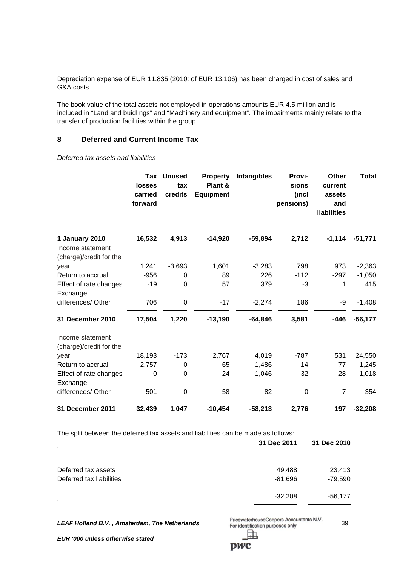Depreciation expense of EUR 11,835 (2010: of EUR 13,106) has been charged in cost of sales and G&A costs.

The book value of the total assets not employed in operations amounts EUR 4.5 million and is included in "Land and buidlings" and "Machinery and equipment". The impairments mainly relate to the transfer of production facilities within the group.

## **8 Deferred and Current Income Tax**

*Deferred tax assets and liabilities*

|                                                               | Tax<br><b>losses</b><br>carried<br>forward | <b>Unused</b><br>tax<br>credits | <b>Property</b><br>Plant &<br><b>Equipment</b> | <b>Intangibles</b> | Provi-<br>sions<br>(incl<br>pensions) | <b>Other</b><br>current<br>assets<br>and<br>liabilities | <b>Total</b> |
|---------------------------------------------------------------|--------------------------------------------|---------------------------------|------------------------------------------------|--------------------|---------------------------------------|---------------------------------------------------------|--------------|
| 1 January 2010<br>Income statement<br>(charge)/credit for the | 16,532                                     | 4,913                           | $-14,920$                                      | $-59,894$          | 2,712                                 | $-1,114$                                                | $-51,771$    |
| year                                                          | 1,241                                      | $-3,693$                        | 1,601                                          | $-3,283$           | 798                                   | 973                                                     | $-2,363$     |
| Return to accrual                                             | $-956$                                     | 0                               | 89                                             | 226                | $-112$                                | $-297$                                                  | $-1,050$     |
| Effect of rate changes<br>Exchange                            | $-19$                                      | 0                               | 57                                             | 379                | -3                                    | 1                                                       | 415          |
| differences/ Other                                            | 706                                        | 0                               | $-17$                                          | $-2,274$           | 186                                   | -9                                                      | $-1,408$     |
| 31 December 2010                                              | 17,504                                     | 1,220                           | $-13,190$                                      | $-64,846$          | 3,581                                 | $-446$                                                  | $-56,177$    |
| Income statement<br>(charge)/credit for the                   |                                            |                                 |                                                |                    |                                       |                                                         |              |
| year                                                          | 18,193                                     | $-173$                          | 2,767                                          | 4,019              | $-787$                                | 531                                                     | 24,550       |
| Return to accrual                                             | $-2,757$                                   | 0                               | $-65$                                          | 1,486              | 14                                    | 77                                                      | $-1,245$     |
| Effect of rate changes<br>Exchange                            | 0                                          | 0                               | $-24$                                          | 1,046              | $-32$                                 | 28                                                      | 1,018        |
| differences/ Other                                            | $-501$                                     | 0                               | 58                                             | 82                 | $\pmb{0}$                             | $\overline{7}$                                          | $-354$       |
| 31 December 2011                                              | 32,439                                     | 1,047                           | $-10,454$                                      | $-58,213$          | 2,776                                 | 197                                                     | $-32,208$    |
|                                                               |                                            |                                 |                                                |                    |                                       |                                                         |              |

The split between the deferred tax assets and liabilities can be made as follows:

|                          | 31 Dec 2011 | 31 Dec 2010 |
|--------------------------|-------------|-------------|
| Deferred tax assets      | 49,488      | 23,413      |
| Deferred tax liabilities | $-81,696$   | $-79,590$   |
|                          | $-32,208$   | -56,177     |

**LEAF Holland B.V., Amsterdam, The Netherlands** PricewaterhouseCoopers Accountants N.V. 39

*EUR '000 unless otherwise stated*

pwc

駎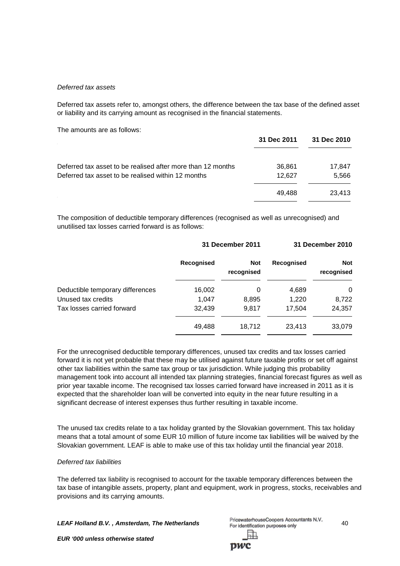#### *Deferred tax assets*

Deferred tax assets refer to, amongst others, the difference between the tax base of the defined asset or liability and its carrying amount as recognised in the financial statements.

The amounts are as follows:

|                                                             | 31 Dec 2011 | 31 Dec 2010 |
|-------------------------------------------------------------|-------------|-------------|
| Deferred tax asset to be realised after more than 12 months | 36,861      | 17,847      |
| Deferred tax asset to be realised within 12 months          | 12.627      | 5,566       |
|                                                             | 49.488      | 23.413      |

The composition of deductible temporary differences (recognised as well as unrecognised) and unutilised tax losses carried forward is as follows:

|                                  |            | <b>31 December 2011</b>  |            | 31 December 2010         |
|----------------------------------|------------|--------------------------|------------|--------------------------|
|                                  | Recognised | <b>Not</b><br>recognised | Recognised | <b>Not</b><br>recognised |
| Deductible temporary differences | 16,002     | 0                        | 4,689      | 0                        |
| Unused tax credits               | 1.047      | 8,895                    | 1,220      | 8,722                    |
| Tax losses carried forward       | 32,439     | 9.817                    | 17,504     | 24,357                   |
|                                  | 49,488     | 18,712                   | 23,413     | 33,079                   |

For the unrecognised deductible temporary differences, unused tax credits and tax losses carried forward it is not yet probable that these may be utilised against future taxable profits or set off against other tax liabilities within the same tax group or tax jurisdiction. While judging this probability management took into account all intended tax planning strategies, financial forecast figures as well as prior year taxable income. The recognised tax losses carried forward have increased in 2011 as it is expected that the shareholder loan will be converted into equity in the near future resulting in a significant decrease of interest expenses thus further resulting in taxable income.

The unused tax credits relate to a tax holiday granted by the Slovakian government. This tax holiday means that a total amount of some EUR 10 million of future income tax liabilities will be waived by the Slovakian government. LEAF is able to make use of this tax holiday until the financial year 2018.

#### *Deferred tax liabilities*

The deferred tax liability is recognised to account for the taxable temporary differences between the tax base of intangible assets, property, plant and equipment, work in progress, stocks, receivables and provisions and its carrying amounts.

**LEAF Holland B.V., Amsterdam, The Netherlands** PricewaterhouseCoopers Accountants N.V. 40<br>For identification purposes only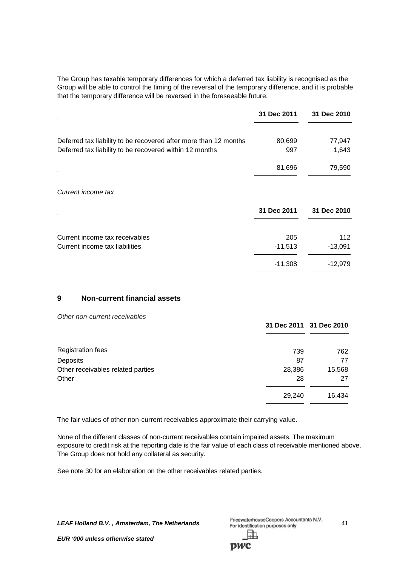The Group has taxable temporary differences for which a deferred tax liability is recognised as the Group will be able to control the timing of the reversal of the temporary difference, and it is probable that the temporary difference will be reversed in the foreseeable future.

|                                                                  | 31 Dec 2011 | 31 Dec 2010 |
|------------------------------------------------------------------|-------------|-------------|
| Deferred tax liability to be recovered after more than 12 months | 80,699      | 77,947      |
| Deferred tax liability to be recovered within 12 months          | 997         | 1,643       |
|                                                                  | 81,696      | 79,590      |
| Current income tax                                               |             |             |
|                                                                  | 31 Dec 2011 | 31 Dec 2010 |
| Current income tax receivables                                   | 205         | 112         |
| Current income tax liabilities                                   | $-11,513$   | $-13,091$   |
|                                                                  | $-11,308$   | $-12,979$   |

# **9 Non-current financial assets**

| Other non-current receivables     |        | 31 Dec 2011 31 Dec 2010 |
|-----------------------------------|--------|-------------------------|
| <b>Registration fees</b>          | 739    | 762                     |
| Deposits                          | 87     | 77                      |
| Other receivables related parties | 28,386 | 15,568                  |
| Other                             | 28     | 27                      |
|                                   | 29,240 | 16,434                  |

The fair values of other non-current receivables approximate their carrying value.

None of the different classes of non-current receivables contain impaired assets. The maximum exposure to credit risk at the reporting date is the fair value of each class of receivable mentioned above. The Group does not hold any collateral as security.

See note 30 for an elaboration on the other receivables related parties.

**LEAF Holland B.V., Amsterdam, The Netherlands** PricewaterhouseCoopers Accountants N.V. 41 訅

DWC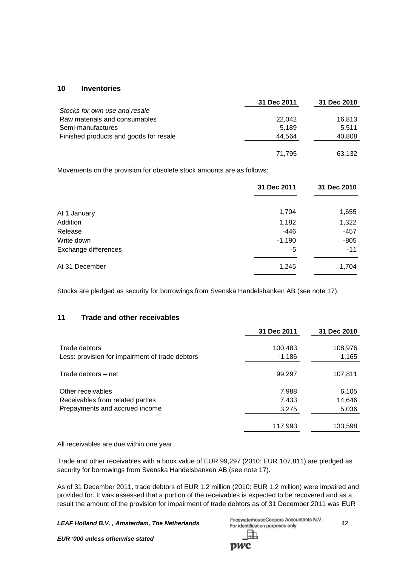## **10 Inventories**

|                                        | 31 Dec 2011 | 31 Dec 2010 |
|----------------------------------------|-------------|-------------|
| Stocks for own use and resale          |             |             |
| Raw materials and consumables          | 22,042      | 16,813      |
| Semi-manufactures                      | 5.189       | 5.511       |
| Finished products and goods for resale | 44,564      | 40,808      |
|                                        |             |             |
|                                        | 71.795      | 63,132      |

Movements on the provision for obsolete stock amounts are as follows:

|                      | 31 Dec 2011 | 31 Dec 2010 |
|----------------------|-------------|-------------|
| At 1 January         | 1,704       | 1,655       |
| Addition             | 1,182       | 1,322       |
| Release              | $-446$      | $-457$      |
| Write down           | $-1,190$    | $-805$      |
| Exchange differences | -5          | $-11$       |
| At 31 December       | 1,245       | 1,704       |

Stocks are pledged as security for borrowings from Svenska Handelsbanken AB (see note 17).

## **11 Trade and other receivables**

|                                                                                         | 31 Dec 2011             | 31 Dec 2010              |
|-----------------------------------------------------------------------------------------|-------------------------|--------------------------|
| Trade debtors<br>Less: provision for impairment of trade debtors                        | 100,483<br>$-1,186$     | 108,976<br>$-1,165$      |
| Trade debtors - net                                                                     | 99,297                  | 107,811                  |
| Other receivables<br>Receivables from related parties<br>Prepayments and accrued income | 7,988<br>7,433<br>3,275 | 6,105<br>14,646<br>5,036 |
|                                                                                         | 117,993                 | 133,598                  |

All receivables are due within one year.

Trade and other receivables with a book value of EUR 99,297 (2010: EUR 107,811) are pledged as security for borrowings from Svenska Handelsbanken AB (see note 17).

As of 31 December 2011, trade debtors of EUR 1.2 million (2010: EUR 1.2 million) were impaired and provided for. It was assessed that a portion of the receivables is expected to be recovered and as a result the amount of the provision for impairment of trade debtors as of 31 December 2011 was EUR

*LEAF Holland B.V. , Amsterdam, The Netherlands* 42

| PricewaterhouseCoopers Accountants N.V. |  |
|-----------------------------------------|--|
| For identification purposes only        |  |
| 駎                                       |  |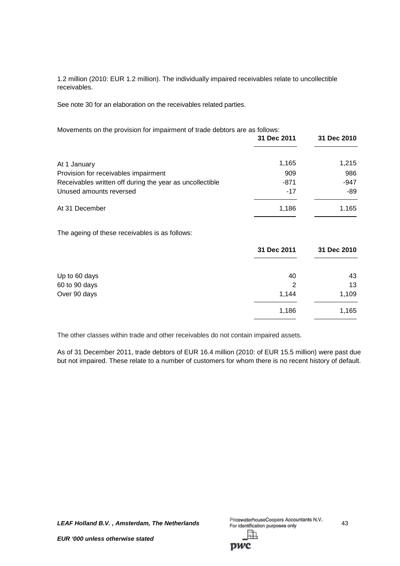1.2 million (2010: EUR 1.2 million). The individually impaired receivables relate to uncollectible receivables.

See note 30 for an elaboration on the receivables related parties.

| Movements on the provision for impairment of trade debtors are as follows:<br>31 Dec 2011 |       | 31 Dec 2010 |
|-------------------------------------------------------------------------------------------|-------|-------------|
| At 1 January                                                                              | 1,165 | 1,215       |
| Provision for receivables impairment                                                      | 909   | 986         |
| Receivables written off during the year as uncollectible                                  | -871  | -947        |
| Unused amounts reversed                                                                   | $-17$ | -89         |
| At 31 December                                                                            | 1.186 | 1.165       |
| The ageing of these receivables is as follows:                                            |       |             |

|               | 31 Dec 2011 | 31 Dec 2010 |
|---------------|-------------|-------------|
| Up to 60 days | 40          | 43          |
| 60 to 90 days | 2           | 13          |
| Over 90 days  | 1,144       | 1,109       |
|               | 1,186       | 1,165       |

The other classes within trade and other receivables do not contain impaired assets.

As of 31 December 2011, trade debtors of EUR 16.4 million (2010: of EUR 15.5 million) were past due but not impaired. These relate to a number of customers for whom there is no recent history of default.

*LEAF Holland B.V.*, *Amsterdam, The Netherlands* PricewaterhouseCoopers Accountants N.V. 43 駎

pwc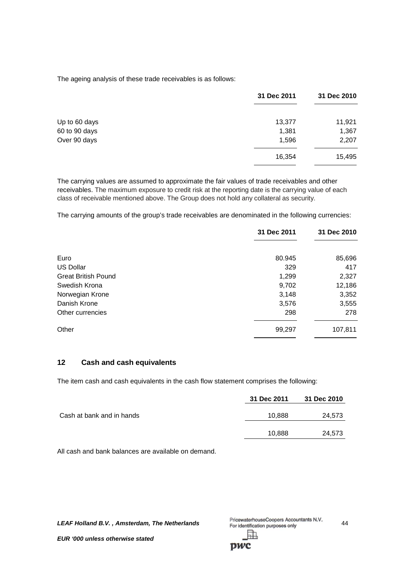The ageing analysis of these trade receivables is as follows:

|               | 31 Dec 2011 | 31 Dec 2010 |
|---------------|-------------|-------------|
| Up to 60 days | 13,377      | 11,921      |
| 60 to 90 days | 1,381       | 1,367       |
| Over 90 days  | 1,596       | 2,207       |
|               | 16,354      | 15,495      |

The carrying values are assumed to approximate the fair values of trade receivables and other receivables. The maximum exposure to credit risk at the reporting date is the carrying value of each class of receivable mentioned above. The Group does not hold any collateral as security.

The carrying amounts of the group's trade receivables are denominated in the following currencies:

|                            | 31 Dec 2011 | 31 Dec 2010 |
|----------------------------|-------------|-------------|
| Euro                       | 80.945      | 85,696      |
|                            |             |             |
| <b>US Dollar</b>           | 329         | 417         |
| <b>Great British Pound</b> | 1,299       | 2,327       |
| Swedish Krona              | 9,702       | 12,186      |
| Norwegian Krone            | 3,148       | 3,352       |
| Danish Krone               | 3,576       | 3,555       |
| Other currencies           | 298         | 278         |
| Other                      | 99,297      | 107,811     |

## **12 Cash and cash equivalents**

The item cash and cash equivalents in the cash flow statement comprises the following:

|                           | 31 Dec 2011 | 31 Dec 2010 |
|---------------------------|-------------|-------------|
| Cash at bank and in hands | 10,888      | 24,573      |
|                           | 10,888      | 24,573      |

All cash and bank balances are available on demand.

**LEAF Holland B.V., Amsterdam, The Netherlands** PricewaterhouseCoopers Accountants N.V. 44 閗

pwc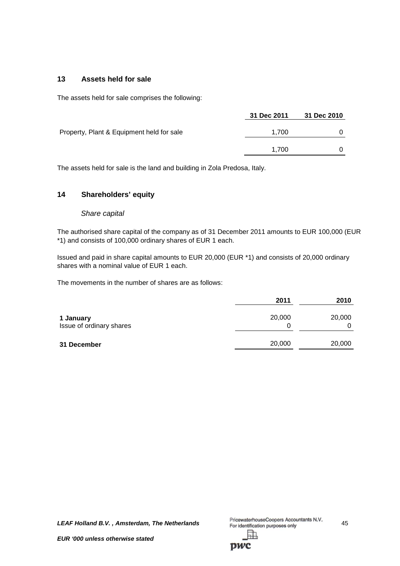# **13 Assets held for sale**

The assets held for sale comprises the following:

|                                           | 31 Dec 2011 | 31 Dec 2010 |
|-------------------------------------------|-------------|-------------|
| Property, Plant & Equipment held for sale | 1.700       | 0           |
|                                           | 1.700       |             |

The assets held for sale is the land and building in Zola Predosa, Italy.

## **14 Shareholders' equity**

#### *Share capital*

The authorised share capital of the company as of 31 December 2011 amounts to EUR 100,000 (EUR \*1) and consists of 100,000 ordinary shares of EUR 1 each.

Issued and paid in share capital amounts to EUR 20,000 (EUR \*1) and consists of 20,000 ordinary shares with a nominal value of EUR 1 each.

The movements in the number of shares are as follows:

|                                       | 2011        | 2010   |
|---------------------------------------|-------------|--------|
| 1 January<br>Issue of ordinary shares | 20,000<br>0 | 20,000 |
| 31 December                           | 20,000      | 20,000 |

*LEAF Holland B.V.*, *Amsterdam, The Netherlands* PricewaterhouseCoopers Accountants N.V. 45<br>For identification purposes only

閗

**DWC**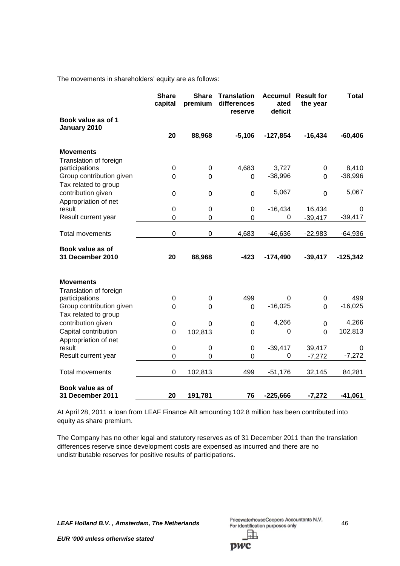The movements in shareholders' equity are as follows:

|                                      | <b>Share</b><br>capital | <b>Share</b><br>premium | <b>Translation</b><br>differences<br>reserve | <b>Accumul</b><br>ated<br>deficit | <b>Result for</b><br>the year | <b>Total</b> |
|--------------------------------------|-------------------------|-------------------------|----------------------------------------------|-----------------------------------|-------------------------------|--------------|
| Book value as of 1<br>January 2010   |                         |                         |                                              |                                   |                               |              |
|                                      | 20                      | 88,968                  | $-5,106$                                     | $-127,854$                        | $-16,434$                     | $-60,406$    |
| Movements                            |                         |                         |                                              |                                   |                               |              |
| Translation of foreign               |                         |                         |                                              |                                   |                               |              |
| participations                       | 0                       | 0                       | 4,683                                        | 3,727                             | 0                             | 8,410        |
| Group contribution given             | 0                       | $\Omega$                | 0                                            | $-38,996$                         | $\Omega$                      | $-38,996$    |
| Tax related to group                 |                         |                         |                                              |                                   |                               |              |
| contribution given                   | 0                       | $\mathbf 0$             | $\mathbf 0$                                  | 5,067                             | $\mathbf 0$                   | 5,067        |
| Appropriation of net                 |                         |                         |                                              |                                   |                               |              |
| result                               | 0                       | 0                       | $\mathbf 0$                                  | $-16,434$                         | 16,434                        | 0            |
| Result current year                  | 0                       | 0                       | $\Omega$                                     | 0                                 | $-39,417$                     | $-39,417$    |
| <b>Total movements</b>               | $\mathbf 0$             | 0                       | 4,683                                        | -46,636                           | $-22,983$                     | $-64,936$    |
|                                      |                         |                         |                                              |                                   |                               |              |
| Book value as of<br>31 December 2010 | 20                      | 88,968                  | $-423$                                       | $-174,490$                        | $-39,417$                     | $-125,342$   |
| <b>Movements</b>                     |                         |                         |                                              |                                   |                               |              |
| Translation of foreign               |                         |                         |                                              |                                   |                               |              |
| participations                       | 0                       | 0                       | 499                                          | 0                                 | 0                             | 499          |
| Group contribution given             | 0                       | 0                       | $\overline{0}$                               | $-16,025$                         | $\Omega$                      | $-16,025$    |
| Tax related to group                 |                         |                         |                                              |                                   |                               |              |
| contribution given                   | $\boldsymbol{0}$        | $\overline{0}$          | $\mathbf 0$                                  | 4,266                             | $\mathbf 0$                   | 4,266        |
| Capital contribution                 | $\mathbf 0$             | 102,813                 | $\mathbf 0$                                  | $\mathbf 0$                       | $\overline{0}$                | 102,813      |
| Appropriation of net                 |                         |                         |                                              |                                   |                               |              |
| result                               | 0                       | 0                       | 0                                            | $-39,417$                         | 39,417                        | 0            |
| Result current year                  | 0                       | 0                       | 0                                            | 0                                 | $-7,272$                      | $-7,272$     |
| <b>Total movements</b>               | $\mathbf 0$             | 102,813                 | 499                                          | $-51,176$                         | 32,145                        | 84,281       |
| Book value as of<br>31 December 2011 | 20                      | 191,781                 | 76                                           | $-225,666$                        | $-7,272$                      | $-41,061$    |

At April 28, 2011 a loan from LEAF Finance AB amounting 102.8 million has been contributed into equity as share premium.

The Company has no other legal and statutory reserves as of 31 December 2011 than the translation differences reserve since development costs are expensed as incurred and there are no undistributable reserves for positive results of participations.

**LEAF Holland B.V., Amsterdam, The Netherlands** PricewaterhouseCoopers Accountants N.V. 46 駎

**DWC**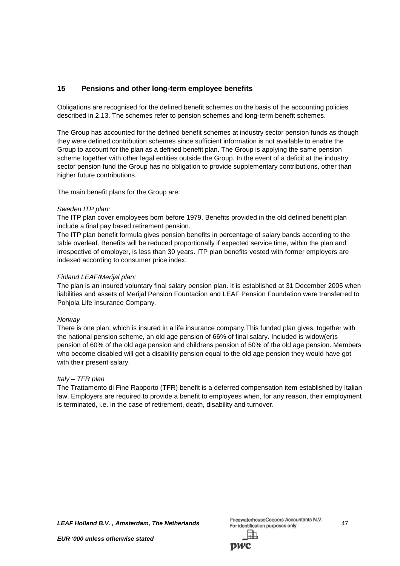# **15 Pensions and other long-term employee benefits**

Obligations are recognised for the defined benefit schemes on the basis of the accounting policies described in 2.13. The schemes refer to pension schemes and long-term benefit schemes.

The Group has accounted for the defined benefit schemes at industry sector pension funds as though they were defined contribution schemes since sufficient information is not available to enable the Group to account for the plan as a defined benefit plan. The Group is applying the same pension scheme together with other legal entities outside the Group. In the event of a deficit at the industry sector pension fund the Group has no obligation to provide supplementary contributions, other than higher future contributions.

The main benefit plans for the Group are:

#### *Sweden ITP plan:*

The ITP plan cover employees born before 1979. Benefits provided in the old defined benefit plan include a final pay based retirement pension.

The ITP plan benefit formula gives pension benefits in percentage of salary bands according to the table overleaf. Benefits will be reduced proportionally if expected service time, within the plan and irrespective of employer, is less than 30 years. ITP plan benefits vested with former employers are indexed according to consumer price index.

## *Finland LEAF/Merijal plan:*

The plan is an insured voluntary final salary pension plan. It is established at 31 December 2005 when liabilities and assets of Merijal Pension Fountadion and LEAF Pension Foundation were transferred to Pohjola Life Insurance Company.

## *Norway*

There is one plan, which is insured in a life insurance company.This funded plan gives, together with the national pension scheme, an old age pension of 66% of final salary. Included is widow(er)s pension of 60% of the old age pension and childrens pension of 50% of the old age pension. Members who become disabled will get a disability pension equal to the old age pension they would have got with their present salary.

## *Italy – TFR plan*

The Trattamento di Fine Rapporto (TFR) benefit is a deferred compensation item established by Italian law. Employers are required to provide a benefit to employees when, for any reason, their employment is terminated, i.e. in the case of retirement, death, disability and turnover.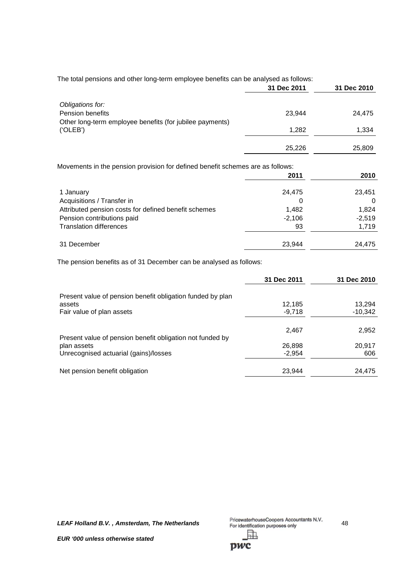|                                                                                | 31 Dec 2011 | 31 Dec 2010 |
|--------------------------------------------------------------------------------|-------------|-------------|
| Obligations for:                                                               |             |             |
| <b>Pension benefits</b>                                                        | 23.944      | 24,475      |
| Other long-term employee benefits (for jubilee payments)                       |             |             |
| (°OLEB')                                                                       | 1,282       | 1,334       |
|                                                                                |             |             |
|                                                                                | 25,226      | 25,809      |
| Movements in the nension provision for defined benefit schemes are as follows: |             |             |

The total pensions and other long-term employee benefits can be analysed as follows:

Movements in the pension provision for defined benefit schemes are as follows:

|                                                      | 2011     | 2010     |
|------------------------------------------------------|----------|----------|
| 1 January                                            | 24,475   | 23,451   |
| Acquisitions / Transfer in                           | 0        |          |
| Attributed pension costs for defined benefit schemes | 1,482    | 1,824    |
| Pension contributions paid                           | $-2,106$ | $-2,519$ |
| <b>Translation differences</b>                       | 93       | 1,719    |
| 31 December                                          | 23,944   | 24.475   |

The pension benefits as of 31 December can be analysed as follows:

|                                                                          | 31 Dec 2011 | 31 Dec 2010 |
|--------------------------------------------------------------------------|-------------|-------------|
| Present value of pension benefit obligation funded by plan               |             |             |
| assets                                                                   | 12.185      | 13.294      |
| Fair value of plan assets                                                | $-9,718$    | $-10,342$   |
|                                                                          | 2,467       | 2,952       |
| Present value of pension benefit obligation not funded by<br>plan assets | 26,898      | 20,917      |
| Unrecognised actuarial (gains)/losses                                    | $-2.954$    | 606         |
| Net pension benefit obligation                                           | 23.944      | 24,475      |

**LEAF Holland B.V., Amsterdam, The Netherlands** PricewaterhouseCoopers Accountants N.V. 48 駎

pwc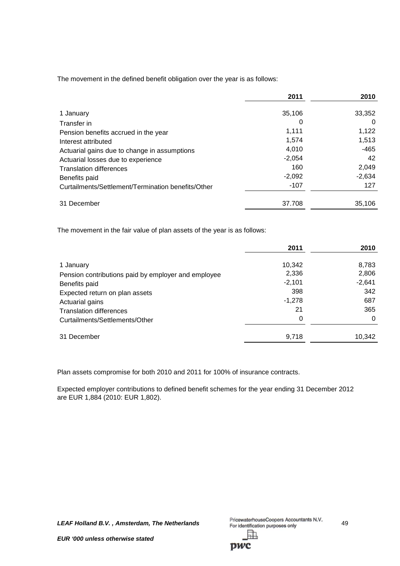The movement in the defined benefit obligation over the year is as follows:

|                                                    | 2011     | 2010     |
|----------------------------------------------------|----------|----------|
| 1 January                                          | 35,106   | 33,352   |
| Transfer in                                        | 0        | 0        |
| Pension benefits accrued in the year               | 1,111    | 1,122    |
| Interest attributed                                | 1.574    | 1,513    |
| Actuarial gains due to change in assumptions       | 4.010    | $-465$   |
| Actuarial losses due to experience                 | $-2,054$ | 42       |
| <b>Translation differences</b>                     | 160      | 2,049    |
| Benefits paid                                      | $-2,092$ | $-2,634$ |
| Curtailments/Settlement/Termination benefits/Other | $-107$   | 127      |
| 31 December                                        | 37.708   | 35,106   |

The movement in the fair value of plan assets of the year is as follows:

|                                                     | 2011     | 2010     |
|-----------------------------------------------------|----------|----------|
| 1 January                                           | 10,342   | 8,783    |
| Pension contributions paid by employer and employee | 2,336    | 2,806    |
| Benefits paid                                       | $-2,101$ | $-2,641$ |
| Expected return on plan assets                      | 398      | 342      |
| Actuarial gains                                     | $-1,278$ | 687      |
| <b>Translation differences</b>                      | 21       | 365      |
| Curtailments/Settlements/Other                      | 0        | 0        |
| 31 December                                         | 9,718    | 10,342   |

Plan assets compromise for both 2010 and 2011 for 100% of insurance contracts.

Expected employer contributions to defined benefit schemes for the year ending 31 December 2012 are EUR 1,884 (2010: EUR 1,802).

**LEAF Holland B.V., Amsterdam, The Netherlands** PricewaterhouseCoopers Accountants N.V. 49 訕

**DWC**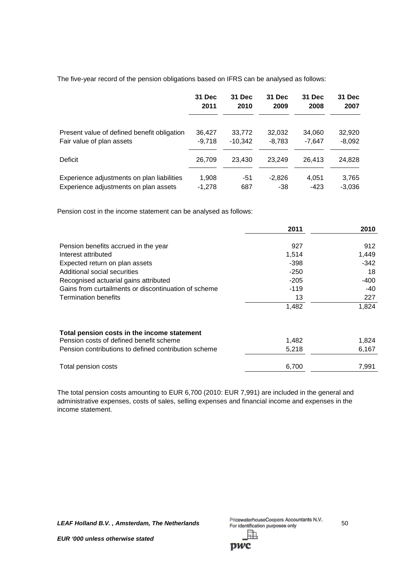The five-year record of the pension obligations based on IFRS can be analysed as follows:

|                                             | 31 Dec   | 31 Dec    | 31 Dec   | 31 Dec   | 31 Dec   |
|---------------------------------------------|----------|-----------|----------|----------|----------|
|                                             | 2011     | 2010      | 2009     | 2008     | 2007     |
| Present value of defined benefit obligation | 36,427   | 33,772    | 32,032   | 34,060   | 32,920   |
| Fair value of plan assets                   | $-9.718$ | $-10.342$ | $-8,783$ | $-7.647$ | $-8,092$ |
| Deficit                                     | 26,709   | 23.430    | 23.249   | 26.413   | 24,828   |
| Experience adjustments on plan liabilities  | 1,908    | -51       | -2.826   | 4,051    | 3,765    |
| Experience adjustments on plan assets       | $-1.278$ | 687       | -38      | $-423$   | $-3.036$ |

Pension cost in the income statement can be analysed as follows:

|                                                                                        | 2011   | 2010   |
|----------------------------------------------------------------------------------------|--------|--------|
|                                                                                        |        |        |
| Pension benefits accrued in the year                                                   | 927    | 912    |
| Interest attributed                                                                    | 1,514  | 1,449  |
| Expected return on plan assets                                                         | -398   | $-342$ |
| Additional social securities                                                           | $-250$ | 18     |
| Recognised actuarial gains attributed                                                  | $-205$ | -400   |
| Gains from curtailments or discontinuation of scheme                                   | $-119$ | -40    |
| <b>Termination benefits</b>                                                            | 13     | 227    |
|                                                                                        | 1,482  | 1,824  |
| Total pension costs in the income statement<br>Pension costs of defined benefit scheme | 1,482  | 1,824  |
|                                                                                        |        |        |
| Pension contributions to defined contribution scheme                                   | 5,218  | 6,167  |
| Total pension costs                                                                    | 6,700  | 7,991  |

The total pension costs amounting to EUR 6,700 (2010: EUR 7,991) are included in the general and administrative expenses, costs of sales, selling expenses and financial income and expenses in the income statement.

*LEAF Holland B.V.*, *Amsterdam, The Netherlands* PricewaterhouseCoopers Accountants N.V. 50<br>For identification purposes only 駎

**pwc**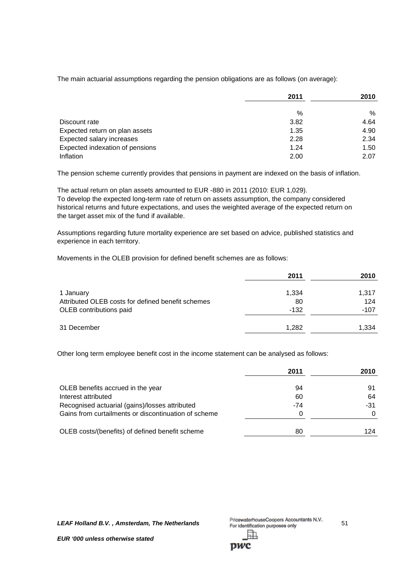The main actuarial assumptions regarding the pension obligations are as follows (on average):

|                                 | 2011 | 2010 |  |
|---------------------------------|------|------|--|
|                                 | $\%$ | $\%$ |  |
| Discount rate                   | 3.82 | 4.64 |  |
| Expected return on plan assets  | 1.35 | 4.90 |  |
| Expected salary increases       | 2.28 | 2.34 |  |
| Expected indexation of pensions | 1.24 | 1.50 |  |
| Inflation                       | 2.00 | 2.07 |  |

The pension scheme currently provides that pensions in payment are indexed on the basis of inflation.

The actual return on plan assets amounted to EUR -880 in 2011 (2010: EUR 1,029). To develop the expected long-term rate of return on assets assumption, the company considered historical returns and future expectations, and uses the weighted average of the expected return on the target asset mix of the fund if available.

Assumptions regarding future mortality experience are set based on advice, published statistics and experience in each territory.

Movements in the OLEB provision for defined benefit schemes are as follows:

|                                                                                           | 2011                  | 2010                   |
|-------------------------------------------------------------------------------------------|-----------------------|------------------------|
| 1 January<br>Attributed OLEB costs for defined benefit schemes<br>OLEB contributions paid | 1,334<br>80<br>$-132$ | 1,317<br>124<br>$-107$ |
| 31 December                                                                               | 1,282                 | 1,334                  |

Other long term employee benefit cost in the income statement can be analysed as follows:

|                                                      | 2011  | 2010 |
|------------------------------------------------------|-------|------|
| OLEB benefits accrued in the year                    | 94    | 91   |
| Interest attributed                                  | 60    | 64   |
| Recognised actuarial (gains)/losses attributed       | $-74$ | -31  |
| Gains from curtailments or discontinuation of scheme |       | 0    |
| OLEB costs/(benefits) of defined benefit scheme      | 80    | 124  |

*LEAF Holland B.V.*, *Amsterdam, The Netherlands* PricewaterhouseCoopers Accountants N.V. 51<br>For identification purposes only

DWC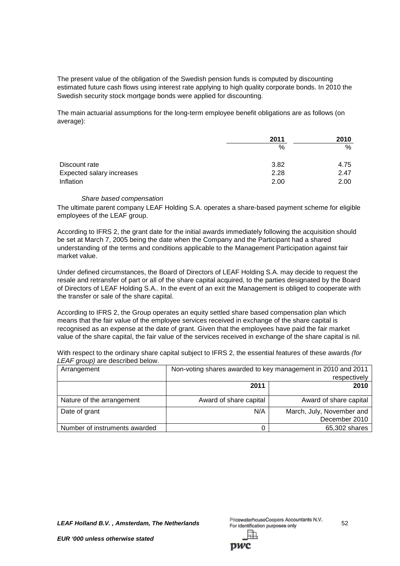The present value of the obligation of the Swedish pension funds is computed by discounting estimated future cash flows using interest rate applying to high quality corporate bonds. In 2010 the Swedish security stock mortgage bonds were applied for discounting.

The main actuarial assumptions for the long-term employee benefit obligations are as follows (on average):

|                           | 2011 | 2010 |  |
|---------------------------|------|------|--|
|                           | %    | %    |  |
| Discount rate             | 3.82 | 4.75 |  |
| Expected salary increases | 2.28 | 2.47 |  |
| Inflation                 | 2.00 | 2.00 |  |

#### *Share based compensation*

The ultimate parent company LEAF Holding S.A. operates a share-based payment scheme for eligible employees of the LEAF group.

According to IFRS 2, the grant date for the initial awards immediately following the acquisition should be set at March 7, 2005 being the date when the Company and the Participant had a shared understanding of the terms and conditions applicable to the Management Participation against fair market value.

Under defined circumstances, the Board of Directors of LEAF Holding S.A. may decide to request the resale and retransfer of part or all of the share capital acquired, to the parties designated by the Board of Directors of LEAF Holding S.A.. In the event of an exit the Management is obliged to cooperate with the transfer or sale of the share capital.

According to IFRS 2, the Group operates an equity settled share based compensation plan which means that the fair value of the employee services received in exchange of the share capital is recognised as an expense at the date of grant. Given that the employees have paid the fair market value of the share capital, the fair value of the services received in exchange of the share capital is nil.

| With respect to the ordinary share capital subject to IFRS 2, the essential features of these awards (for |  |
|-----------------------------------------------------------------------------------------------------------|--|
| LEAF group) are described below.                                                                          |  |

| Arrangement                   | Non-voting shares awarded to key management in 2010 and 2011<br>respectively |                                            |  |
|-------------------------------|------------------------------------------------------------------------------|--------------------------------------------|--|
|                               | 2011                                                                         | 2010                                       |  |
| Nature of the arrangement     | Award of share capital                                                       | Award of share capital                     |  |
| Date of grant                 | N/A                                                                          | March, July, November and<br>December 2010 |  |
| Number of instruments awarded |                                                                              | 65,302 shares                              |  |

*LEAF Holland B.V. , Amsterdam, The Netherlands* 52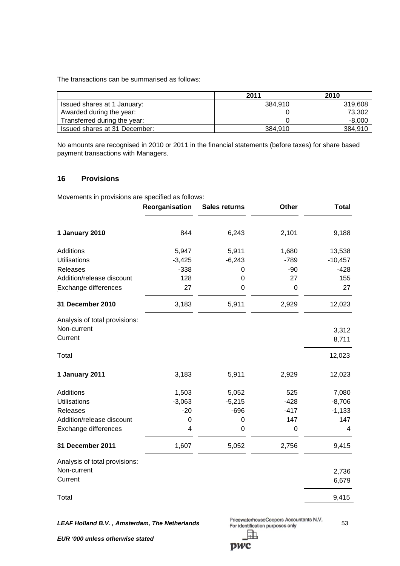The transactions can be summarised as follows:

|                               | 2011    | 2010     |
|-------------------------------|---------|----------|
| Issued shares at 1 January:   | 384.910 | 319,608  |
| Awarded during the year:      |         | 73,302   |
| Transferred during the year:  |         | $-8,000$ |
| Issued shares at 31 December: | 384.910 | 384.910  |

No amounts are recognised in 2010 or 2011 in the financial statements (before taxes) for share based payment transactions with Managers.

## **16 Provisions**

Movements in provisions are specified as follows:

|                               | Reorganisation | <b>Sales returns</b> | Other       | <b>Total</b>   |
|-------------------------------|----------------|----------------------|-------------|----------------|
| 1 January 2010                | 844            | 6,243                | 2,101       | 9,188          |
| Additions                     | 5,947          | 5,911                | 1,680       | 13,538         |
| <b>Utilisations</b>           | $-3,425$       | $-6,243$             | $-789$      | $-10,457$      |
| Releases                      | $-338$         | 0                    | $-90$       | $-428$         |
| Addition/release discount     | 128            | 0                    | 27          | 155            |
| Exchange differences          | 27             | 0                    | 0           | 27             |
| 31 December 2010              | 3,183          | 5,911                | 2,929       | 12,023         |
| Analysis of total provisions: |                |                      |             |                |
| Non-current<br>Current        |                |                      |             | 3,312<br>8,711 |
| Total                         |                |                      |             | 12,023         |
| 1 January 2011                | 3,183          | 5,911                | 2,929       | 12,023         |
| Additions                     | 1,503          | 5,052                | 525         | 7,080          |
| <b>Utilisations</b>           | $-3,063$       | $-5,215$             | $-428$      | $-8,706$       |
| <b>Releases</b>               | $-20$          | $-696$               | $-417$      | $-1,133$       |
| Addition/release discount     | 0              | 0                    | 147         | 147            |
| Exchange differences          | 4              | 0                    | $\mathbf 0$ | 4              |
| 31 December 2011              | 1,607          | 5,052                | 2,756       | 9,415          |
| Analysis of total provisions: |                |                      |             |                |
| Non-current                   |                |                      |             | 2,736          |
| Current                       |                |                      |             | 6,679          |
| Total                         |                |                      |             | 9,415          |

*LEAF Holland B.V. , Amsterdam, The Netherlands* 53 駎

pwc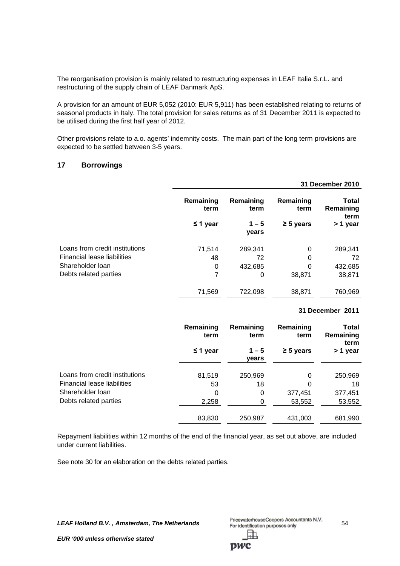The reorganisation provision is mainly related to restructuring expenses in LEAF Italia S.r.L. and restructuring of the supply chain of LEAF Danmark ApS.

A provision for an amount of EUR 5,052 (2010: EUR 5,911) has been established relating to returns of seasonal products in Italy. The total provision for sales returns as of 31 December 2011 is expected to be utilised during the first half year of 2012.

Other provisions relate to a.o. agents' indemnity costs. The main part of the long term provisions are expected to be settled between 3-5 years.

# **17 Borrowings**

|                                |                   |                   |                   | <b>31 December 2010</b>    |
|--------------------------------|-------------------|-------------------|-------------------|----------------------------|
|                                | Remaining<br>term | Remaining<br>term | Remaining<br>term | Total<br>Remaining<br>term |
|                                | $\leq$ 1 year     | $1 - 5$<br>years  | $\geq$ 5 years    | > 1 year                   |
| Loans from credit institutions | 71,514            | 289,341           | 0                 | 289,341                    |
| Financial lease liabilities    | 48                | 72                | 0                 | 72                         |
| Shareholder Ioan               | 0                 | 432,685           | $\Omega$          | 432,685                    |
| Debts related parties          |                   | 0                 | 38,871            | 38,871                     |
|                                | 71,569            | 722,098           | 38,871            | 760,969                    |

#### **31 December 2011**

|                                                               | Remaining<br>term | Remaining<br>term | Remaining<br>term | <b>Total</b><br>Remaining<br>term |
|---------------------------------------------------------------|-------------------|-------------------|-------------------|-----------------------------------|
|                                                               | $\leq$ 1 year     | $1 - 5$<br>years  | $\geq 5$ years    | > 1 year                          |
| Loans from credit institutions<br>Financial lease liabilities | 81,519<br>53      | 250,969<br>18     | 0<br>0            | 250,969<br>18                     |
| Shareholder loan<br>Debts related parties                     | 0<br>2,258        | 0<br>0            | 377,451<br>53,552 | 377,451<br>53,552                 |
|                                                               | 83,830            | 250,987           | 431,003           | 681,990                           |

Repayment liabilities within 12 months of the end of the financial year, as set out above, are included under current liabilities.

See note 30 for an elaboration on the debts related parties.

**LEAF Holland B.V., Amsterdam, The Netherlands** PricewaterhouseCoopers Accountants N.V. 54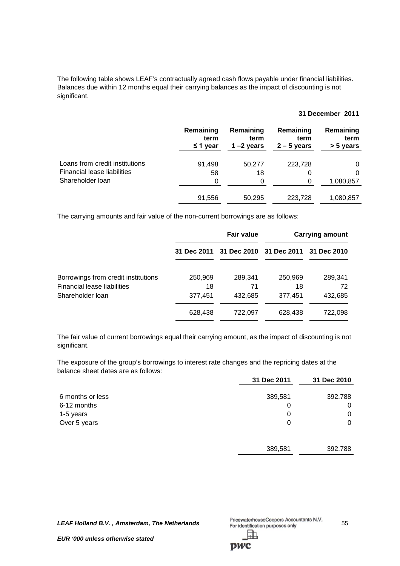The following table shows LEAF's contractually agreed cash flows payable under financial liabilities. Balances due within 12 months equal their carrying balances as the impact of discounting is not significant.

|                                |                                    |                                   |                                    | 31 December 2011               |
|--------------------------------|------------------------------------|-----------------------------------|------------------------------------|--------------------------------|
|                                | Remaining<br>term<br>$\leq$ 1 year | Remaining<br>term<br>1 $-2$ years | Remaining<br>term<br>$2 - 5$ years | Remaining<br>term<br>> 5 years |
| Loans from credit institutions | 91,498                             | 50,277                            | 223,728                            | 0                              |
| Financial lease liabilities    | 58                                 | 18                                | 0                                  | 0                              |
| Shareholder loan               | 0                                  | 0                                 | 0                                  | 1,080,857                      |
|                                | 91,556                             | 50,295                            | 223,728                            | 1,080,857                      |

The carrying amounts and fair value of the non-current borrowings are as follows:

|                                                        |               | <b>Fair value</b>                               |               | <b>Carrying amount</b> |
|--------------------------------------------------------|---------------|-------------------------------------------------|---------------|------------------------|
|                                                        |               | 31 Dec 2011 31 Dec 2010 31 Dec 2011 31 Dec 2010 |               |                        |
| Borrowings from credit institutions                    | 250,969       | 289,341                                         | 250,969       | 289,341                |
| <b>Financial lease liabilities</b><br>Shareholder Ioan | 18<br>377,451 | 71<br>432,685                                   | 18<br>377,451 | 72<br>432,685          |
|                                                        | 628,438       | 722,097                                         | 628,438       | 722,098                |

The fair value of current borrowings equal their carrying amount, as the impact of discounting is not significant.

The exposure of the group's borrowings to interest rate changes and the repricing dates at the balance sheet dates are as follows:

|                  | 31 Dec 2011 | 31 Dec 2010 |
|------------------|-------------|-------------|
| 6 months or less | 389,581     | 392,788     |
| 6-12 months      | 0           | 0           |
| 1-5 years        | 0           | 0           |
| Over 5 years     | 0           | 0           |
|                  |             |             |
|                  | 389,581     | 392,788     |

*LEAF Holland B.V. , Amsterdam, The Netherlands* 55 訕

**DWC**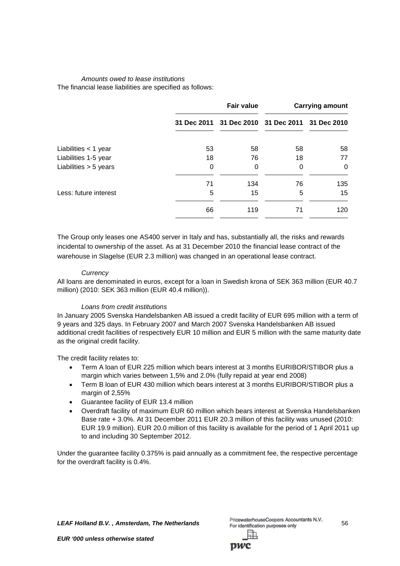# *Amounts owed to lease institutions*

The financial lease liabilities are specified as follows:

|                         |    | <b>Fair value</b>                               |    | <b>Carrying amount</b> |
|-------------------------|----|-------------------------------------------------|----|------------------------|
|                         |    | 31 Dec 2011 31 Dec 2010 31 Dec 2011 31 Dec 2010 |    |                        |
| Liabilities $<$ 1 year  | 53 | 58                                              | 58 | 58                     |
| Liabilities 1-5 year    | 18 | 76                                              | 18 | 77                     |
| Liabilities $> 5$ years | 0  | 0                                               | 0  | 0                      |
|                         | 71 | 134                                             | 76 | 135                    |
| Less: future interest   | 5  | 15                                              | 5  | 15                     |
|                         | 66 | 119                                             | 71 | 120                    |

The Group only leases one AS400 server in Italy and has, substantially all, the risks and rewards incidental to ownership of the asset. As at 31 December 2010 the financial lease contract of the warehouse in Slagelse (EUR 2.3 million) was changed in an operational lease contract.

## *Currency*

All loans are denominated in euros, except for a loan in Swedish krona of SEK 363 million (EUR 40.7 million) (2010: SEK 363 million (EUR 40.4 million)).

# *Loans from credit institutions*

In January 2005 Svenska Handelsbanken AB issued a credit facility of EUR 695 million with a term of 9 years and 325 days. In February 2007 and March 2007 Svenska Handelsbanken AB issued additional credit facilities of respectively EUR 10 million and EUR 5 million with the same maturity date as the original credit facility.

The credit facility relates to:

- Term A loan of EUR 225 million which bears interest at 3 months EURIBOR/STIBOR plus a margin which varies between 1,5% and 2.0% (fully repaid at year end 2008)
- Term B loan of EUR 430 million which bears interest at 3 months EURIBOR/STIBOR plus a margin of 2,55%
- Guarantee facility of EUR 13.4 million
- Overdraft facility of maximum EUR 60 million which bears interest at Svenska Handelsbanken Base rate + 3.0%. At 31 December 2011 EUR 20.3 million of this facility was unused (2010: EUR 19.9 million). EUR 20.0 million of this facility is available for the period of 1 April 2011 up to and including 30 September 2012.

Under the guarantee facility 0.375% is paid annually as a commitment fee, the respective percentage for the overdraft facility is 0.4%.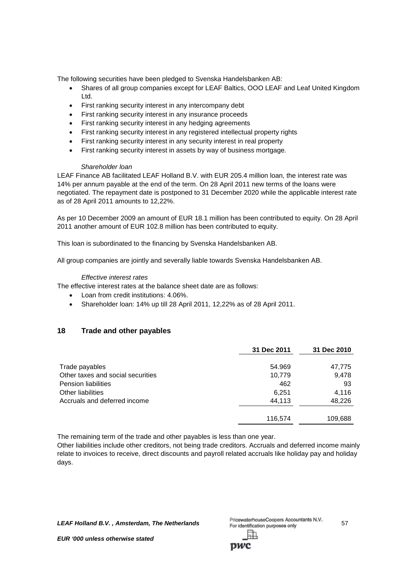The following securities have been pledged to Svenska Handelsbanken AB:

- Shares of all group companies except for LEAF Baltics, OOO LEAF and Leaf United Kingdom Ltd.
- First ranking security interest in any intercompany debt
- First ranking security interest in any insurance proceeds
- First ranking security interest in any hedging agreements
- First ranking security interest in any registered intellectual property rights
- First ranking security interest in any security interest in real property
- First ranking security interest in assets by way of business mortgage.

#### *Shareholder loan*

LEAF Finance AB facilitated LEAF Holland B.V. with EUR 205.4 million loan, the interest rate was 14% per annum payable at the end of the term. On 28 April 2011 new terms of the loans were negotiated. The repayment date is postponed to 31 December 2020 while the applicable interest rate as of 28 April 2011 amounts to 12,22%.

As per 10 December 2009 an amount of EUR 18.1 million has been contributed to equity. On 28 April 2011 another amount of EUR 102.8 million has been contributed to equity.

This loan is subordinated to the financing by Svenska Handelsbanken AB.

All group companies are jointly and severally liable towards Svenska Handelsbanken AB.

#### *Effective interest rates*

The effective interest rates at the balance sheet date are as follows:

- Loan from credit institutions: 4.06%.
- Shareholder loan: 14% up till 28 April 2011, 12,22% as of 28 April 2011.

# **18 Trade and other payables**

|                                   | 31 Dec 2011 | 31 Dec 2010 |
|-----------------------------------|-------------|-------------|
| Trade payables                    | 54.969      | 47,775      |
| Other taxes and social securities | 10,779      | 9,478       |
| <b>Pension liabilities</b>        | 462         | 93          |
| Other liabilities                 | 6,251       | 4,116       |
| Accruals and deferred income      | 44,113      | 48,226      |
|                                   | 116,574     | 109,688     |

The remaining term of the trade and other payables is less than one year.

Other liabilities include other creditors, not being trade creditors. Accruals and deferred income mainly relate to invoices to receive, direct discounts and payroll related accruals like holiday pay and holiday days.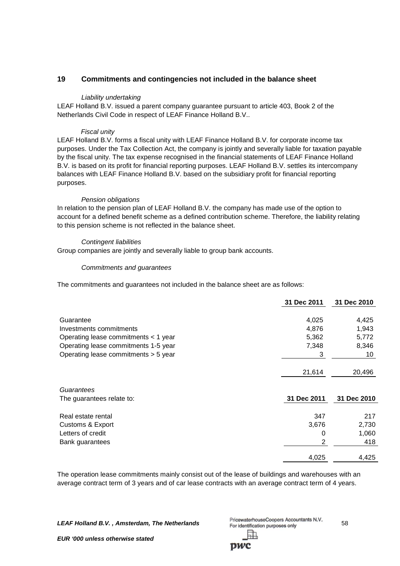# **19 Commitments and contingencies not included in the balance sheet**

## *Liability undertaking*

LEAF Holland B.V. issued a parent company guarantee pursuant to article 403, Book 2 of the Netherlands Civil Code in respect of LEAF Finance Holland B.V..

## *Fiscal unity*

LEAF Holland B.V. forms a fiscal unity with LEAF Finance Holland B.V. for corporate income tax purposes. Under the Tax Collection Act, the company is jointly and severally liable for taxation payable by the fiscal unity. The tax expense recognised in the financial statements of LEAF Finance Holland B.V. is based on its profit for financial reporting purposes. LEAF Holland B.V. settles its intercompany balances with LEAF Finance Holland B.V. based on the subsidiary profit for financial reporting purposes.

#### *Pension obligations*

In relation to the pension plan of LEAF Holland B.V. the company has made use of the option to account for a defined benefit scheme as a defined contribution scheme. Therefore, the liability relating to this pension scheme is not reflected in the balance sheet.

## *Contingent liabilities*

Group companies are jointly and severally liable to group bank accounts.

## *Commitments and guarantees*

The commitments and guarantees not included in the balance sheet are as follows:

|                                      | 31 Dec 2011    | 31 Dec 2010 |
|--------------------------------------|----------------|-------------|
|                                      |                |             |
| Guarantee                            | 4,025          | 4,425       |
| Investments commitments              | 4,876          | 1,943       |
| Operating lease commitments < 1 year | 5,362          | 5,772       |
| Operating lease commitments 1-5 year | 7,348          | 8,346       |
| Operating lease commitments > 5 year | 3              | 10          |
|                                      |                |             |
|                                      | 21,614         | 20,496      |
|                                      |                |             |
| Guarantees                           |                |             |
| The guarantees relate to:            | 31 Dec 2011    | 31 Dec 2010 |
| Real estate rental                   | 347            | 217         |
| Customs & Export                     | 3,676          | 2,730       |
| Letters of credit                    | 0              | 1,060       |
| Bank guarantees                      | $\overline{2}$ | 418         |
|                                      | 4,025          | 4,425       |
|                                      |                |             |

The operation lease commitments mainly consist out of the lease of buildings and warehouses with an average contract term of 3 years and of car lease contracts with an average contract term of 4 years.

**LEAF Holland B.V., Amsterdam, The Netherlands** PricewaterhouseCoopers Accountants N.V. 58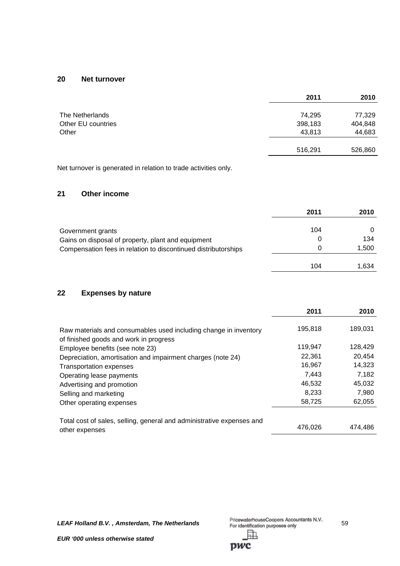# **20 Net turnover**

|                    | 2011    | 2010    |
|--------------------|---------|---------|
| The Netherlands    | 74,295  | 77,329  |
| Other EU countries | 398,183 | 404,848 |
| Other              | 43,813  | 44,683  |
|                    | 516,291 | 526,860 |
|                    |         |         |

Net turnover is generated in relation to trade activities only.

# **21 Other income**

|                                                                | 2011 | 2010  |
|----------------------------------------------------------------|------|-------|
| Government grants                                              | 104  |       |
| Gains on disposal of property, plant and equipment             |      | 134   |
| Compensation fees in relation to discontinued distributorships | 0    | 1,500 |
|                                                                | 104  | 1,634 |

# **22 Expenses by nature**

|                                                                                                            | 2011    | 2010    |
|------------------------------------------------------------------------------------------------------------|---------|---------|
| Raw materials and consumables used including change in inventory<br>of finished goods and work in progress | 195,818 | 189,031 |
| Employee benefits (see note 23)                                                                            | 119,947 | 128,429 |
| Depreciation, amortisation and impairment charges (note 24)                                                | 22.361  | 20,454  |
| <b>Transportation expenses</b>                                                                             | 16,967  | 14,323  |
| Operating lease payments                                                                                   | 7.443   | 7,182   |
| Advertising and promotion                                                                                  | 46,532  | 45,032  |
| Selling and marketing                                                                                      | 8.233   | 7,980   |
| Other operating expenses                                                                                   | 58,725  | 62,055  |
| Total cost of sales, selling, general and administrative expenses and                                      |         |         |
| other expenses                                                                                             | 476,026 | 474,486 |

*LEAF Holland B.V. , Amsterdam, The Netherlands* 59 駎

pwc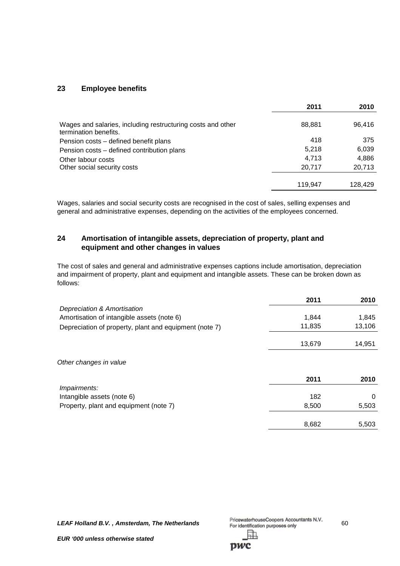# **23 Employee benefits**

|                                                                                      | 2011    | 2010    |
|--------------------------------------------------------------------------------------|---------|---------|
| Wages and salaries, including restructuring costs and other<br>termination benefits. | 88,881  | 96,416  |
| Pension costs – defined benefit plans                                                | 418     | 375     |
| Pension costs - defined contribution plans                                           | 5,218   | 6,039   |
| Other labour costs                                                                   | 4,713   | 4,886   |
| Other social security costs                                                          | 20,717  | 20,713  |
|                                                                                      | 119.947 | 128,429 |

Wages, salaries and social security costs are recognised in the cost of sales, selling expenses and general and administrative expenses, depending on the activities of the employees concerned.

# **24 Amortisation of intangible assets, depreciation of property, plant and equipment and other changes in values**

The cost of sales and general and administrative expenses captions include amortisation, depreciation and impairment of property, plant and equipment and intangible assets. These can be broken down as follows:

|                                                        | 2011   | 2010     |
|--------------------------------------------------------|--------|----------|
| Depreciation & Amortisation                            |        |          |
| Amortisation of intangible assets (note 6)             | 1,844  | 1,845    |
| Depreciation of property, plant and equipment (note 7) | 11,835 | 13,106   |
|                                                        | 13,679 | 14,951   |
| Other changes in value                                 |        |          |
|                                                        | 2011   | 2010     |
| Impairments:                                           |        |          |
| Intangible assets (note 6)                             | 182    | $\Omega$ |
| Property, plant and equipment (note 7)                 | 8,500  | 5,503    |
|                                                        | 8,682  | 5,503    |

*LEAF Holland B.V.*, *Amsterdam, The Netherlands* PricewaterhouseCoopers Accountants N.V. 60<br>For identification purposes only 閗

pwc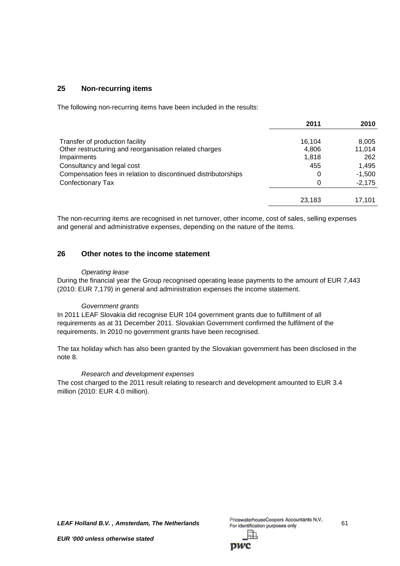# **25 Non-recurring items**

The following non-recurring items have been included in the results:

|                                                                | 2011   | 2010     |
|----------------------------------------------------------------|--------|----------|
| Transfer of production facility                                | 16.104 | 8,005    |
| Other restructuring and reorganisation related charges         | 4,806  | 11,014   |
| Impairments                                                    | 1.818  | 262      |
| Consultancy and legal cost                                     | 455    | 1.495    |
| Compensation fees in relation to discontinued distributorships | 0      | $-1,500$ |
| Confectionary Tax                                              | 0      | $-2,175$ |
|                                                                | 23,183 | 17.101   |

The non-recurring items are recognised in net turnover, other income, cost of sales, selling expenses and general and administrative expenses, depending on the nature of the items.

## **26 Other notes to the income statement**

#### *Operating lease*

During the financial year the Group recognised operating lease payments to the amount of EUR 7,443 (2010: EUR 7,179) in general and administration expenses the income statement.

## *Government grants*

In 2011 LEAF Slovakia did recognise EUR 104 government grants due to fulfillment of all requirements as at 31 December 2011. Slovakian Government confirmed the fulfilment of the requirements. In 2010 no government grants have been recognised.

The tax holiday which has also been granted by the Slovakian government has been disclosed in the note 8.

#### *Research and development expenses*

The cost charged to the 2011 result relating to research and development amounted to EUR 3.4 million (2010: EUR 4.0 million).

*LEAF Holland B.V.*, *Amsterdam, The Netherlands* PricewaterhouseCoopers Accountants N.V. 61 61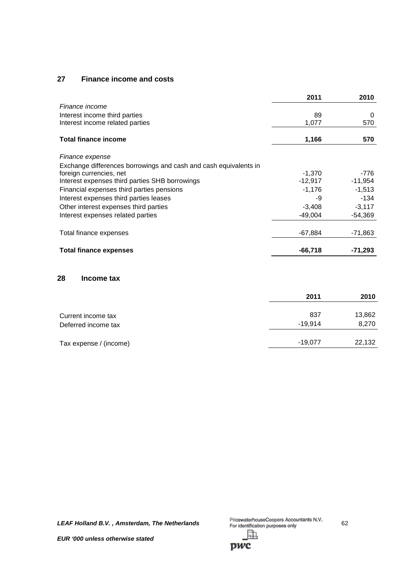# **27 Finance income and costs**

|                                                                  | 2011      | 2010      |
|------------------------------------------------------------------|-----------|-----------|
| Finance income                                                   |           |           |
| Interest income third parties                                    | 89        | 0         |
| Interest income related parties                                  | 1,077     | 570       |
| <b>Total finance income</b>                                      | 1,166     | 570       |
|                                                                  |           |           |
| Finance expense                                                  |           |           |
| Exchange differences borrowings and cash and cash equivalents in |           |           |
| foreign currencies, net                                          | $-1,370$  | -776      |
| Interest expenses third parties SHB borrowings                   | $-12,917$ | $-11,954$ |
| Financial expenses third parties pensions                        | $-1,176$  | $-1,513$  |
| Interest expenses third parties leases                           | -9        | $-134$    |
| Other interest expenses third parties                            | $-3,408$  | $-3,117$  |
| Interest expenses related parties                                | $-49,004$ | $-54,369$ |
| Total finance expenses                                           | $-67,884$ | -71,863   |
| <b>Total finance expenses</b>                                    | $-66,718$ | -71,293   |

# **28 Income tax**

|                        | 2011      | 2010   |
|------------------------|-----------|--------|
| Current income tax     | 837       | 13,862 |
| Deferred income tax    | $-19.914$ | 8,270  |
| Tax expense / (income) | $-19,077$ | 22,132 |

*LEAF Holland B.V., Amsterdam, The Netherlands* PricewaterhouseCoopers Accountants N.V. 62 駎

pwc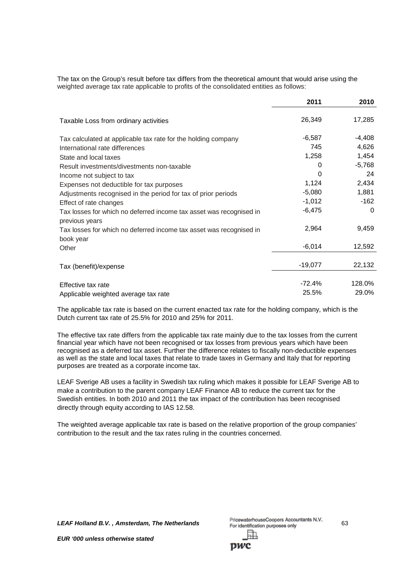The tax on the Group's result before tax differs from the theoretical amount that would arise using the weighted average tax rate applicable to profits of the consolidated entities as follows:

|                                                                                       | 2011      | 2010     |
|---------------------------------------------------------------------------------------|-----------|----------|
| Taxable Loss from ordinary activities                                                 | 26,349    | 17,285   |
| Tax calculated at applicable tax rate for the holding company                         | $-6,587$  | $-4,408$ |
| International rate differences                                                        | 745       | 4,626    |
| State and local taxes                                                                 | 1,258     | 1,454    |
| Result investments/divestments non-taxable                                            | 0         | $-5,768$ |
| Income not subject to tax                                                             | 0         | 24       |
| Expenses not deductible for tax purposes                                              | 1,124     | 2,434    |
| Adjustments recognised in the period for tax of prior periods                         | $-5,080$  | 1,881    |
| Effect of rate changes                                                                | $-1,012$  | $-162$   |
| Tax losses for which no deferred income tax asset was recognised in<br>previous years | $-6,475$  | 0        |
| Tax losses for which no deferred income tax asset was recognised in<br>book year      | 2,964     | 9,459    |
| Other                                                                                 | $-6,014$  | 12,592   |
| Tax (benefit)/expense                                                                 | $-19,077$ | 22,132   |
| Effective tax rate                                                                    | $-72.4%$  | 128.0%   |
| Applicable weighted average tax rate                                                  | 25.5%     | 29.0%    |

The applicable tax rate is based on the current enacted tax rate for the holding company, which is the Dutch current tax rate of 25.5% for 2010 and 25% for 2011.

The effective tax rate differs from the applicable tax rate mainly due to the tax losses from the current financial year which have not been recognised or tax losses from previous years which have been recognised as a deferred tax asset. Further the difference relates to fiscally non-deductible expenses as well as the state and local taxes that relate to trade taxes in Germany and Italy that for reporting purposes are treated as a corporate income tax.

LEAF Sverige AB uses a facility in Swedish tax ruling which makes it possible for LEAF Sverige AB to make a contribution to the parent company LEAF Finance AB to reduce the current tax for the Swedish entities. In both 2010 and 2011 the tax impact of the contribution has been recognised directly through equity according to IAS 12.58.

The weighted average applicable tax rate is based on the relative proportion of the group companies' contribution to the result and the tax rates ruling in the countries concerned.

**LEAF Holland B.V., Amsterdam, The Netherlands** PricewaterhouseCoopers Accountants N.V. 63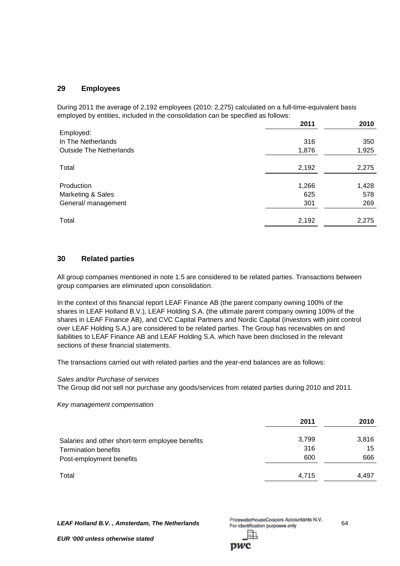## **29 Employees**

During 2011 the average of 2,192 employees (2010: 2,275) calculated on a full-time-equivalent basis employed by entities, included in the consolidation can be specified as follows:

|                                | 2011  | 2010  |
|--------------------------------|-------|-------|
| Employed:                      |       |       |
| In The Netherlands             | 316   | 350   |
| <b>Outside The Netherlands</b> | 1,876 | 1,925 |
|                                |       |       |
| Total                          | 2,192 | 2,275 |
|                                |       |       |
| Production                     | 1,266 | 1,428 |
| Marketing & Sales              | 625   | 578   |
| General/ management            | 301   | 269   |
| Total                          | 2,192 | 2,275 |

## **30 Related parties**

All group companies mentioned in note 1.5 are considered to be related parties. Transactions between group companies are eliminated upon consolidation.

In the context of this financial report LEAF Finance AB (the parent company owning 100% of the shares in LEAF Holland B.V.), LEAF Holding S.A. (the ultimate parent company owning 100% of the shares in LEAF Finance AB), and CVC Capital Partners and Nordic Capital (investors with joint control over LEAF Holding S.A.) are considered to be related parties. The Group has receivables on and liabilities to LEAF Finance AB and LEAF Holding S.A. which have been disclosed in the relevant sections of these financial statements.

The transactions carried out with related parties and the year-end balances are as follows:

#### *Sales and/or Purchase of services*

The Group did not sell nor purchase any goods/services from related parties during 2010 and 2011.

*Key management compensation*

|                                                 | 2011  | 2010  |
|-------------------------------------------------|-------|-------|
| Salaries and other short-term employee benefits | 3,799 | 3,816 |
| <b>Termination benefits</b>                     | 316   | 15    |
| Post-employment benefits                        | 600   | 666   |
| Total                                           | 4.715 | 4,497 |

*LEAF Holland B.V.*, *Amsterdam, The Netherlands* PricewaterhouseCoopers Accountants N.V. 64<br>For identification purposes only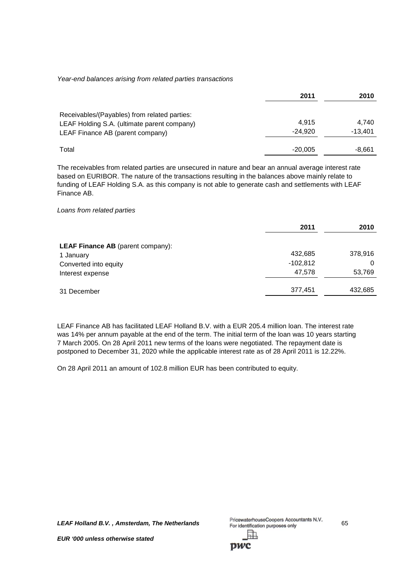#### *Year-end balances arising from related parties transactions*

|                                                                                                                                 | 2011               | 2010               |
|---------------------------------------------------------------------------------------------------------------------------------|--------------------|--------------------|
| Receivables/(Payables) from related parties:<br>LEAF Holding S.A. (ultimate parent company)<br>LEAF Finance AB (parent company) | 4.915<br>$-24.920$ | 4.740<br>$-13.401$ |
| Total                                                                                                                           | $-20,005$          | -8.661             |

The receivables from related parties are unsecured in nature and bear an annual average interest rate based on EURIBOR. The nature of the transactions resulting in the balances above mainly relate to funding of LEAF Holding S.A. as this company is not able to generate cash and settlements with LEAF Finance AB.

## *Loans from related parties*

|                                          | 2011       | 2010    |
|------------------------------------------|------------|---------|
| <b>LEAF Finance AB</b> (parent company): |            |         |
| 1 January                                | 432,685    | 378,916 |
| Converted into equity                    | $-102,812$ | 0       |
| Interest expense                         | 47,578     | 53,769  |
| 31 December                              | 377,451    | 432,685 |

LEAF Finance AB has facilitated LEAF Holland B.V. with a EUR 205.4 million loan. The interest rate was 14% per annum payable at the end of the term. The initial term of the loan was 10 years starting 7 March 2005. On 28 April 2011 new terms of the loans were negotiated. The repayment date is postponed to December 31, 2020 while the applicable interest rate as of 28 April 2011 is 12.22%.

On 28 April 2011 an amount of 102.8 million EUR has been contributed to equity.

**LEAF Holland B.V., Amsterdam, The Netherlands** PricewaterhouseCoopers Accountants N.V. 65

DWC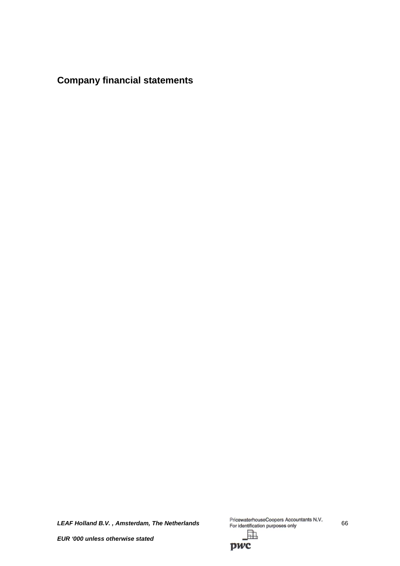**Company financial statements**

LEAF Holland B.V., Amsterdam, The Netherlands **PricewaterhouseCoopers Accountants N.V.** 66 駎

*EUR '000 unless otherwise stated*

pwc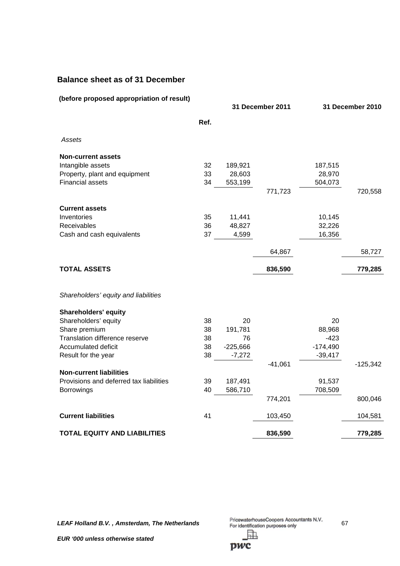# **Balance sheet as of 31 December**

| (before proposed appropriation of result) |      |            | 31 December 2011 |            | 31 December 2010 |
|-------------------------------------------|------|------------|------------------|------------|------------------|
|                                           | Ref. |            |                  |            |                  |
| Assets                                    |      |            |                  |            |                  |
| <b>Non-current assets</b>                 |      |            |                  |            |                  |
| Intangible assets                         | 32   | 189,921    |                  | 187,515    |                  |
| Property, plant and equipment             | 33   | 28,603     |                  | 28,970     |                  |
| <b>Financial assets</b>                   | 34   | 553,199    |                  | 504,073    |                  |
|                                           |      |            | 771,723          |            | 720,558          |
| <b>Current assets</b>                     |      |            |                  |            |                  |
| Inventories                               | 35   | 11,441     |                  | 10,145     |                  |
| Receivables                               | 36   | 48,827     |                  | 32,226     |                  |
| Cash and cash equivalents                 | 37   | 4,599      |                  | 16,356     |                  |
|                                           |      |            | 64,867           |            | 58,727           |
| <b>TOTAL ASSETS</b>                       |      |            | 836,590          |            | 779,285          |
| Shareholders' equity and liabilities      |      |            |                  |            |                  |
| <b>Shareholders' equity</b>               |      |            |                  |            |                  |
| Shareholders' equity                      | 38   | 20         |                  | 20         |                  |
| Share premium                             | 38   | 191,781    |                  | 88,968     |                  |
| Translation difference reserve            | 38   | 76         |                  | $-423$     |                  |
| Accumulated deficit                       | 38   | $-225,666$ |                  | $-174,490$ |                  |
| Result for the year                       | 38   | $-7,272$   |                  | $-39,417$  |                  |
|                                           |      |            | $-41,061$        |            | $-125,342$       |
| <b>Non-current liabilities</b>            |      |            |                  |            |                  |
| Provisions and deferred tax liabilities   | 39   | 187,491    |                  | 91,537     |                  |
| <b>Borrowings</b>                         | 40   | 586,710    |                  | 708,509    |                  |
|                                           |      |            | 774,201          |            | 800,046          |
| <b>Current liabilities</b>                | 41   |            | 103,450          |            | 104,581          |
| <b>TOTAL EQUITY AND LIABILITIES</b>       |      |            | 836,590          |            | 779,285          |

*LEAF Holland B.V., Amsterdam, The Netherlands* PricewaterhouseCoopers Accountants N.V. 67 駎

*EUR '000 unless otherwise stated*

pwc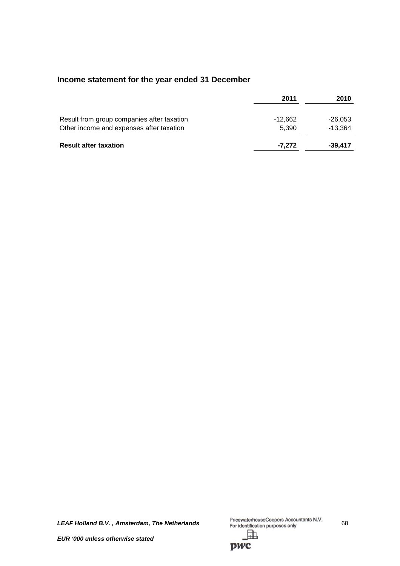# **Income statement for the year ended 31 December**

|                                            | 2011    | 2010      |
|--------------------------------------------|---------|-----------|
| Result from group companies after taxation | -12.662 | $-26,053$ |
| Other income and expenses after taxation   | 5.390   | $-13,364$ |
| <b>Result after taxation</b>               | -7.272  | $-39.417$ |

*LEAF Holland B.V., Amsterdam, The Netherlands* PricewaterhouseCoopers Accountants N.V. 68 駎

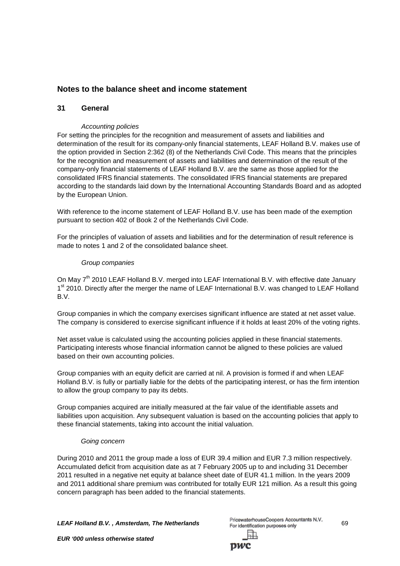# **Notes to the balance sheet and income statement**

## **31 General**

## *Accounting policies*

For setting the principles for the recognition and measurement of assets and liabilities and determination of the result for its company-only financial statements, LEAF Holland B.V. makes use of the option provided in Section 2:362 (8) of the Netherlands Civil Code. This means that the principles for the recognition and measurement of assets and liabilities and determination of the result of the company-only financial statements of LEAF Holland B.V. are the same as those applied for the consolidated IFRS financial statements. The consolidated IFRS financial statements are prepared according to the standards laid down by the International Accounting Standards Board and as adopted by the European Union.

With reference to the income statement of LEAF Holland B.V. use has been made of the exemption pursuant to section 402 of Book 2 of the Netherlands Civil Code.

For the principles of valuation of assets and liabilities and for the determination of result reference is made to notes 1 and 2 of the consolidated balance sheet.

#### *Group companies*

On Mav 7<sup>th</sup> 2010 LEAF Holland B.V. merged into LEAF International B.V. with effective date January 1<sup>st</sup> 2010. Directly after the merger the name of LEAF International B.V. was changed to LEAF Holland B.V.

Group companies in which the company exercises significant influence are stated at net asset value. The company is considered to exercise significant influence if it holds at least 20% of the voting rights.

Net asset value is calculated using the accounting policies applied in these financial statements. Participating interests whose financial information cannot be aligned to these policies are valued based on their own accounting policies.

Group companies with an equity deficit are carried at nil. A provision is formed if and when LEAF Holland B.V. is fully or partially liable for the debts of the participating interest, or has the firm intention to allow the group company to pay its debts.

Group companies acquired are initially measured at the fair value of the identifiable assets and liabilities upon acquisition. Any subsequent valuation is based on the accounting policies that apply to these financial statements, taking into account the initial valuation.

#### *Going concern*

During 2010 and 2011 the group made a loss of EUR 39.4 million and EUR 7.3 million respectively. Accumulated deficit from acquisition date as at 7 February 2005 up to and including 31 December 2011 resulted in a negative net equity at balance sheet date of EUR 41.1 million. In the years 2009 and 2011 additional share premium was contributed for totally EUR 121 million. As a result this going concern paragraph has been added to the financial statements.

*LEAF Holland B.V.*, *Amsterdam, The Netherlands* PricewaterhouseCoopers Accountants N.V. 69

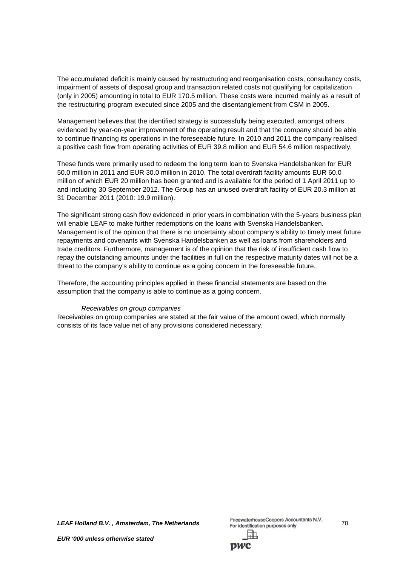The accumulated deficit is mainly caused by restructuring and reorganisation costs, consultancy costs, impairment of assets of disposal group and transaction related costs not qualifying for capitalization (only in 2005) amounting in total to EUR 170.5 million. These costs were incurred mainly as a result of the restructuring program executed since 2005 and the disentanglement from CSM in 2005.

Management believes that the identified strategy is successfully being executed, amongst others evidenced by year-on-year improvement of the operating result and that the company should be able to continue financing its operations in the foreseeable future. In 2010 and 2011 the company realised a positive cash flow from operating activities of EUR 39.8 million and EUR 54.6 million respectively.

These funds were primarily used to redeem the long term loan to Svenska Handelsbanken for EUR 50.0 million in 2011 and EUR 30.0 million in 2010. The total overdraft facility amounts EUR 60.0 million of which EUR 20 million has been granted and is available for the period of 1 April 2011 up to and including 30 September 2012. The Group has an unused overdraft facility of EUR 20.3 million at 31 December 2011 (2010: 19.9 million).

The significant strong cash flow evidenced in prior years in combination with the 5-years business plan will enable LEAF to make further redemptions on the loans with Svenska Handelsbanken. Management is of the opinion that there is no uncertainty about company's ability to timely meet future repayments and covenants with Svenska Handelsbanken as well as loans from shareholders and trade creditors. Furthermore, management is of the opinion that the risk of insufficient cash flow to repay the outstanding amounts under the facilities in full on the respective maturity dates will not be a threat to the company's ability to continue as a going concern in the foreseeable future.

Therefore, the accounting principles applied in these financial statements are based on the assumption that the company is able to continue as a going concern.

#### *Receivables on group companies*

Receivables on group companies are stated at the fair value of the amount owed, which normally consists of its face value net of any provisions considered necessary.

**LEAF Holland B.V., Amsterdam, The Netherlands**<br>For identification purposes only 70

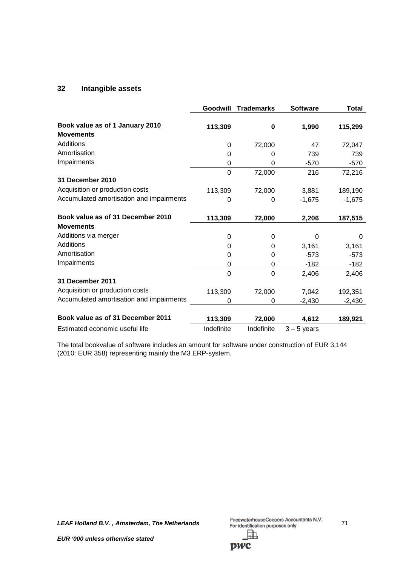## **32 Intangible assets**

|                                                     | Goodwill   | <b>Trademarks</b> | <b>Software</b> | Total    |
|-----------------------------------------------------|------------|-------------------|-----------------|----------|
| Book value as of 1 January 2010<br><b>Movements</b> | 113,309    | 0                 | 1,990           | 115,299  |
| Additions                                           | 0          | 72,000            | 47              | 72,047   |
| Amortisation                                        | 0          | 0                 | 739             | 739      |
| Impairments                                         | 0          | 0                 | $-570$          | $-570$   |
|                                                     | $\Omega$   | 72,000            | 216             | 72,216   |
| 31 December 2010                                    |            |                   |                 |          |
| Acquisition or production costs                     | 113,309    | 72,000            | 3,881           | 189,190  |
| Accumulated amortisation and impairments            | 0          | 0                 | $-1,675$        | $-1,675$ |
| Book value as of 31 December 2010                   | 113,309    | 72,000            | 2,206           | 187,515  |
| <b>Movements</b>                                    |            |                   |                 |          |
| Additions via merger                                | 0          | 0                 | $\Omega$        | 0        |
| <b>Additions</b>                                    | 0          | 0                 | 3,161           | 3,161    |
| Amortisation                                        | 0          | 0                 | $-573$          | $-573$   |
| Impairments                                         | 0          | 0                 | -182            | $-182$   |
|                                                     | 0          | $\mathbf 0$       | 2,406           | 2,406    |
| <b>31 December 2011</b>                             |            |                   |                 |          |
| Acquisition or production costs                     | 113,309    | 72,000            | 7,042           | 192,351  |
| Accumulated amortisation and impairments            | 0          | 0                 | $-2,430$        | $-2,430$ |
| Book value as of 31 December 2011                   | 113,309    | 72,000            | 4,612           | 189,921  |
| Estimated economic useful life                      | Indefinite | Indefinite        | $3 - 5$ years   |          |

The total bookvalue of software includes an amount for software under construction of EUR 3,144 (2010: EUR 358) representing mainly the M3 ERP-system.

*LEAF Holland B.V., Amsterdam, The Netherlands* PricewaterhouseCoopers Accountants N.V. 71 訕

pwc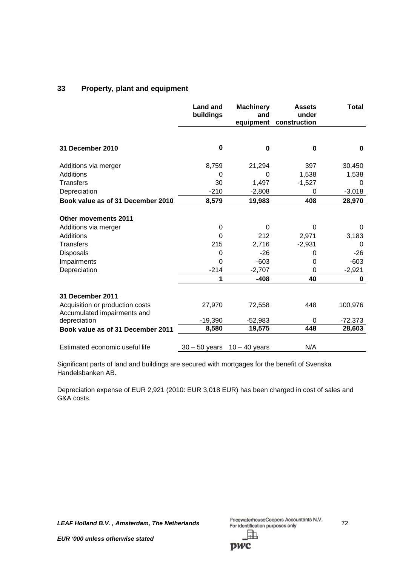# **33 Property, plant and equipment**

|                                             | <b>Land and</b><br>buildings | <b>Machinery</b><br>and<br>equipment | <b>Assets</b><br>under<br>construction | <b>Total</b> |
|---------------------------------------------|------------------------------|--------------------------------------|----------------------------------------|--------------|
| 31 December 2010                            | 0                            | 0                                    | 0                                      | 0            |
| Additions via merger                        | 8,759                        | 21,294                               | 397                                    | 30,450       |
| Additions                                   | 0                            | 0                                    | 1,538                                  | 1,538        |
| <b>Transfers</b>                            | 30                           | 1,497                                | $-1,527$                               | 0            |
| Depreciation                                | $-210$                       | $-2,808$                             | 0                                      | $-3,018$     |
| Book value as of 31 December 2010           | 8,579                        | 19,983                               | 408                                    | 28,970       |
|                                             |                              |                                      |                                        |              |
| <b>Other movements 2011</b>                 |                              |                                      |                                        |              |
| Additions via merger                        | $\boldsymbol{0}$             | 0                                    | 0                                      | 0            |
| Additions                                   | $\Omega$                     | 212                                  | 2,971                                  | 3,183        |
| <b>Transfers</b>                            | 215                          | 2,716                                | $-2,931$                               | 0            |
| Disposals                                   | 0                            | $-26$                                | 0                                      | $-26$        |
| Impairments                                 | $\Omega$                     | $-603$                               | 0                                      | $-603$       |
| Depreciation                                | $-214$                       | $-2,707$                             | 0                                      | $-2,921$     |
|                                             | 1                            | $-408$                               | 40                                     | 0            |
|                                             |                              |                                      |                                        |              |
| <b>31 December 2011</b>                     |                              |                                      |                                        |              |
| Acquisition or production costs             | 27,970                       | 72,558                               | 448                                    | 100,976      |
| Accumulated impairments and<br>depreciation | $-19,390$                    | $-52,983$                            | 0                                      | $-72,373$    |
| Book value as of 31 December 2011           | 8,580                        | 19,575                               | 448                                    | 28,603       |
|                                             |                              |                                      |                                        |              |
| Estimated economic useful life              | $30 - 50$ years              | $10 - 40$ years                      | N/A                                    |              |

Significant parts of land and buildings are secured with mortgages for the benefit of Svenska Handelsbanken AB.

Depreciation expense of EUR 2,921 (2010: EUR 3,018 EUR) has been charged in cost of sales and G&A costs.

*LEAF Holland B.V. , Amsterdam, The Netherlands* 72 訕

pwc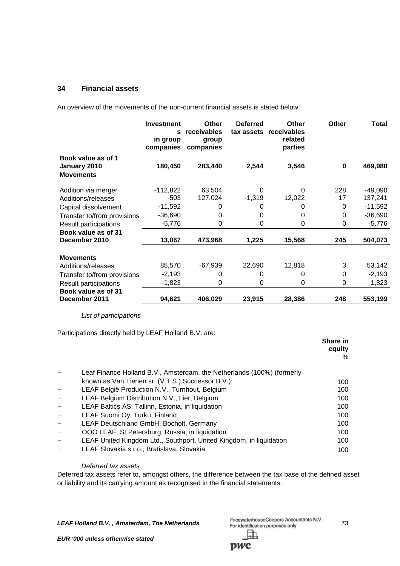# **34 Financial assets**

An overview of the movements of the non-current financial assets is stated below:

|                                                        | <b>Investment</b><br>s<br>in group<br>companies | Other<br>receivables<br>group<br>companies | <b>Deferred</b> | <b>Other</b><br>tax assets receivables<br>related<br>parties | Other    | <b>Total</b> |
|--------------------------------------------------------|-------------------------------------------------|--------------------------------------------|-----------------|--------------------------------------------------------------|----------|--------------|
| Book value as of 1<br>January 2010<br><b>Movements</b> | 180,450                                         | 283,440                                    | 2,544           | 3,546                                                        | $\bf{0}$ | 469,980      |
| Addition via merger                                    | $-112,822$                                      | 63,504                                     | 0               | 0                                                            | 228      | $-49,090$    |
| Additions/releases                                     | $-503$                                          | 127,024                                    | $-1,319$        | 12,022                                                       | 17       | 137,241      |
| Capital dissolvement                                   | $-11,592$                                       | 0                                          | 0               | 0                                                            | 0        | $-11,592$    |
| Transfer to/from provisions                            | $-36,690$                                       | 0                                          | 0               | 0                                                            | 0        | $-36,690$    |
| Result participations                                  | $-5,776$                                        | 0                                          | 0               | 0                                                            | 0        | $-5,776$     |
| Book value as of 31<br>December 2010                   | 13,067                                          | 473,968                                    | 1,225           | 15,568                                                       | 245      | 504,073      |
| <b>Movements</b>                                       |                                                 |                                            |                 |                                                              |          |              |
| Additions/releases                                     | 85,570                                          | $-67,939$                                  | 22,690          | 12,818                                                       | 3        | 53,142       |
| Transfer to/from provisions                            | $-2,193$                                        | 0                                          | 0               | 0                                                            | 0        | $-2,193$     |
| Result participations                                  | $-1,823$                                        | 0                                          | $\Omega$        | 0                                                            | 0        | $-1,823$     |
| Book value as of 31<br>December 2011                   | 94,621                                          | 406,029                                    | 23,915          | 28,386                                                       | 248      | 553,199      |

*List of participations*

Participations directly held by LEAF Holland B.V. are:

|                                                                        | Share in<br>equity |
|------------------------------------------------------------------------|--------------------|
|                                                                        | $\%$               |
| Leaf Finance Holland B.V., Amsterdam, the Netherlands (100%) (formerly |                    |
| known as Van Tienen sr. (V.T.S.) Successor B.V.);                      | 100                |
| LEAF België Production N.V., Turnhout, Belgium                         | 100                |
| LEAF Belgium Distribution N.V., Lier, Belgium                          | 100                |
| LEAF Baltics AS, Tallinn, Estonia, in liquidation                      | 100                |
| LEAF Suomi Oy, Turku, Finland                                          | 100                |
| LEAF Deutschland GmbH, Bocholt, Germany                                | 100                |
| OOO LEAF, St Petersburg, Russia, in liquidation                        | 100                |
| LEAF United Kingdom Ltd., Southport, United Kingdom, in liquidation    | 100                |
| LEAF Slovakia s.r.o., Bratislava, Slovakia                             | 100                |

#### *Deferred tax assets*

Deferred tax assets refer to, amongst others, the difference between the tax base of the defined asset or liability and its carrying amount as recognised in the financial statements.

**LEAF Holland B.V., Amsterdam, The Netherlands** PricewaterhouseCoopers Accountants N.V. 73 駎

*EUR '000 unless otherwise stated*

**DWC**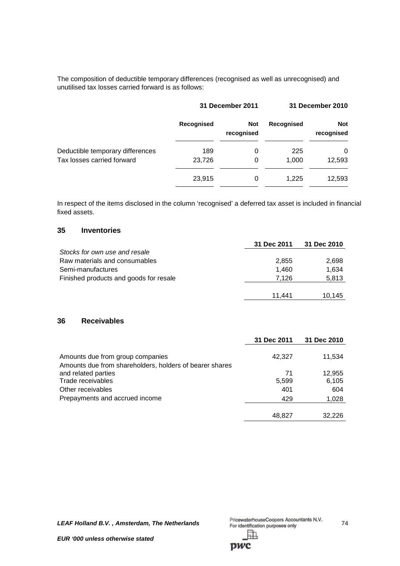The composition of deductible temporary differences (recognised as well as unrecognised) and unutilised tax losses carried forward is as follows:

|                                  | <b>31 December 2011</b> |                          | 31 December 2010 |                          |
|----------------------------------|-------------------------|--------------------------|------------------|--------------------------|
|                                  | <b>Recognised</b>       | <b>Not</b><br>recognised | Recognised       | <b>Not</b><br>recognised |
| Deductible temporary differences | 189                     | 0                        | 225              | 0                        |
| Tax losses carried forward       | 23,726                  | 0                        | 1.000            | 12,593                   |
|                                  | 23,915                  | 0                        | 1.225            | 12,593                   |

In respect of the items disclosed in the column 'recognised' a deferred tax asset is included in financial fixed assets.

# **35 Inventories**

|                                        | 31 Dec 2011 | 31 Dec 2010 |
|----------------------------------------|-------------|-------------|
| Stocks for own use and resale          |             |             |
| Raw materials and consumables          | 2,855       | 2,698       |
| Semi-manufactures                      | 1.460       | 1,634       |
| Finished products and goods for resale | 7.126       | 5,813       |
|                                        |             |             |
|                                        | 11.441      | 10.145      |

# **36 Receivables**

|                                                                                             | 31 Dec 2011 | 31 Dec 2010 |
|---------------------------------------------------------------------------------------------|-------------|-------------|
| Amounts due from group companies<br>Amounts due from shareholders, holders of bearer shares | 42,327      | 11,534      |
| and related parties                                                                         | 71          | 12,955      |
| Trade receivables                                                                           | 5,599       | 6,105       |
| Other receivables                                                                           | 401         | 604         |
| Prepayments and accrued income                                                              | 429         | 1,028       |
|                                                                                             | 48.827      | 32.226      |

pwc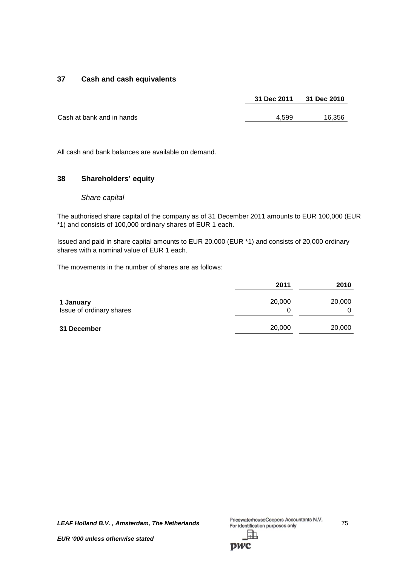# **37 Cash and cash equivalents**

|                           | 31 Dec 2011 | 31 Dec 2010 |
|---------------------------|-------------|-------------|
|                           |             |             |
| Cash at bank and in hands | 4.599       | 16,356      |

All cash and bank balances are available on demand.

## **38 Shareholders' equity**

#### *Share capital*

The authorised share capital of the company as of 31 December 2011 amounts to EUR 100,000 (EUR \*1) and consists of 100,000 ordinary shares of EUR 1 each.

Issued and paid in share capital amounts to EUR 20,000 (EUR \*1) and consists of 20,000 ordinary shares with a nominal value of EUR 1 each.

The movements in the number of shares are as follows:

|                                       | 2011        | 2010        |
|---------------------------------------|-------------|-------------|
| 1 January<br>Issue of ordinary shares | 20,000<br>0 | 20,000<br>0 |
| 31 December                           | 20,000      | 20,000      |

*LEAF Holland B.V. , Amsterdam, The Netherlands* 75 駎

**DWC**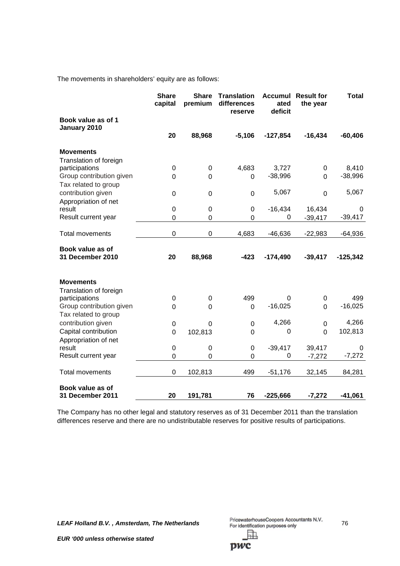The movements in shareholders' equity are as follows:

|                                      | <b>Share</b><br>capital | <b>Share</b><br>premium | <b>Translation</b><br>differences<br>reserve | <b>Accumul</b><br>ated<br>deficit | <b>Result for</b><br>the year | <b>Total</b> |
|--------------------------------------|-------------------------|-------------------------|----------------------------------------------|-----------------------------------|-------------------------------|--------------|
| Book value as of 1<br>January 2010   |                         |                         |                                              |                                   |                               |              |
|                                      | 20                      | 88,968                  | $-5,106$                                     | $-127,854$                        | $-16,434$                     | $-60,406$    |
| <b>Movements</b>                     |                         |                         |                                              |                                   |                               |              |
| Translation of foreign               |                         |                         |                                              |                                   |                               |              |
| participations                       | 0                       | $\pmb{0}$               | 4,683                                        | 3,727                             | $\mathbf 0$                   | 8,410        |
| Group contribution given             | 0                       | 0                       | 0                                            | $-38,996$                         | $\Omega$                      | $-38,996$    |
| Tax related to group                 |                         |                         |                                              |                                   |                               |              |
| contribution given                   | 0                       | 0                       | $\mathbf 0$                                  | 5,067                             | $\overline{0}$                | 5,067        |
| Appropriation of net                 |                         |                         |                                              |                                   |                               |              |
| result                               | 0                       | 0                       | 0                                            | $-16,434$                         | 16,434                        | 0            |
| Result current year                  | 0                       | 0                       | 0                                            | 0                                 | $-39,417$                     | $-39,417$    |
| Total movements                      | 0                       | 0                       | 4,683                                        | $-46,636$                         | $-22,983$                     | $-64,936$    |
|                                      |                         |                         |                                              |                                   |                               |              |
| Book value as of<br>31 December 2010 | 20                      | 88,968                  | $-423$                                       | $-174,490$                        | $-39,417$                     | $-125,342$   |
| <b>Movements</b>                     |                         |                         |                                              |                                   |                               |              |
| Translation of foreign               |                         |                         |                                              |                                   |                               |              |
| participations                       | 0                       | 0                       | 499                                          | 0                                 | 0                             | 499          |
| Group contribution given             | 0                       | 0                       | 0                                            | $-16,025$                         | $\Omega$                      | $-16,025$    |
| Tax related to group                 |                         |                         |                                              |                                   |                               |              |
| contribution given                   | $\boldsymbol{0}$        | 0                       | $\mathbf 0$                                  | 4,266                             | $\mathbf 0$                   | 4,266        |
| Capital contribution                 | 0                       | 102,813                 | $\overline{0}$                               | 0                                 | $\mathbf 0$                   | 102,813      |
| Appropriation of net                 |                         |                         |                                              |                                   |                               |              |
| result                               | 0                       | 0                       | 0                                            | $-39,417$                         | 39,417                        | 0            |
| Result current year                  | 0                       | 0                       | 0                                            | 0                                 | $-7,272$                      | $-7,272$     |
| <b>Total movements</b>               | 0                       | 102,813                 | 499                                          | $-51,176$                         | 32,145                        | 84,281       |
| Book value as of<br>31 December 2011 | 20                      | 191,781                 | 76                                           | $-225,666$                        | $-7,272$                      | $-41,061$    |

The Company has no other legal and statutory reserves as of 31 December 2011 than the translation differences reserve and there are no undistributable reserves for positive results of participations.

*LEAF Holland B.V. , Amsterdam, The Netherlands* 76 駎

pwc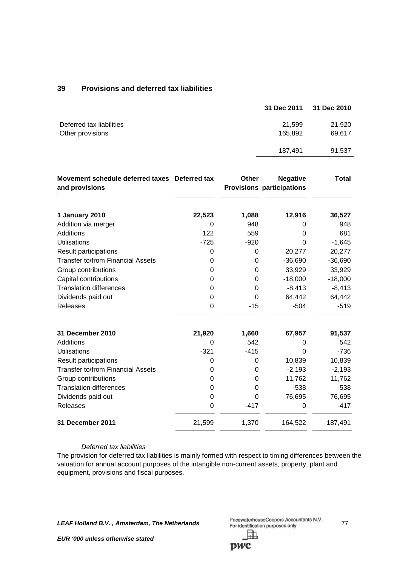# **39 Provisions and deferred tax liabilities**

|                          | 31 Dec 2011 | 31 Dec 2010 |
|--------------------------|-------------|-------------|
|                          |             |             |
| Deferred tax liabilities | 21,599      | 21,920      |
| Other provisions         | 165,892     | 69,617      |
|                          |             |             |
|                          | 187.491     | 91,537      |
|                          |             |             |

| Movement schedule deferred taxes Deferred tax<br>and provisions |        | <b>Other</b> | <b>Negative</b><br><b>Provisions participations</b> | <b>Total</b> |
|-----------------------------------------------------------------|--------|--------------|-----------------------------------------------------|--------------|
| 1 January 2010                                                  | 22,523 | 1,088        | 12,916                                              | 36,527       |
| Addition via merger                                             | 0      | 948          | 0                                                   | 948          |
| Additions                                                       | 122    | 559          | 0                                                   | 681          |
| <b>Utilisations</b>                                             | $-725$ | $-920$       | 0                                                   | $-1,645$     |
| Result participations                                           | 0      | $\Omega$     | 20,277                                              | 20,277       |
| <b>Transfer to/from Financial Assets</b>                        | 0      | 0            | $-36,690$                                           | $-36,690$    |
| Group contributions                                             | 0      | 0            | 33,929                                              | 33,929       |
| Capital contributions                                           | 0      | 0            | $-18,000$                                           | $-18,000$    |
| <b>Translation differences</b>                                  | 0      | 0            | $-8,413$                                            | $-8,413$     |
| Dividends paid out                                              | 0      | 0            | 64,442                                              | 64,442       |
| Releases                                                        | 0      | $-15$        | $-504$                                              | $-519$       |
| <b>31 December 2010</b>                                         | 21,920 | 1,660        | 67,957                                              | 91,537       |
| Additions                                                       | 0      | 542          | 0                                                   | 542          |
| <b>Utilisations</b>                                             | $-321$ | $-415$       | $\Omega$                                            | $-736$       |
| <b>Result participations</b>                                    | 0      | 0            | 10,839                                              | 10,839       |
| <b>Transfer to/from Financial Assets</b>                        | 0      | 0            | $-2,193$                                            | $-2,193$     |
| Group contributions                                             | 0      | 0            | 11,762                                              | 11,762       |
| <b>Translation differences</b>                                  | 0      | $\Omega$     | $-538$                                              | $-538$       |
| Dividends paid out                                              | 0      | $\Omega$     | 76,695                                              | 76,695       |
| <b>Releases</b>                                                 | 0      | $-417$       | 0                                                   | $-417$       |
| 31 December 2011                                                | 21,599 | 1,370        | 164,522                                             | 187,491      |

#### *Deferred tax liabilities*

The provision for deferred tax liabilities is mainly formed with respect to timing differences between the valuation for annual account purposes of the intangible non-current assets, property, plant and equipment, provisions and fiscal purposes.

*LEAF Holland B.V. , Amsterdam, The Netherlands* 77 訕

*EUR '000 unless otherwise stated*

pwc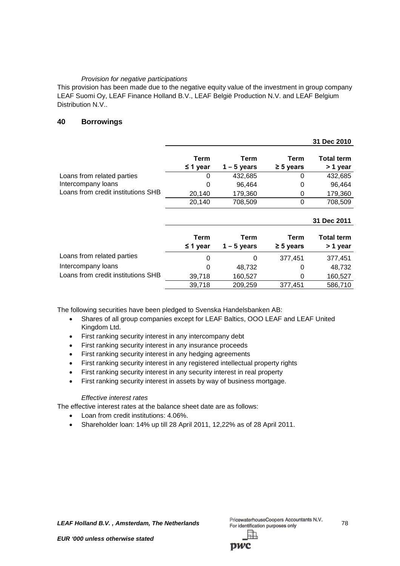## *Provision for negative participations*

This provision has been made due to the negative equity value of the investment in group company LEAF Suomi Oy, LEAF Finance Holland B.V., LEAF België Production N.V. and LEAF Belgium Distribution N.V..

## **40 Borrowings**

|                                    |                       |                       |                        | 31 Dec 2010                   |
|------------------------------------|-----------------------|-----------------------|------------------------|-------------------------------|
|                                    | Term<br>$\leq$ 1 year | Term<br>$1 - 5$ years | Term<br>$\geq 5$ years | <b>Total term</b><br>> 1 year |
| Loans from related parties         | 0                     | 432,685               | 0                      | 432,685                       |
| Intercompany loans                 | 0                     | 96,464                | 0                      | 96,464                        |
| Loans from credit institutions SHB | 20,140                | 179,360               | 0                      | 179,360                       |
|                                    | 20,140                | 708,509               | 0                      | 708,509                       |
|                                    |                       |                       |                        |                               |
|                                    |                       |                       |                        | 31 Dec 2011                   |
|                                    | Term<br>≤ 1 year      | Term<br>$1 - 5$ years | Term<br>$\geq 5$ years | <b>Total term</b><br>> 1 year |
| Loans from related parties         | $\Omega$              | 0                     | 377,451                | 377,451                       |
| Intercompany loans                 | 0                     | 48,732                | 0                      | 48,732                        |
| Loans from credit institutions SHB | 39,718                | 160,527               | 0                      | 160,527                       |

The following securities have been pledged to Svenska Handelsbanken AB:

- Shares of all group companies except for LEAF Baltics, OOO LEAF and LEAF United Kingdom Ltd.
- First ranking security interest in any intercompany debt
- First ranking security interest in any insurance proceeds
- First ranking security interest in any hedging agreements
- First ranking security interest in any registered intellectual property rights
- First ranking security interest in any security interest in real property
- First ranking security interest in assets by way of business mortgage.

### *Effective interest rates*

The effective interest rates at the balance sheet date are as follows:

- Loan from credit institutions: 4.06%.
- Shareholder loan: 14% up till 28 April 2011, 12,22% as of 28 April 2011.

**LEAF Holland B.V., Amsterdam, The Netherlands** PricewaterhouseCoopers Accountants N.V. 78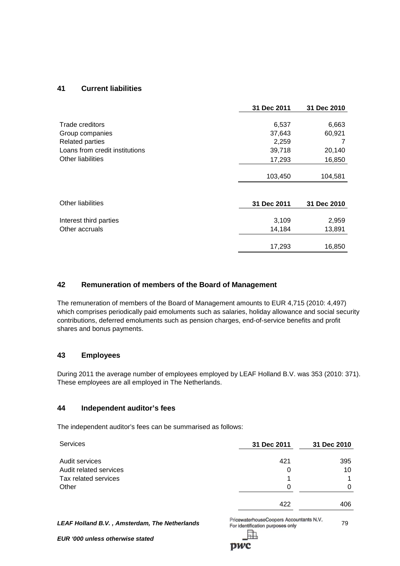# **41 Current liabilities**

|                                | 31 Dec 2011 | 31 Dec 2010 |
|--------------------------------|-------------|-------------|
|                                |             |             |
| Trade creditors                | 6,537       | 6,663       |
| Group companies                | 37,643      | 60,921      |
| <b>Related parties</b>         | 2,259       | 7           |
| Loans from credit institutions | 39,718      | 20,140      |
| Other liabilities              | 17,293      | 16,850      |
|                                | 103,450     | 104,581     |
|                                |             |             |
| <b>Other liabilities</b>       | 31 Dec 2011 | 31 Dec 2010 |
| Interest third parties         | 3,109       | 2,959       |
| Other accruals                 | 14,184      | 13,891      |
|                                | 17,293      | 16,850      |

## **42 Remuneration of members of the Board of Management**

The remuneration of members of the Board of Management amounts to EUR 4,715 (2010: 4,497) which comprises periodically paid emoluments such as salaries, holiday allowance and social security contributions, deferred emoluments such as pension charges, end-of-service benefits and profit shares and bonus payments.

### **43 Employees**

During 2011 the average number of employees employed by LEAF Holland B.V. was 353 (2010: 371). These employees are all employed in The Netherlands.

## **44 Independent auditor's fees**

The independent auditor's fees can be summarised as follows:

| <b>Services</b>        | 31 Dec 2011 | 31 Dec 2010 |
|------------------------|-------------|-------------|
| Audit services         | 421         | 395         |
| Audit related services | 0           | 10          |
| Tax related services   |             |             |
| Other                  | 0           | 0           |
|                        | 422         | 406         |

**LEAF Holland B.V., Amsterdam, The Netherlands** PricewaterhouseCoopers Accountants N.V. 79

ħ.

**DWC** 

*EUR '000 unless otherwise stated*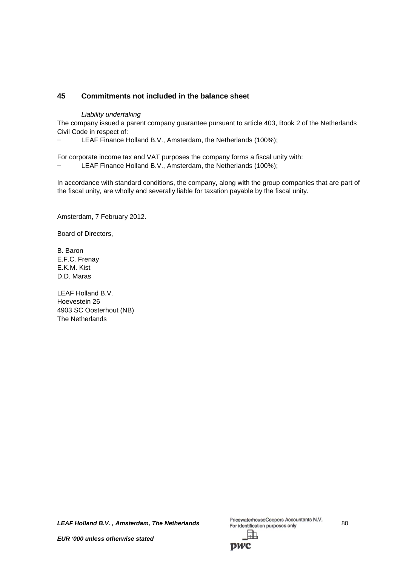# **45 Commitments not included in the balance sheet**

*Liability undertaking*

The company issued a parent company guarantee pursuant to article 403, Book 2 of the Netherlands Civil Code in respect of:

LEAF Finance Holland B.V., Amsterdam, the Netherlands (100%);

For corporate income tax and VAT purposes the company forms a fiscal unity with:

LEAF Finance Holland B.V., Amsterdam, the Netherlands (100%);

In accordance with standard conditions, the company, along with the group companies that are part of the fiscal unity, are wholly and severally liable for taxation payable by the fiscal unity.

Amsterdam, 7 February 2012.

Board of Directors,

B. Baron E.F.C. Frenay E.K.M. Kist D.D. Maras

LEAF Holland B.V. Hoevestein 26 4903 SC Oosterhout (NB) The Netherlands

*LEAF Holland B.V.*, *Amsterdam, The Netherlands* PricewaterhouseCoopers Accountants N.V. 80<br>For identification purposes only 訅

DWC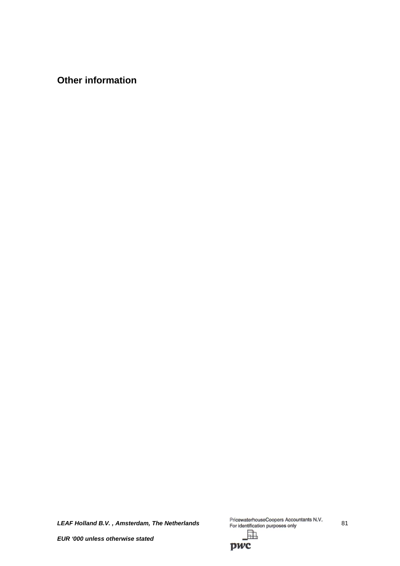**Other information**

*LEAF Holland B.V., Amsterdam, The Netherlands* PricewaterhouseCoopers Accountants N.V. 81

虛

*EUR '000 unless otherwise stated*

pwc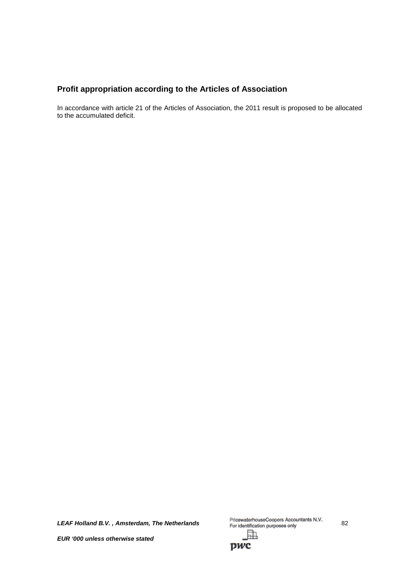# **Profit appropriation according to the Articles of Association**

In accordance with article 21 of the Articles of Association, the 2011 result is proposed to be allocated to the accumulated deficit.

*LEAF Holland B.V.*, *Amsterdam, The Netherlands* PricewaterhouseCoopers Accountants N.V. 82 駎

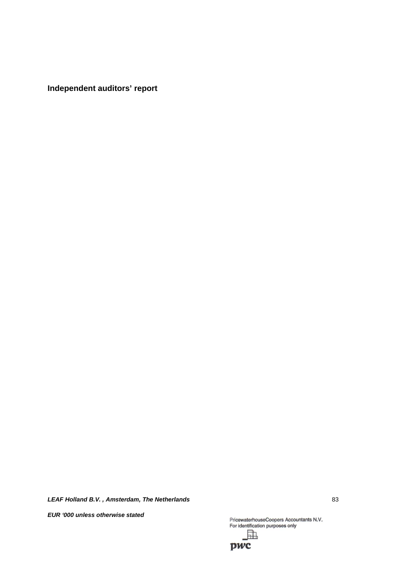**Independent auditors' report**

*LEAF Holland B.V. , Amsterdam, The Netherlands* 83

*EUR '000 unless otherwise stated*

PricewaterhouseCoopers Accountants N.V.<br>For identification purposes only 駎

pwc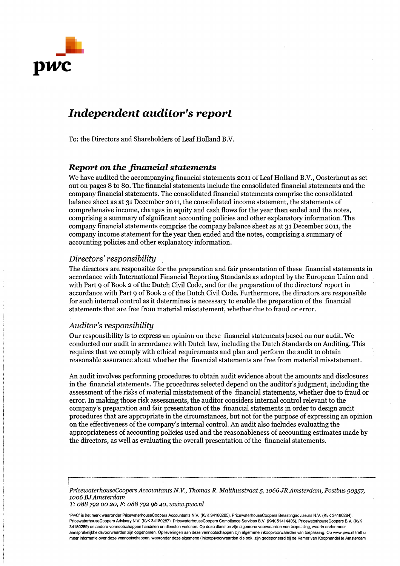

# **Independent auditor's report**

To: the Directors and Shareholders of Leaf Holland B.V.

### **Report on the financial statements**

We have audited the accompanying financial statements 2011 of Leaf Holland B.V., Oosterhout as set out on pages 8 to 80. The financial statements include the consolidated financial statements and the company financial statements. The consolidated financial statements comprise the consolidated balance sheet as at 31 December 2011, the consolidated income statement, the statements of comprehensive income, changes in equity and cash flows for the year then ended and the notes. comprising a summary of significant accounting policies and other explanatory information. The company financial statements comprise the company balance sheet as at 31 December 2011, the company income statement for the year then ended and the notes, comprising a summary of accounting policies and other explanatory information.

#### Directors' responsibility

The directors are responsible for the preparation and fair presentation of these financial statements in accordance with International Financial Reporting Standards as adopted by the European Union and with Part 9 of Book 2 of the Dutch Civil Code, and for the preparation of the directors' report in accordance with Part 9 of Book 2 of the Dutch Civil Code. Furthermore, the directors are responsible for such internal control as it determines is necessary to enable the preparation of the financial statements that are free from material misstatement, whether due to fraud or error.

#### Auditor's responsibility

Our responsibility is to express an opinion on these financial statements based on our audit. We conducted our audit in accordance with Dutch law, including the Dutch Standards on Auditing. This requires that we comply with ethical requirements and plan and perform the audit to obtain reasonable assurance about whether the financial statements are free from material misstatement.

An audit involves performing procedures to obtain audit evidence about the amounts and disclosures in the financial statements. The procedures selected depend on the auditor's judgment, including the assessment of the risks of material misstatement of the financial statements, whether due to fraud or error. In making those risk assessments, the auditor considers internal control relevant to the company's preparation and fair presentation of the financial statements in order to design audit procedures that are appropriate in the circumstances, but not for the purpose of expressing an opinion on the effectiveness of the company's internal control. An audit also includes evaluating the appropriateness of accounting policies used and the reasonableness of accounting estimates made by the directors, as well as evaluating the overall presentation of the financial statements.

PricewaterhouseCoopers Accountants N.V., Thomas R. Malthusstraat 5, 1066 JR Amsterdam, Postbus 90357, 1006 BJ Amsterdam T: 088 792 00 20, F: 088 792 96 40, www.pwc.nl

'PwC' is het merk waaronder PricewaterhouseCoopers Accountants N.V. (KvK 34180285), PricewaterhouseCoopers Belastingadviseurs N.V. (KvK 34180284), PricewaterhouseCoopers Advisory N.V. (KvK 34180287), PricewaterhouseCoopers Compliance Services B.V. (KvK 51414406), PricewaterhouseCoopers B.V. (KvK 34180289) en andere vennootschappen handelen en diensten verlenen. Op deze diensten zijn algemene voorwaarden van toepassing, waarin onder meer aansprakelijkheidsvoorwaarden zijn opgenomen. Op leveringen aan deze vennootschappen zijn algemene inkoopvoorwaarden van toepassing. Op www.pwc.nl treft u meer informatie over deze vennootschappen, waaronder deze algemene (inkoop)voorwaarden die ook zijn gedeponeerd bij de Kamer van Koophandel te Amsterdam